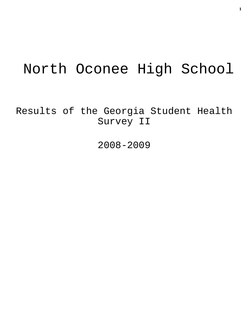# North Oconee High School

Results of the Georgia Student Health Survey II

2008-2009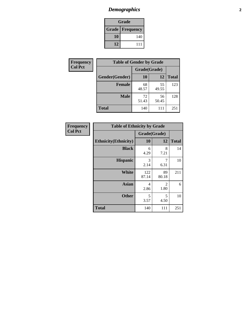# *Demographics* **2**

| Grade                    |     |  |  |
|--------------------------|-----|--|--|
| <b>Grade   Frequency</b> |     |  |  |
| 10                       | 140 |  |  |
| 12                       | 111 |  |  |

| Frequency      | <b>Table of Gender by Grade</b> |              |             |              |  |
|----------------|---------------------------------|--------------|-------------|--------------|--|
| <b>Col Pct</b> |                                 | Grade(Grade) |             |              |  |
|                | Gender(Gender)                  | 10           | 12          | <b>Total</b> |  |
|                | <b>Female</b>                   | 68<br>48.57  | 55<br>49.55 | 123          |  |
|                | <b>Male</b>                     | 72<br>51.43  | 56<br>50.45 | 128          |  |
|                | <b>Total</b>                    | 140          | 111         | 251          |  |

| <b>Frequency</b> |  |
|------------------|--|
| Col Pct          |  |

| <b>Table of Ethnicity by Grade</b> |                    |             |              |  |  |  |
|------------------------------------|--------------------|-------------|--------------|--|--|--|
|                                    | Grade(Grade)       |             |              |  |  |  |
| <b>Ethnicity</b> (Ethnicity)       | 10                 | 12          | <b>Total</b> |  |  |  |
| <b>Black</b>                       | 6<br>4.29          | 8<br>7.21   | 14           |  |  |  |
| <b>Hispanic</b>                    | 3<br>2.14          | 7<br>6.31   | 10           |  |  |  |
| White                              | 122<br>87.14       | 89<br>80.18 | 211          |  |  |  |
| <b>Asian</b>                       | 4<br>2.86          | 2<br>1.80   | 6            |  |  |  |
| <b>Other</b>                       | $\sqrt{5}$<br>3.57 | 5<br>4.50   | 10           |  |  |  |
| <b>Total</b>                       | 140                | 111         | 251          |  |  |  |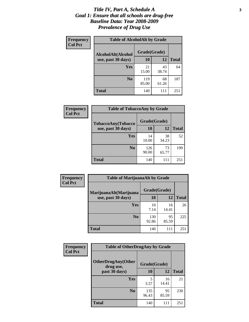#### *Title IV, Part A, Schedule A* **3** *Goal 1: Ensure that all schools are drug-free Baseline Data: Year 2008-2009 Prevalence of Drug Use*

| Frequency<br><b>Col Pct</b> | <b>Table of AlcoholAlt by Grade</b> |              |             |              |  |
|-----------------------------|-------------------------------------|--------------|-------------|--------------|--|
|                             | AlcoholAlt(Alcohol                  | Grade(Grade) |             |              |  |
|                             | use, past 30 days)                  | <b>10</b>    | 12          | <b>Total</b> |  |
|                             | <b>Yes</b>                          | 21<br>15.00  | 43<br>38.74 | 64           |  |
|                             | N <sub>0</sub>                      | 119<br>85.00 | 68<br>61.26 | 187          |  |
|                             | Total                               | 140          | 111         | 251          |  |

| Frequency      | <b>Table of TobaccoAny by Grade</b> |              |             |              |  |  |
|----------------|-------------------------------------|--------------|-------------|--------------|--|--|
| <b>Col Pct</b> | <b>TobaccoAny(Tobacco</b>           | Grade(Grade) |             |              |  |  |
|                | use, past 30 days)                  | 10           | 12          | <b>Total</b> |  |  |
|                | Yes                                 | 14<br>10.00  | 38<br>34.23 | 52           |  |  |
|                | N <sub>0</sub>                      | 126<br>90.00 | 73<br>65.77 | 199          |  |  |
|                | Total                               | 140          | 111         | 251          |  |  |

| Frequency<br><b>Col Pct</b> | <b>Table of MarijuanaAlt by Grade</b> |              |             |              |  |
|-----------------------------|---------------------------------------|--------------|-------------|--------------|--|
|                             | MarijuanaAlt(Marijuana                | Grade(Grade) |             |              |  |
|                             | use, past 30 days)                    | 10           | 12          | <b>Total</b> |  |
|                             | Yes                                   | 10<br>7.14   | 16<br>14.41 | 26           |  |
|                             | N <sub>0</sub>                        | 130<br>92.86 | 95<br>85.59 | 225          |  |
|                             | <b>Total</b>                          | 140          | 111         | 251          |  |

| Frequency      | <b>Table of OtherDrugAny by Grade</b>  |              |             |              |  |  |
|----------------|----------------------------------------|--------------|-------------|--------------|--|--|
| <b>Col Pct</b> | <b>OtherDrugAny(Other</b><br>drug use, | Grade(Grade) |             |              |  |  |
|                | past 30 days)                          | 10           | <b>12</b>   | <b>Total</b> |  |  |
|                | <b>Yes</b>                             | 3.57         | 16<br>14.41 | 21           |  |  |
|                | N <sub>0</sub>                         | 135<br>96.43 | 95<br>85.59 | 230          |  |  |
|                | <b>Total</b>                           | 140          | 111         | 251          |  |  |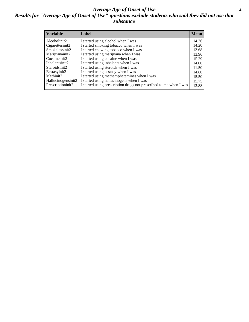#### *Average Age of Onset of Use* **4** *Results for "Average Age of Onset of Use" questions exclude students who said they did not use that substance*

| <b>Variable</b>       | Label                                                              | <b>Mean</b> |
|-----------------------|--------------------------------------------------------------------|-------------|
| Alcoholinit2          | I started using alcohol when I was                                 | 14.36       |
| Cigarettesinit2       | I started smoking tobacco when I was                               | 14.20       |
| Smokelessinit2        | I started chewing tobacco when I was                               | 13.68       |
| Marijuanainit2        | I started using marijuana when I was                               | 13.96       |
| Cocaineinit2          | I started using cocaine when I was                                 | 15.29       |
| Inhalantsinit2        | I started using inhalants when I was                               | 14.00       |
| Steroidsinit2         | I started using steroids when I was                                | 11.50       |
| Ecstasyinit2          | I started using ecstasy when I was                                 | 14.60       |
| Methinit <sub>2</sub> | I started using methamphetamines when I was                        | 15.50       |
| Hallucinogensinit2    | I started using hallucinogens when I was                           | 15.75       |
| Prescriptioninit2     | I started using prescription drugs not prescribed to me when I was | 12.88       |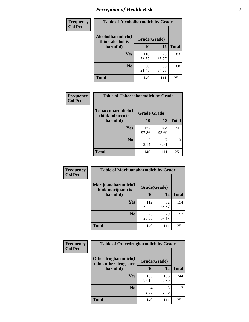# *Perception of Health Risk* **5**

| Frequency      | <b>Table of Alcoholharmdich by Grade</b> |              |             |              |  |
|----------------|------------------------------------------|--------------|-------------|--------------|--|
| <b>Col Pct</b> | Alcoholharmdich(I<br>think alcohol is    | Grade(Grade) |             |              |  |
|                | harmful)                                 | 10           | 12          | <b>Total</b> |  |
|                | Yes                                      | 110<br>78.57 | 73<br>65.77 | 183          |  |
|                | N <sub>0</sub>                           | 30<br>21.43  | 38<br>34.23 | 68           |  |
|                | <b>Total</b>                             | 140          | 111         | 251          |  |

| Frequency      | <b>Table of Tobaccoharmdich by Grade</b> |              |              |              |  |
|----------------|------------------------------------------|--------------|--------------|--------------|--|
| <b>Col Pct</b> | Tobaccoharmdich(I<br>think tobacco is    | Grade(Grade) |              |              |  |
|                | harmful)                                 | 10           | 12           | <b>Total</b> |  |
|                | Yes                                      | 137<br>97.86 | 104<br>93.69 | 241          |  |
|                | N <sub>0</sub>                           | 2.14         | 7<br>6.31    | 10           |  |
|                | <b>Total</b>                             | 140          | 111          | 251          |  |

| <b>Frequency</b> | <b>Table of Marijuanaharmdich by Grade</b>                |              |             |              |  |  |
|------------------|-----------------------------------------------------------|--------------|-------------|--------------|--|--|
| <b>Col Pct</b>   | Marijuanaharmdich(I<br>Grade(Grade)<br>think marijuana is |              |             |              |  |  |
|                  | harmful)                                                  | 10           | 12          | <b>Total</b> |  |  |
|                  | Yes                                                       | 112<br>80.00 | 82<br>73.87 | 194          |  |  |
|                  | N <sub>0</sub>                                            | 28<br>20.00  | 29<br>26.13 | 57           |  |  |
|                  | <b>Total</b>                                              | 140          | 111         | 251          |  |  |

| Frequency      | <b>Table of Otherdrugharmdich by Grade</b>   |              |              |              |  |
|----------------|----------------------------------------------|--------------|--------------|--------------|--|
| <b>Col Pct</b> | Otherdrugharmdich(I<br>think other drugs are | Grade(Grade) |              |              |  |
|                | harmful)                                     | 10           | 12           | <b>Total</b> |  |
|                | <b>Yes</b>                                   | 136<br>97.14 | 108<br>97.30 | 244          |  |
|                | N <sub>0</sub>                               | 2.86         | 2.70         | 7            |  |
|                | <b>Total</b>                                 | 140          | 111          | 251          |  |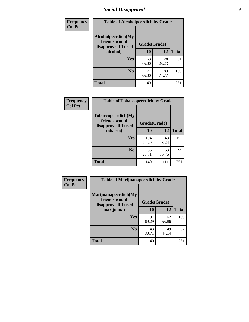# *Social Disapproval* **6**

| Frequency      | <b>Table of Alcoholpeerdich by Grade</b>                    |              |             |              |  |  |  |
|----------------|-------------------------------------------------------------|--------------|-------------|--------------|--|--|--|
| <b>Col Pct</b> | Alcoholpeerdich(My<br>friends would<br>disapprove if I used | Grade(Grade) |             |              |  |  |  |
|                | alcohol)                                                    | 10           | 12          | <b>Total</b> |  |  |  |
|                | <b>Yes</b>                                                  | 63<br>45.00  | 28<br>25.23 | 91           |  |  |  |
|                | N <sub>0</sub>                                              | 77<br>55.00  | 83<br>74.77 | 160          |  |  |  |
|                | <b>Total</b>                                                | 140          | 111         | 251          |  |  |  |

| <b>Frequency</b> |
|------------------|
| <b>Col Pct</b>   |

| <b>Table of Tobaccopeerdich by Grade</b>                    |              |             |              |  |  |
|-------------------------------------------------------------|--------------|-------------|--------------|--|--|
| Tobaccopeerdich(My<br>friends would<br>disapprove if I used | Grade(Grade) |             |              |  |  |
| tobacco)                                                    | 10           | 12          | <b>Total</b> |  |  |
| Yes                                                         | 104<br>74.29 | 48<br>43.24 | 152          |  |  |
| N <sub>0</sub>                                              | 36<br>25.71  | 63<br>56.76 | 99           |  |  |
| <b>Total</b>                                                | 140          | 111         | 251          |  |  |

| <b>Frequency</b> | <b>Table of Marijuanapeerdich by Grade</b>                    |              |             |              |  |  |
|------------------|---------------------------------------------------------------|--------------|-------------|--------------|--|--|
| <b>Col Pct</b>   | Marijuanapeerdich(My<br>friends would<br>disapprove if I used | Grade(Grade) |             |              |  |  |
|                  | marijuana)                                                    | 10           | 12          | <b>Total</b> |  |  |
|                  | <b>Yes</b>                                                    | 97<br>69.29  | 62<br>55.86 | 159          |  |  |
|                  | N <sub>0</sub>                                                | 43<br>30.71  | 49<br>44.14 | 92           |  |  |
|                  | <b>Total</b>                                                  | 140          | 111         | 251          |  |  |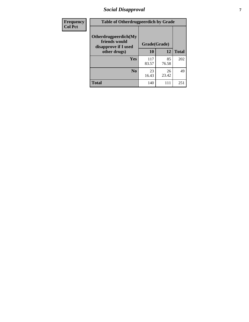# *Social Disapproval* **7**

| Frequency      | <b>Table of Otherdrugpeerdich by Grade</b>                    |              |             |              |  |  |
|----------------|---------------------------------------------------------------|--------------|-------------|--------------|--|--|
| <b>Col Pct</b> | Otherdrugpeerdich(My<br>friends would<br>disapprove if I used | Grade(Grade) |             |              |  |  |
|                | other drugs)                                                  | 10           | 12          | <b>Total</b> |  |  |
|                | Yes                                                           | 117<br>83.57 | 85<br>76.58 | 202          |  |  |
|                | N <sub>0</sub>                                                | 23<br>16.43  | 26<br>23.42 | 49           |  |  |
|                | <b>Total</b>                                                  | 140          | 111         | 251          |  |  |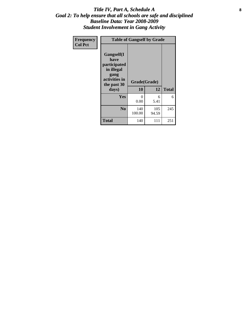#### Title IV, Part A, Schedule A **8** *Goal 2: To help ensure that all schools are safe and disciplined Baseline Data: Year 2008-2009 Student Involvement in Gang Activity*

| Frequency      | <b>Table of Gangself by Grade</b>                                                                 |                    |              |              |  |
|----------------|---------------------------------------------------------------------------------------------------|--------------------|--------------|--------------|--|
| <b>Col Pct</b> | Gangself(I<br>have<br>participated<br>in illegal<br>gang<br>activities in<br>the past 30<br>days) | Grade(Grade)<br>10 | 12           | <b>Total</b> |  |
|                | Yes                                                                                               | $\theta$<br>0.00   | 6<br>5.41    | 6            |  |
|                | N <sub>0</sub>                                                                                    | 140<br>100.00      | 105<br>94.59 | 245          |  |
|                | <b>Total</b>                                                                                      | 140                | 111          | 251          |  |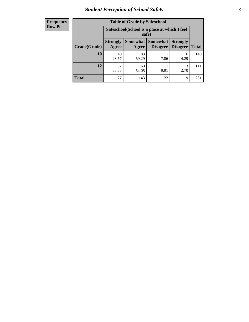# *Student Perception of School Safety* **9**

| <b>Frequency</b><br>Row Pct |
|-----------------------------|
|                             |

| <b>Table of Grade by Safeschool</b> |                          |                                                        |                             |                                    |              |  |
|-------------------------------------|--------------------------|--------------------------------------------------------|-----------------------------|------------------------------------|--------------|--|
|                                     |                          | Safeschool (School is a place at which I feel<br>safe) |                             |                                    |              |  |
| Grade(Grade)                        | <b>Strongly</b><br>Agree | Somewhat<br>Agree                                      | <b>Somewhat</b><br>Disagree | <b>Strongly</b><br><b>Disagree</b> | <b>Total</b> |  |
| <b>10</b>                           | 40<br>28.57              | 83<br>59.29                                            | 11<br>7.86                  | 6<br>4.29                          | 140          |  |
| 12                                  | 37<br>33.33              | 60<br>54.05                                            | 11<br>9.91                  | 3<br>2.70                          | 111          |  |
| <b>Total</b>                        | 77                       | 143                                                    | 22                          | 9                                  | 251          |  |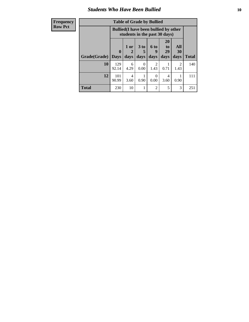#### *Students Who Have Been Bullied* **10**

| <b>Frequency</b> | <b>Table of Grade by Bullied</b> |                                                                               |           |                 |                |                       |           |              |
|------------------|----------------------------------|-------------------------------------------------------------------------------|-----------|-----------------|----------------|-----------------------|-----------|--------------|
| <b>Row Pct</b>   |                                  | <b>Bullied</b> (I have been bullied by other<br>students in the past 30 days) |           |                 |                |                       |           |              |
|                  |                                  | $\mathbf{0}$                                                                  | 1 or<br>2 | 3 <sub>to</sub> | 6 to<br>9      | <b>20</b><br>to<br>29 | All<br>30 |              |
|                  | Grade(Grade)                     | <b>Days</b>                                                                   | days      | days            | days           | days                  | days      | <b>Total</b> |
|                  | 10                               | 129<br>92.14                                                                  | 6<br>4.29 | 0<br>0.00       | 2<br>1.43      | 0.71                  | 2<br>1.43 | 140          |
|                  | 12                               | 101<br>90.99                                                                  | 4<br>3.60 | 0.90            | 0<br>0.00      | 4<br>3.60             | 0.90      | 111          |
|                  | <b>Total</b>                     | 230                                                                           | 10        |                 | $\mathfrak{D}$ | 5                     | 3         | 251          |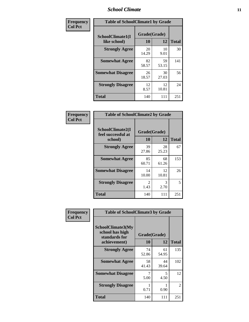### *School Climate* **11**

| Frequency      | <b>Table of SchoolClimate1 by Grade</b> |                    |             |              |  |  |
|----------------|-----------------------------------------|--------------------|-------------|--------------|--|--|
| <b>Col Pct</b> | SchoolClimate1(I<br>like school)        | Grade(Grade)<br>10 | 12          | <b>Total</b> |  |  |
|                | <b>Strongly Agree</b>                   | 20<br>14.29        | 10<br>9.01  | 30           |  |  |
|                | <b>Somewhat Agree</b>                   | 82<br>58.57        | 59<br>53.15 | 141          |  |  |
|                | <b>Somewhat Disagree</b>                | 26<br>18.57        | 30<br>27.03 | 56           |  |  |
|                | <b>Strongly Disagree</b>                | 12<br>8.57         | 12<br>10.81 | 24           |  |  |
|                | <b>Total</b>                            | 140                | 111         | 251          |  |  |

| <b>Frequency</b> |
|------------------|
| <b>Col Pct</b>   |

| <b>Table of SchoolClimate2 by Grade</b>           |                       |                       |              |  |
|---------------------------------------------------|-----------------------|-----------------------|--------------|--|
| SchoolClimate2(I<br>feel successful at<br>school) | Grade(Grade)<br>10    | 12                    | <b>Total</b> |  |
| <b>Strongly Agree</b>                             | 39<br>27.86           | 28<br>25.23           | 67           |  |
| <b>Somewhat Agree</b>                             | 85<br>60.71           | 68<br>61.26           | 153          |  |
| <b>Somewhat Disagree</b>                          | 14<br>10.00           | 12<br>10.81           | 26           |  |
| <b>Strongly Disagree</b>                          | $\mathcal{L}$<br>1.43 | $\mathcal{R}$<br>2.70 | 5            |  |
| Total                                             | 140                   | 111                   | 251          |  |

| Frequency      | <b>Table of SchoolClimate3 by Grade</b>                               |                    |             |               |  |
|----------------|-----------------------------------------------------------------------|--------------------|-------------|---------------|--|
| <b>Col Pct</b> | SchoolClimate3(My<br>school has high<br>standards for<br>achievement) | Grade(Grade)<br>10 | 12          | <b>Total</b>  |  |
|                | <b>Strongly Agree</b>                                                 | 74                 | 61          | 135           |  |
|                |                                                                       | 52.86              | 54.95       |               |  |
|                | <b>Somewhat Agree</b>                                                 | 58<br>41.43        | 44<br>39.64 | 102           |  |
|                | <b>Somewhat Disagree</b>                                              | 5.00               | 5<br>4.50   | 12            |  |
|                | <b>Strongly Disagree</b>                                              | 0.71               | 0.90        | $\mathcal{L}$ |  |
|                | <b>Total</b>                                                          | 140                | 111         | 251           |  |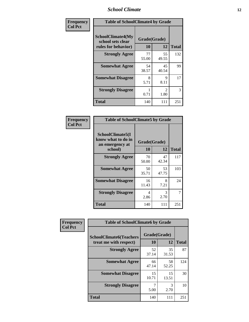### *School Climate* **12**

| Frequency      | <b>Table of SchoolClimate4 by Grade</b>                              |                    |                       |              |
|----------------|----------------------------------------------------------------------|--------------------|-----------------------|--------------|
| <b>Col Pct</b> | <b>SchoolClimate4(My</b><br>school sets clear<br>rules for behavior) | Grade(Grade)<br>10 | 12                    | <b>Total</b> |
|                | <b>Strongly Agree</b>                                                | 77<br>55.00        | 55<br>49.55           | 132          |
|                | <b>Somewhat Agree</b>                                                | 54<br>38.57        | 45<br>40.54           | 99           |
|                | <b>Somewhat Disagree</b>                                             | 8<br>5.71          | 9<br>8.11             | 17           |
|                | <b>Strongly Disagree</b>                                             | 0.71               | $\mathcal{L}$<br>1.80 | 3            |
|                | Total                                                                | 140                | 111                   | 251          |

| <b>Table of SchoolClimate5 by Grade</b>                              |                    |             |              |  |
|----------------------------------------------------------------------|--------------------|-------------|--------------|--|
| SchoolClimate5(I<br>know what to do in<br>an emergency at<br>school) | Grade(Grade)<br>10 | 12          | <b>Total</b> |  |
| <b>Strongly Agree</b>                                                | 70<br>50.00        | 47<br>42.34 | 117          |  |
| <b>Somewhat Agree</b>                                                | 50<br>35.71        | 53<br>47.75 | 103          |  |
| <b>Somewhat Disagree</b>                                             | 16<br>11.43        | 8<br>7.21   | 24           |  |
| <b>Strongly Disagree</b>                                             | 4<br>2.86          | 3<br>2.70   | 7            |  |
| Total                                                                | 140                | 111         | 251          |  |

| Frequency      | <b>Table of SchoolClimate6 by Grade</b>                  |                    |             |              |
|----------------|----------------------------------------------------------|--------------------|-------------|--------------|
| <b>Col Pct</b> | <b>SchoolClimate6(Teachers</b><br>treat me with respect) | Grade(Grade)<br>10 | 12          | <b>Total</b> |
|                | <b>Strongly Agree</b>                                    | 52<br>37.14        | 35<br>31.53 | 87           |
|                | <b>Somewhat Agree</b>                                    | 66<br>47.14        | 58<br>52.25 | 124          |
|                | <b>Somewhat Disagree</b>                                 | 15<br>10.71        | 15<br>13.51 | 30           |
|                | <b>Strongly Disagree</b>                                 | 5.00               | 3<br>2.70   | 10           |
|                | <b>Total</b>                                             | 140                | 111         | 251          |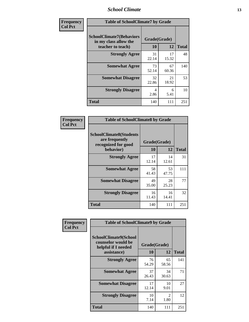### *School Climate* **13**

| Frequency      | <b>Table of SchoolClimate7 by Grade</b>                                       |                           |             |              |
|----------------|-------------------------------------------------------------------------------|---------------------------|-------------|--------------|
| <b>Col Pct</b> | <b>SchoolClimate7(Behaviors</b><br>in my class allow the<br>teacher to teach) | Grade(Grade)<br><b>10</b> | 12          | <b>Total</b> |
|                | <b>Strongly Agree</b>                                                         | 31<br>22.14               | 17<br>15.32 | 48           |
|                | <b>Somewhat Agree</b>                                                         | 73<br>52.14               | 67<br>60.36 | 140          |
|                | <b>Somewhat Disagree</b>                                                      | 32<br>22.86               | 21<br>18.92 | 53           |
|                | <b>Strongly Disagree</b>                                                      | 4<br>2.86                 | 6<br>5.41   | 10           |
|                | <b>Total</b>                                                                  | 140                       | 111         | 251          |

| Frequency      | <b>Table of SchoolClimate8 by Grade</b>                                              |                    |             |              |
|----------------|--------------------------------------------------------------------------------------|--------------------|-------------|--------------|
| <b>Col Pct</b> | <b>SchoolClimate8(Students</b><br>are frequently<br>recognized for good<br>behavior) | Grade(Grade)<br>10 | 12          | <b>Total</b> |
|                | <b>Strongly Agree</b>                                                                | 17<br>12.14        | 14<br>12.61 | 31           |
|                | <b>Somewhat Agree</b>                                                                | 58<br>41.43        | 53<br>47.75 | 111          |
|                | <b>Somewhat Disagree</b>                                                             | 49<br>35.00        | 28<br>25.23 | 77           |
|                | <b>Strongly Disagree</b>                                                             | 16<br>11.43        | 16<br>14.41 | 32           |
|                | <b>Total</b>                                                                         | 140                | 111         | 251          |

| Frequency      | <b>Table of SchoolClimate9 by Grade</b>                                           |                    |                        |              |
|----------------|-----------------------------------------------------------------------------------|--------------------|------------------------|--------------|
| <b>Col Pct</b> | SchoolClimate9(School<br>counselor would be<br>helpful if I needed<br>assistance) | Grade(Grade)<br>10 | 12                     | <b>Total</b> |
|                | <b>Strongly Agree</b>                                                             | 76<br>54.29        | 65<br>58.56            | 141          |
|                | <b>Somewhat Agree</b>                                                             | 37<br>26.43        | 34<br>30.63            | 71           |
|                | <b>Somewhat Disagree</b>                                                          | 17<br>12.14        | 10<br>9.01             | 27           |
|                | <b>Strongly Disagree</b>                                                          | 10<br>7.14         | $\mathfrak{D}$<br>1.80 | 12           |
|                | <b>Total</b>                                                                      | 140                | 111                    | 251          |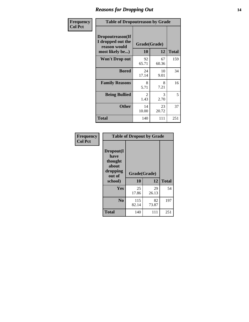### *Reasons for Dropping Out* **14**

| <b>Frequency</b> | <b>Table of Dropoutreason by Grade</b>                                   |                    |             |              |
|------------------|--------------------------------------------------------------------------|--------------------|-------------|--------------|
| <b>Col Pct</b>   | Dropoutreason(If<br>I dropped out the<br>reason would<br>most likely be) | Grade(Grade)<br>10 | 12          | <b>Total</b> |
|                  | <b>Won't Drop out</b>                                                    | 92<br>65.71        | 67<br>60.36 | 159          |
|                  | <b>Bored</b>                                                             | 24<br>17.14        | 10<br>9.01  | 34           |
|                  | <b>Family Reasons</b>                                                    | 8<br>5.71          | 8<br>7.21   | 16           |
|                  | <b>Being Bullied</b>                                                     | 2<br>1.43          | 3<br>2.70   | 5            |
|                  | <b>Other</b>                                                             | 14<br>10.00        | 23<br>20.72 | 37           |
|                  | <b>Total</b>                                                             | 140                | 111         | 251          |

| Frequency<br><b>Col Pct</b> | <b>Table of Dropout by Grade</b>                                       |                    |             |              |  |
|-----------------------------|------------------------------------------------------------------------|--------------------|-------------|--------------|--|
|                             | Dropout(I<br>have<br>thought<br>about<br>dropping<br>out of<br>school) | Grade(Grade)<br>10 | 12          | <b>Total</b> |  |
|                             |                                                                        |                    |             |              |  |
|                             | Yes                                                                    | 25                 | 29          | 54           |  |
|                             |                                                                        | 17.86              | 26.13       |              |  |
|                             | N <sub>0</sub>                                                         | 115<br>82.14       | 82<br>73.87 | 197          |  |
|                             | <b>Total</b>                                                           | 140                | 111         | 251          |  |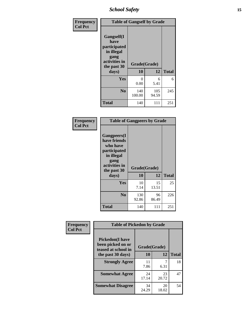*School Safety* **15**

| Frequency      | <b>Table of Gangself by Grade</b>                                                                         |                    |              |              |
|----------------|-----------------------------------------------------------------------------------------------------------|--------------------|--------------|--------------|
| <b>Col Pct</b> | <b>Gangself</b> (I<br>have<br>participated<br>in illegal<br>gang<br>activities in<br>the past 30<br>days) | Grade(Grade)<br>10 | 12           | <b>Total</b> |
|                | Yes                                                                                                       | 0<br>0.00          | 6<br>5.41    | 6            |
|                | N <sub>0</sub>                                                                                            | 140<br>100.00      | 105<br>94.59 | 245          |
|                | <b>Total</b>                                                                                              | 140                | 111          | 251          |

| Frequency<br><b>Col Pct</b> | <b>Table of Gangpeers by Grade</b>                                                                                             |                    |             |              |
|-----------------------------|--------------------------------------------------------------------------------------------------------------------------------|--------------------|-------------|--------------|
|                             | <b>Gangpeers</b> (I<br>have friends<br>who have<br>participated<br>in illegal<br>gang<br>activities in<br>the past 30<br>days) | Grade(Grade)<br>10 | 12          | <b>Total</b> |
|                             | <b>Yes</b>                                                                                                                     | 10<br>7.14         | 15<br>13.51 | 25           |
|                             | N <sub>0</sub>                                                                                                                 | 130<br>92.86       | 96<br>86.49 | 226          |
|                             | <b>Total</b>                                                                                                                   | 140                | 111         | 251          |

| Frequency      |                                                                    | <b>Table of Pickedon by Grade</b> |             |              |  |  |  |  |  |  |  |
|----------------|--------------------------------------------------------------------|-----------------------------------|-------------|--------------|--|--|--|--|--|--|--|
| <b>Col Pct</b> | <b>Pickedon(I have</b><br>been picked on or<br>teased at school in | Grade(Grade)                      |             |              |  |  |  |  |  |  |  |
|                | the past 30 days)                                                  | <b>10</b>                         | 12          | <b>Total</b> |  |  |  |  |  |  |  |
|                | <b>Strongly Agree</b>                                              | 11<br>7.86                        | 6.31        | 18           |  |  |  |  |  |  |  |
|                | <b>Somewhat Agree</b>                                              | 24<br>17.14                       | 23<br>20.72 | 47           |  |  |  |  |  |  |  |
|                | <b>Somewhat Disagree</b>                                           | 34<br>24.29                       | 20<br>18.02 | 54           |  |  |  |  |  |  |  |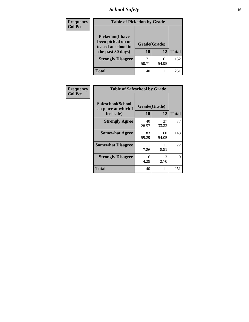# *School Safety* **16**

| <b>Frequency</b> |                                                                                          | <b>Table of Pickedon by Grade</b> |             |                 |  |  |  |  |  |  |
|------------------|------------------------------------------------------------------------------------------|-----------------------------------|-------------|-----------------|--|--|--|--|--|--|
| <b>Col Pct</b>   | <b>Pickedon</b> (I have<br>been picked on or<br>teased at school in<br>the past 30 days) | Grade(Grade)<br>10                | 12          | <b>Total</b>    |  |  |  |  |  |  |
|                  | <b>Strongly Disagree</b>                                                                 | 71<br>50.71                       | 61<br>54.95 | 132             |  |  |  |  |  |  |
|                  | Total                                                                                    | 140                               | 111         | 25 <sup>2</sup> |  |  |  |  |  |  |

| Frequency      |                                                          | <b>Table of Safeschool by Grade</b> |              |     |  |  |  |  |  |  |  |
|----------------|----------------------------------------------------------|-------------------------------------|--------------|-----|--|--|--|--|--|--|--|
| <b>Col Pct</b> | Safeschool(School<br>is a place at which I<br>feel safe) | Grade(Grade)<br>10                  | <b>Total</b> |     |  |  |  |  |  |  |  |
|                | <b>Strongly Agree</b>                                    | 40<br>28.57                         | 37<br>33.33  | 77  |  |  |  |  |  |  |  |
|                | <b>Somewhat Agree</b>                                    | 83<br>59.29                         | 60<br>54.05  | 143 |  |  |  |  |  |  |  |
|                | <b>Somewhat Disagree</b>                                 | 11<br>7.86                          | 11<br>9.91   | 22  |  |  |  |  |  |  |  |
|                | <b>Strongly Disagree</b>                                 | 6<br>4.29                           | 3<br>2.70    | 9   |  |  |  |  |  |  |  |
|                | <b>Total</b>                                             | 140                                 | 111          | 251 |  |  |  |  |  |  |  |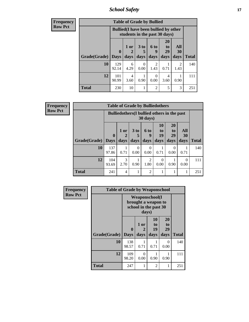*School Safety* **17**

| <b>Frequency</b> | <b>Table of Grade by Bullied</b> |                                                                               |           |                      |                        |                       |           |              |  |  |  |
|------------------|----------------------------------|-------------------------------------------------------------------------------|-----------|----------------------|------------------------|-----------------------|-----------|--------------|--|--|--|
| <b>Row Pct</b>   |                                  | <b>Bullied</b> (I have been bullied by other<br>students in the past 30 days) |           |                      |                        |                       |           |              |  |  |  |
|                  |                                  | $\mathbf 0$                                                                   | 1 or      | 3 <sub>to</sub><br>5 | <b>6 to</b><br>9       | <b>20</b><br>to<br>29 | All<br>30 |              |  |  |  |
|                  | Grade(Grade)                     | <b>Days</b>                                                                   | days      | days                 | days                   | days                  | days      | <b>Total</b> |  |  |  |
|                  | 10                               | 129<br>92.14                                                                  | 6<br>4.29 | $\Omega$<br>0.00     | $\mathfrak{D}$<br>1.43 | 0.71                  | 2<br>1.43 | 140          |  |  |  |
|                  | 12                               | 101<br>90.99                                                                  | 4<br>3.60 | 0.90                 | $\Omega$<br>0.00       | 4<br>3.60             | 0.90      | 111          |  |  |  |
|                  | <b>Total</b>                     | 230                                                                           | 10        |                      | $\overline{2}$         | 5                     | 3         | 251          |  |  |  |

| Frequency      |                     |                                                                         |                | <b>Table of Grade by Bulliedothers</b> |                                     |                       |                       |                  |              |
|----------------|---------------------|-------------------------------------------------------------------------|----------------|----------------------------------------|-------------------------------------|-----------------------|-----------------------|------------------|--------------|
| <b>Row Pct</b> |                     | <b>Bulliedothers</b> (I bullied others in the past<br>$30 \text{ days}$ |                |                                        |                                     |                       |                       |                  |              |
|                |                     | $\mathbf{0}$                                                            | $1$ or         | 3 to<br>5                              | 6 to<br>9                           | <b>10</b><br>to<br>19 | <b>20</b><br>to<br>29 | <b>All</b><br>30 |              |
|                | Grade(Grade)   Days |                                                                         | days           | days                                   | days                                | days                  | days                  | days             | <b>Total</b> |
|                | 10                  | 137<br>97.86                                                            | 0.71           | 0<br>0.00                              | $\Omega$<br>0.00                    | 0.71                  | 0<br>0.00             | 0.71             | 140          |
|                | 12                  | 104<br>93.69                                                            | 3<br>2.70      | 0.90                                   | $\mathcal{D}_{\mathcal{L}}$<br>1.80 | $\Omega$<br>0.00      | 0.90                  | $\Omega$<br>0.00 | 111          |
|                | <b>Total</b>        | 241                                                                     | $\overline{4}$ |                                        | $\mathfrak{D}$                      |                       |                       | 1                | 251          |

| Frequency      |              | <b>Table of Grade by Weaponschool</b> |                   |                                                                        |                        |              |  |  |  |  |  |  |
|----------------|--------------|---------------------------------------|-------------------|------------------------------------------------------------------------|------------------------|--------------|--|--|--|--|--|--|
| <b>Row Pct</b> |              |                                       | days)             | <b>Weaponschool</b> (I<br>brought a weapon to<br>school in the past 30 |                        |              |  |  |  |  |  |  |
|                | Grade(Grade) | $\bf{0}$<br><b>Days</b>               | 1 or<br>2<br>days | <b>10</b><br>to<br>19<br>days                                          | 20<br>to<br>29<br>days | <b>Total</b> |  |  |  |  |  |  |
|                | 10           | 138<br>98.57                          | 0.71              | 0.71                                                                   | $\Omega$<br>0.00       | 140          |  |  |  |  |  |  |
|                | 12           | 109<br>98.20                          | 0<br>0.00         | 0.90                                                                   | 0.90                   | 111          |  |  |  |  |  |  |
|                | <b>Total</b> | 247                                   |                   | 2                                                                      |                        | 251          |  |  |  |  |  |  |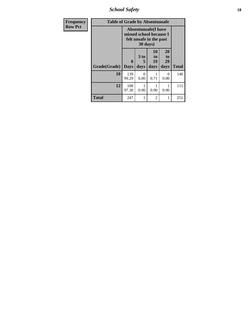*School Safety* **18**

| <b>Frequency</b> | <b>Table of Grade by Absentunsafe</b> |                                                                                  |                              |                        |                        |              |
|------------------|---------------------------------------|----------------------------------------------------------------------------------|------------------------------|------------------------|------------------------|--------------|
| <b>Row Pct</b>   |                                       | <b>Absentunsafe(I have</b><br>missed school because I<br>felt unsafe in the past |                              |                        |                        |              |
|                  | Grade(Grade)                          | 0<br><b>Days</b>                                                                 | 3 <sub>to</sub><br>5<br>days | 10<br>to<br>19<br>days | 20<br>to<br>29<br>days | <b>Total</b> |
|                  | 10                                    | 139<br>99.29                                                                     | 0<br>0.00                    | 0.71                   | 0<br>0.00              | 140          |
|                  | 12                                    | 108<br>97.30                                                                     | 0.90                         | 0.90                   | 0.90                   | 111          |
|                  | <b>Total</b>                          | 247                                                                              |                              | $\overline{c}$         | 1                      | 251          |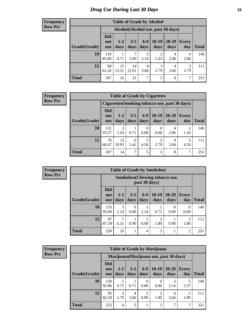#### **Frequency Row Pct**

| <b>Table of Grade by Alcohol</b> |                                 |                                    |                 |               |                 |                   |              |              |  |  |  |
|----------------------------------|---------------------------------|------------------------------------|-----------------|---------------|-----------------|-------------------|--------------|--------------|--|--|--|
|                                  |                                 | Alcohol(Alcohol use, past 30 days) |                 |               |                 |                   |              |              |  |  |  |
| Grade(Grade)                     | <b>Did</b><br>not<br><b>use</b> | $1-2$<br>days                      | $3 - 5$<br>days | $6-9$<br>days | $10-19$<br>days | $20 - 29$<br>days | Every<br>day | <b>Total</b> |  |  |  |
| 10                               | 119<br>85.00                    | 0.71                               | 7<br>5.00       | 3<br>2.14     | 2<br>1.43       | 4<br>2.86         | 4<br>2.86    | 140          |  |  |  |
| 12                               | 68<br>61.26                     | 15<br>13.51                        | 14<br>12.61     | 4<br>3.60     | 3<br>2.70       | 4<br>3.60         | 3<br>2.70    | 111          |  |  |  |
| <b>Total</b>                     | 187                             | 16                                 | 21              | 7             | 5               | 8                 | 7            | 251          |  |  |  |

#### **Frequency Row Pct**

| <b>Table of Grade by Cigarettes</b> |                          |                                                |                 |               |                 |                   |                        |       |  |  |
|-------------------------------------|--------------------------|------------------------------------------------|-----------------|---------------|-----------------|-------------------|------------------------|-------|--|--|
|                                     |                          | Cigarettes (Smoking tobacco use, past 30 days) |                 |               |                 |                   |                        |       |  |  |
| Grade(Grade)                        | Did<br>not<br><b>use</b> | $1-2$<br>days                                  | $3 - 5$<br>days | $6-9$<br>days | $10-19$<br>days | $20 - 29$<br>days | <b>Every</b><br>day    | Total |  |  |
| 10                                  | 131<br>93.57             | $\overline{2}$<br>1.43                         | 0.71            | 0<br>0.00     | 0<br>0.00       | 4<br>2.86         | $\mathfrak{D}$<br>1.43 | 140   |  |  |
| 12                                  | 76<br>68.47              | 12<br>10.81                                    | 6<br>5.41       | 5<br>4.50     | 3<br>2.70       | 4<br>3.60         | 5<br>4.50              | 111   |  |  |
| <b>Total</b>                        | 207                      | 14                                             | 7               | 5             | 3               | 8                 | 7                      | 251   |  |  |

**Frequency Row Pct**

| <b>Table of Grade by Smokeless</b> |              |                                 |                                                        |                 |                 |                        |                   |                        |       |  |
|------------------------------------|--------------|---------------------------------|--------------------------------------------------------|-----------------|-----------------|------------------------|-------------------|------------------------|-------|--|
|                                    |              |                                 | <b>Smokeless</b> (Chewing tobaccouse,<br>past 30 days) |                 |                 |                        |                   |                        |       |  |
|                                    | Grade(Grade) | <b>Did</b><br>not<br><b>use</b> | $1 - 2$<br>days                                        | $3 - 5$<br>days | $6 - 9$<br>days | $10-19$<br>days        | $20 - 29$<br>days | Every<br>day           | Total |  |
|                                    | 10           | 133<br>95.00                    | 3<br>2.14                                              | 0<br>0.00       | 3<br>2.14       | 0.71                   | $\Omega$<br>0.00  | 0<br>0.00              | 140   |  |
|                                    | 12           | 97<br>87.39                     | 7<br>6.31                                              | 0.90            | 0.90            | $\overline{c}$<br>1.80 | 0.90              | $\mathfrak{D}$<br>1.80 | 111   |  |
|                                    | <b>Total</b> | 230                             | 10                                                     |                 | 4               | 3                      |                   | 2                      | 251   |  |

**Frequency Row Pct**

| <b>Table of Grade by Marijuana</b> |                                 |                                         |                 |               |                        |                   |              |              |  |
|------------------------------------|---------------------------------|-----------------------------------------|-----------------|---------------|------------------------|-------------------|--------------|--------------|--|
|                                    |                                 | Marijuana (Marijuana use, past 30 days) |                 |               |                        |                   |              |              |  |
| Grade(Grade)                       | <b>Did</b><br>not<br><b>use</b> | $1-2$<br>days                           | $3 - 5$<br>days | $6-9$<br>days | $10-19$<br>days        | $20 - 29$<br>days | Every<br>day | <b>Total</b> |  |
| 10                                 | 130<br>92.86                    | 0.71                                    | 0.71            | 0<br>0.00     | 0<br>0.00              | 3<br>2.14         | 5<br>3.57    | 140          |  |
| 12                                 | 95<br>85.59                     | 3<br>2.70                               | 4<br>3.60       | 0.90          | $\overline{2}$<br>1.80 | 4<br>3.60         | 2<br>1.80    | 111          |  |
| <b>Total</b>                       | 225                             | 4                                       | 5               |               | $\overline{2}$         |                   | 7            | 251          |  |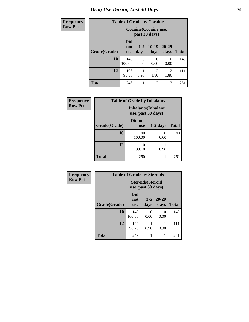# *Drug Use During Last 30 Days* 20

| <b>Frequency</b> |              | <b>Table of Grade by Cocaine</b> |                                        |                        |                        |              |  |  |  |  |
|------------------|--------------|----------------------------------|----------------------------------------|------------------------|------------------------|--------------|--|--|--|--|
| <b>Row Pct</b>   |              |                                  | Cocaine (Cocaine use,<br>past 30 days) |                        |                        |              |  |  |  |  |
|                  | Grade(Grade) | Did<br>not<br><b>use</b>         | $1 - 2$<br>days                        | $10-19$<br>days        | $20 - 29$<br>days      | <b>Total</b> |  |  |  |  |
|                  | 10           | 140<br>100.00                    | 0<br>0.00                              | ∩<br>0.00              | 0<br>0.00              | 140          |  |  |  |  |
|                  | 12           | 106<br>95.50                     | 0.90                                   | $\mathfrak{D}$<br>1.80 | $\mathfrak{D}$<br>1.80 | 111          |  |  |  |  |
|                  | <b>Total</b> | 246                              | 1                                      | $\overline{c}$         | $\overline{c}$         | 251          |  |  |  |  |

| Frequency      | <b>Table of Grade by Inhalants</b> |                                                  |            |              |  |  |
|----------------|------------------------------------|--------------------------------------------------|------------|--------------|--|--|
| <b>Row Pct</b> |                                    | <b>Inhalants</b> (Inhalant<br>use, past 30 days) |            |              |  |  |
|                | Grade(Grade)                       | Did not<br><b>use</b>                            | $1-2$ days | <b>Total</b> |  |  |
|                | 10                                 | 140<br>100.00                                    | 0<br>0.00  | 140          |  |  |
|                | 12                                 | 110<br>99.10                                     | 0.90       | 111          |  |  |
|                | <b>Total</b>                       | 250                                              |            | 251          |  |  |

| Frequency      | <b>Table of Grade by Steroids</b> |                          |                                                |                           |              |  |  |
|----------------|-----------------------------------|--------------------------|------------------------------------------------|---------------------------|--------------|--|--|
| <b>Row Pct</b> |                                   |                          | <b>Steroids</b> (Steroid<br>use, past 30 days) |                           |              |  |  |
|                | Grade(Grade)                      | Did<br>not<br><b>use</b> | $3 - 5$<br>days                                | 20-29<br>days             | <b>Total</b> |  |  |
|                | 10                                | 140<br>100.00            | 0<br>0.00                                      | $\mathbf{\Omega}$<br>0.00 | 140          |  |  |
|                | 12                                | 109<br>98.20             | 0.90                                           | 0.90                      | 111          |  |  |
|                | <b>Total</b>                      | 249                      | 1                                              |                           | 251          |  |  |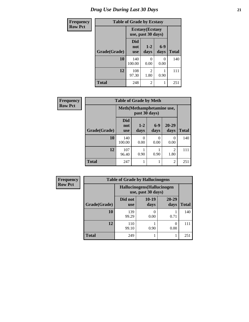| <b>Frequency</b> | <b>Table of Grade by Ecstasy</b> |                                               |                        |               |              |  |
|------------------|----------------------------------|-----------------------------------------------|------------------------|---------------|--------------|--|
| <b>Row Pct</b>   |                                  | <b>Ecstasy</b> (Ecstasy<br>use, past 30 days) |                        |               |              |  |
|                  | Grade(Grade)                     | <b>Did</b><br>not<br><b>use</b>               | $1 - 2$<br>days        | $6-9$<br>days | <b>Total</b> |  |
|                  | 10                               | 140<br>100.00                                 | 0<br>0.00              | 0<br>0.00     | 140          |  |
|                  | 12                               | 108<br>97.30                                  | $\mathfrak{D}$<br>1.80 | 0.90          | 111          |  |
|                  | Total                            | 248                                           | $\mathfrak{D}$         |               | 251          |  |

| <b>Frequency</b> | <b>Table of Grade by Meth</b> |                                            |                 |               |                   |              |  |
|------------------|-------------------------------|--------------------------------------------|-----------------|---------------|-------------------|--------------|--|
| <b>Row Pct</b>   |                               | Meth(Methamphetamine use,<br>past 30 days) |                 |               |                   |              |  |
|                  | Grade(Grade)                  | <b>Did</b><br>not<br><b>use</b>            | $1 - 2$<br>days | $6-9$<br>days | $20 - 29$<br>days | <b>Total</b> |  |
|                  | 10                            | 140<br>100.00                              | 0<br>0.00       | 0<br>0.00     | $\Omega$<br>0.00  | 140          |  |
|                  | 12                            | 107<br>96.40                               | 0.90            | 0.90          | 2<br>1.80         | 111          |  |
|                  | <b>Total</b>                  | 247                                        | 1               |               | $\overline{2}$    | 251          |  |

| <b>Frequency</b> | <b>Table of Grade by Hallucinogens</b>            |                       |                 |               |              |  |
|------------------|---------------------------------------------------|-----------------------|-----------------|---------------|--------------|--|
| <b>Row Pct</b>   | Hallucinogens (Hallucinogen<br>use, past 30 days) |                       |                 |               |              |  |
|                  | Grade(Grade)                                      | Did not<br><b>use</b> | $10-19$<br>days | 20-29<br>days | <b>Total</b> |  |
|                  | 10                                                | 139<br>99.29          | 0.00            | 0.71          | 140          |  |
|                  | 12                                                | 110<br>99.10          | 0.90            | 0<br>0.00     | 111          |  |
|                  | Total                                             | 249                   |                 |               | 251          |  |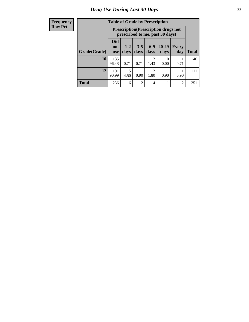#### **Frequency Row Pct**

| <b>Table of Grade by Prescription</b>                                            |                                 |                                                                                |                 |                                     |                      |                     |              |  |
|----------------------------------------------------------------------------------|---------------------------------|--------------------------------------------------------------------------------|-----------------|-------------------------------------|----------------------|---------------------|--------------|--|
|                                                                                  |                                 | <b>Prescription</b> (Prescription drugs not<br>prescribed to me, past 30 days) |                 |                                     |                      |                     |              |  |
| Grade(Grade)                                                                     | <b>Did</b><br>not<br><b>use</b> | $1 - 2$<br>days                                                                | $3 - 5$<br>days | $6 - 9$<br>days                     | 20-29<br>days        | <b>Every</b><br>day | <b>Total</b> |  |
| 10                                                                               | 135<br>96.43                    | 0.71                                                                           | 0.71            | $\mathcal{D}_{\mathcal{A}}$<br>1.43 | $\mathbf{0}$<br>0.00 | 0.71                | 140          |  |
| 12<br>5<br>101<br>$\mathcal{D}$<br>90.99<br>0.90<br>1.80<br>0.90<br>4.50<br>0.90 |                                 |                                                                                |                 |                                     |                      |                     | 111          |  |
| <b>Total</b>                                                                     | 236                             | 6                                                                              | $\overline{2}$  | 4                                   |                      | $\overline{c}$      | 251          |  |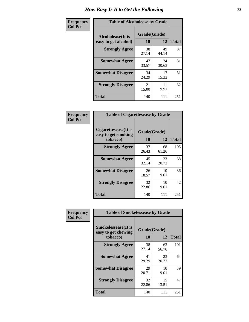| Frequency      | <b>Table of Alcoholease by Grade</b>              |                    |             |              |  |
|----------------|---------------------------------------------------|--------------------|-------------|--------------|--|
| <b>Col Pct</b> | <b>Alcoholease</b> (It is<br>easy to get alcohol) | Grade(Grade)<br>10 | 12          | <b>Total</b> |  |
|                | <b>Strongly Agree</b>                             | 38<br>27.14        | 49<br>44.14 | 87           |  |
|                | <b>Somewhat Agree</b>                             | 47<br>33.57        | 34<br>30.63 | 81           |  |
|                | <b>Somewhat Disagree</b>                          | 34<br>24.29        | 17<br>15.32 | 51           |  |
|                | <b>Strongly Disagree</b>                          | 21<br>15.00        | 11<br>9.91  | 32           |  |
|                | <b>Total</b>                                      | 140                | 111         | 251          |  |

| Frequency      | <b>Table of Cigarettesease by Grade</b>                 |                    |             |              |
|----------------|---------------------------------------------------------|--------------------|-------------|--------------|
| <b>Col Pct</b> | Cigarettesease(It is<br>easy to get smoking<br>tobacco) | Grade(Grade)<br>10 | 12          | <b>Total</b> |
|                | <b>Strongly Agree</b>                                   | 37<br>26.43        | 68<br>61.26 | 105          |
|                | <b>Somewhat Agree</b>                                   | 45<br>32.14        | 23<br>20.72 | 68           |
|                | <b>Somewhat Disagree</b>                                | 26<br>18.57        | 10<br>9.01  | 36           |
|                | <b>Strongly Disagree</b>                                | 32<br>22.86        | 10<br>9.01  | 42           |
|                | <b>Total</b>                                            | 140                | 111         | 251          |

| Frequency      | <b>Table of Smokelessease by Grade</b>             |              |             |              |  |  |
|----------------|----------------------------------------------------|--------------|-------------|--------------|--|--|
| <b>Col Pct</b> | <b>Smokelessease</b> (It is<br>easy to get chewing | Grade(Grade) |             |              |  |  |
|                | tobacco)                                           | 10           | 12          | <b>Total</b> |  |  |
|                | <b>Strongly Agree</b>                              | 38<br>27.14  | 63<br>56.76 | 101          |  |  |
|                | <b>Somewhat Agree</b>                              | 41<br>29.29  | 23<br>20.72 | 64           |  |  |
|                | <b>Somewhat Disagree</b>                           | 29<br>20.71  | 10<br>9.01  | 39           |  |  |
|                | <b>Strongly Disagree</b>                           | 32<br>22.86  | 15<br>13.51 | 47           |  |  |
|                | Total                                              | 140          | 111         | 251          |  |  |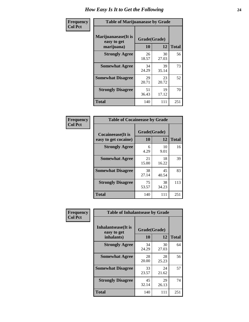| Frequency      | <b>Table of Marijuanaease by Grade</b>           |                    |             |              |  |
|----------------|--------------------------------------------------|--------------------|-------------|--------------|--|
| <b>Col Pct</b> | Marijuanaease(It is<br>easy to get<br>marijuana) | Grade(Grade)<br>10 | 12          | <b>Total</b> |  |
|                | <b>Strongly Agree</b>                            | 26<br>18.57        | 30<br>27.03 | 56           |  |
|                | <b>Somewhat Agree</b>                            | 34<br>24.29        | 39<br>35.14 | 73           |  |
|                | <b>Somewhat Disagree</b>                         | 29<br>20.71        | 23<br>20.72 | 52           |  |
|                | <b>Strongly Disagree</b>                         | 51<br>36.43        | 19<br>17.12 | 70           |  |
|                | <b>Total</b>                                     | 140                | 111         | 251          |  |

| <b>Table of Cocaineease by Grade</b>              |                    |              |     |  |  |  |
|---------------------------------------------------|--------------------|--------------|-----|--|--|--|
| <b>Cocaineease</b> (It is<br>easy to get cocaine) | Grade(Grade)<br>10 | <b>Total</b> |     |  |  |  |
| <b>Strongly Agree</b>                             | 6<br>4.29          | 10<br>9.01   | 16  |  |  |  |
| <b>Somewhat Agree</b>                             | 21<br>15.00        | 18<br>16.22  | 39  |  |  |  |
| <b>Somewhat Disagree</b>                          | 38<br>27.14        | 45<br>40.54  | 83  |  |  |  |
| <b>Strongly Disagree</b>                          | 75<br>53.57        | 38<br>34.23  | 113 |  |  |  |
| <b>Total</b>                                      | 140                | 111          | 251 |  |  |  |

| Frequency      | <b>Table of Inhalantsease by Grade</b>     |              |             |              |  |  |
|----------------|--------------------------------------------|--------------|-------------|--------------|--|--|
| <b>Col Pct</b> | <b>Inhalantsease</b> (It is<br>easy to get | Grade(Grade) |             |              |  |  |
|                | inhalants)                                 | 10           | 12          | <b>Total</b> |  |  |
|                | <b>Strongly Agree</b>                      | 34<br>24.29  | 30<br>27.03 | 64           |  |  |
|                | <b>Somewhat Agree</b>                      | 28<br>20.00  | 28<br>25.23 | 56           |  |  |
|                | <b>Somewhat Disagree</b>                   | 33<br>23.57  | 24<br>21.62 | 57           |  |  |
|                | <b>Strongly Disagree</b>                   | 45<br>32.14  | 29<br>26.13 | 74           |  |  |
|                | <b>Total</b>                               | 140          | 111         | 251          |  |  |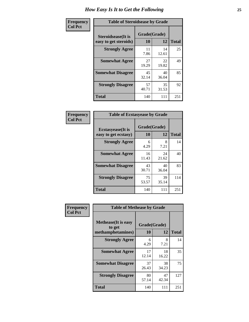| Frequency      | <b>Table of Steroidsease by Grade</b>               |                    |             |              |
|----------------|-----------------------------------------------------|--------------------|-------------|--------------|
| <b>Col Pct</b> | <b>Steroidsease</b> (It is<br>easy to get steroids) | Grade(Grade)<br>10 | 12          | <b>Total</b> |
|                | <b>Strongly Agree</b>                               | 11<br>7.86         | 14<br>12.61 | 25           |
|                | <b>Somewhat Agree</b>                               | 27<br>19.29        | 22<br>19.82 | 49           |
|                | <b>Somewhat Disagree</b>                            | 45<br>32.14        | 40<br>36.04 | 85           |
|                | <b>Strongly Disagree</b>                            | 57<br>40.71        | 35<br>31.53 | 92           |
|                | <b>Total</b>                                        | 140                | 111         | 251          |

| Frequency      | <b>Table of Ecstasyease by Grade</b>              |                           |             |              |
|----------------|---------------------------------------------------|---------------------------|-------------|--------------|
| <b>Col Pct</b> | <b>Ecstasyease</b> (It is<br>easy to get ecstasy) | Grade(Grade)<br><b>10</b> | 12          | <b>Total</b> |
|                | <b>Strongly Agree</b>                             | 6<br>4.29                 | 8<br>7.21   | 14           |
|                | <b>Somewhat Agree</b>                             | 16<br>11.43               | 24<br>21.62 | 40           |
|                | <b>Somewhat Disagree</b>                          | 43<br>30.71               | 40<br>36.04 | 83           |
|                | <b>Strongly Disagree</b>                          | 75<br>53.57               | 39<br>35.14 | 114          |
|                | <b>Total</b>                                      | 140                       | 111         | 251          |

| Frequency      | <b>Table of Methease by Grade</b>                          |                    |             |              |
|----------------|------------------------------------------------------------|--------------------|-------------|--------------|
| <b>Col Pct</b> | <b>Methease</b> (It is easy<br>to get<br>methamphetamines) | Grade(Grade)<br>10 | 12          | <b>Total</b> |
|                | <b>Strongly Agree</b>                                      | 6<br>4.29          | 8<br>7.21   | 14           |
|                | <b>Somewhat Agree</b>                                      | 17<br>12.14        | 18<br>16.22 | 35           |
|                | <b>Somewhat Disagree</b>                                   | 37<br>26.43        | 38<br>34.23 | 75           |
|                | <b>Strongly Disagree</b>                                   | 80<br>57.14        | 47<br>42.34 | 127          |
|                | <b>Total</b>                                               | 140                | 111         | 251          |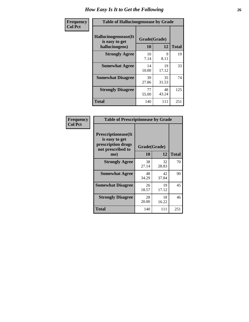| <b>Frequency</b> | <b>Table of Hallucinogensease by Grade</b>               |                    |             |              |
|------------------|----------------------------------------------------------|--------------------|-------------|--------------|
| <b>Col Pct</b>   | Hallucinogensease(It<br>is easy to get<br>hallucinogens) | Grade(Grade)<br>10 | 12          | <b>Total</b> |
|                  | <b>Strongly Agree</b>                                    | 10<br>7.14         | 9<br>8.11   | 19           |
|                  | <b>Somewhat Agree</b>                                    | 14<br>10.00        | 19<br>17.12 | 33           |
|                  | <b>Somewhat Disagree</b>                                 | 39<br>27.86        | 35<br>31.53 | 74           |
|                  | <b>Strongly Disagree</b>                                 | 77<br>55.00        | 48<br>43.24 | 125          |
|                  | <b>Total</b>                                             | 140                | 111         | 251          |

| Frequency<br>  Col Pct |
|------------------------|

| <b>Table of Prescriptionease by Grade</b>                                                |              |             |              |  |  |  |  |  |  |  |
|------------------------------------------------------------------------------------------|--------------|-------------|--------------|--|--|--|--|--|--|--|
| <b>Prescriptionease</b> (It<br>is easy to get<br>prescription drugs<br>not prescribed to | Grade(Grade) |             |              |  |  |  |  |  |  |  |
| me)                                                                                      | 10           | 12          | <b>Total</b> |  |  |  |  |  |  |  |
| <b>Strongly Agree</b>                                                                    | 38<br>27.14  | 32<br>28.83 | 70           |  |  |  |  |  |  |  |
| <b>Somewhat Agree</b>                                                                    | 48<br>34.29  | 42<br>37.84 | 90           |  |  |  |  |  |  |  |
| <b>Somewhat Disagree</b>                                                                 | 26<br>18.57  | 19<br>17.12 | 45           |  |  |  |  |  |  |  |
| <b>Strongly Disagree</b>                                                                 | 28<br>20.00  | 18<br>16.22 | 46           |  |  |  |  |  |  |  |
| Total                                                                                    | 140          | 111         | 251          |  |  |  |  |  |  |  |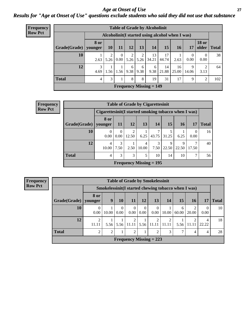#### *Age at Onset of Use* **27** *Results for "Age at Onset of Use" questions exclude students who said they did not use that substance*

| <b>Frequency</b> |                        |             |           |                               |           |           | <b>Table of Grade by Alcoholinit</b> |                                                  |             |            |                        |              |
|------------------|------------------------|-------------|-----------|-------------------------------|-----------|-----------|--------------------------------------|--------------------------------------------------|-------------|------------|------------------------|--------------|
| <b>Row Pct</b>   |                        |             |           |                               |           |           |                                      | Alcoholinit (I started using alcohol when I was) |             |            |                        |              |
|                  | Grade(Grade)   younger | <b>8 or</b> | 10        | <b>11</b>                     | 12        | 13        | 14                                   | <b>15</b>                                        | <b>16</b>   | 17         | <b>18 or</b><br>older  | <b>Total</b> |
|                  | 10                     | 2.63        | 2<br>5.26 | $\theta$<br>0.00 <sub>l</sub> | 2<br>5.26 | 2<br>5.26 | 13<br>34.21                          | 17<br>44.74                                      | 2.63        | 0.00       | $\Omega$<br>0.00       | 38           |
|                  | 12                     | 3<br>4.69   | 1.56      | 1.56                          | 6<br>9.38 | 6<br>9.38 | 6<br>9.38                            | 14<br>21.88                                      | 16<br>25.00 | 9<br>14.06 | $\overline{2}$<br>3.13 | 64           |
|                  | <b>Total</b>           | 4           | 3         |                               | 8         | 8         | 19                                   | 31                                               | 17          | 9          | $\overline{2}$         | 102          |
|                  |                        |             |           |                               |           |           | <b>Frequency Missing = 149</b>       |                                                  |             |            |                        |              |

| <b>Frequency</b> |              |                                                      |      |       |            | <b>Table of Grade by Cigarettesinit</b> |            |                      |                          |              |
|------------------|--------------|------------------------------------------------------|------|-------|------------|-----------------------------------------|------------|----------------------|--------------------------|--------------|
| <b>Row Pct</b>   |              | Cigarettesinit(I started smoking tobacco when I was) |      |       |            |                                         |            |                      |                          |              |
|                  | Grade(Grade) | 8 or<br>younger                                      | -11  | 12    | 13         | 14                                      | 15         | <b>16</b>            | 17                       | <b>Total</b> |
|                  | 10           | $\theta$<br>0.00                                     | 0.00 | 12.50 | 6.25       | 43.75                                   | 31.25      | 6.25                 | $\left( \right)$<br>0.00 | 16           |
|                  | 12           | 4<br>10.00                                           | 7.50 | 2.50  | 4<br>10.00 | 7.50                                    | 9<br>22.50 | $\mathbf Q$<br>22.50 | 17.50                    | 40           |
|                  | <b>Total</b> | 4                                                    | 3    | 3     | 5          | 10                                      | 14         | 10                   | 7                        | 56           |
|                  |              |                                                      |      |       |            | Frequency Missing $= 195$               |            |                      |                          |              |

**Frequency Row Pct**

|                        | <b>Table of Grade by Smokelessinit</b> |                                                     |                  |                  |                  |                                |       |            |            |                  |              |  |
|------------------------|----------------------------------------|-----------------------------------------------------|------------------|------------------|------------------|--------------------------------|-------|------------|------------|------------------|--------------|--|
|                        |                                        | Smokelessinit(I started chewing tobacco when I was) |                  |                  |                  |                                |       |            |            |                  |              |  |
| Grade(Grade)   younger | 8 or                                   | 9                                                   | 10               | <b>11</b>        | <b>12</b>        | 13                             | 14    | 15         | <b>16</b>  | 17               | <b>Total</b> |  |
| 10                     | $\Omega$<br>0.00                       | 10.00                                               | $\Omega$<br>0.00 | $\Omega$<br>0.00 | $\theta$<br>0.00 | $\Omega$<br>0.00               | 10.00 | 6<br>60.00 | 2<br>20.00 | $\Omega$<br>0.00 | 10           |  |
| 12                     | $\mathfrak{D}$<br>11.11                | 5.56                                                | 5.56             | 2<br>11.11       | 5.56             | 2<br>11.11                     | 11.11 | 5.56       | 2<br>11.11 | 4<br>22.22       | 18           |  |
| <b>Total</b>           | $\overline{2}$                         | 2                                                   |                  | $\overline{2}$   |                  | 2                              | 3     | 7          | 4          | $\overline{4}$   | 28           |  |
|                        |                                        |                                                     |                  |                  |                  | <b>Frequency Missing = 223</b> |       |            |            |                  |              |  |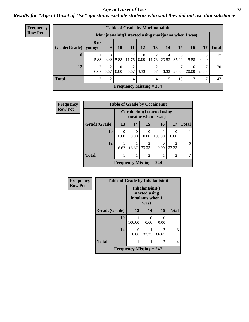#### *Age at Onset of Use* **28**

*Results for "Age at Onset of Use" questions exclude students who said they did not use that substance*

| <b>Frequency</b> |              |                                                      |                               |                  |            |                    | <b>Table of Grade by Marijuanainit</b> |      |            |                 |                  |              |
|------------------|--------------|------------------------------------------------------|-------------------------------|------------------|------------|--------------------|----------------------------------------|------|------------|-----------------|------------------|--------------|
| <b>Row Pct</b>   |              | Marijuanainit (I started using marijuana when I was) |                               |                  |            |                    |                                        |      |            |                 |                  |              |
|                  | Grade(Grade) | <b>8 or</b><br>younger                               | 9 <sup>1</sup>                | 10 <sup>1</sup>  | 11         | 12                 | 13                                     | 14   | 15         | 16 <sup>1</sup> | 17               | <b>Total</b> |
|                  | 10           | 5.88                                                 | $\theta$<br>0.00 <sub>l</sub> | 5.88             | 2<br>11.76 | $\Omega$           | $0.00$   11.76   23.53                 | 4    | 6<br>35.29 | 5.88            | $\Omega$<br>0.00 | 17           |
|                  | 12           | 6.67                                                 | 6.67                          | $\left($<br>0.00 | 2<br>6.67  | $\vert 3.33 \vert$ | ∍<br>6.67                              | 3.33 | 23.33      | 6<br>20.00      | ⇁<br>23.33       | 30           |
|                  | <b>Total</b> | 3                                                    | 2                             |                  | 4          |                    | 4                                      | 5    | 13         | 7               | 7                | 47           |
|                  |              |                                                      |                               |                  |            |                    | Frequency Missing $= 204$              |      |            |                 |                  |              |

| Frequency      |              |           |       |                                | <b>Table of Grade by Cocaineinit</b>                         |                         |              |
|----------------|--------------|-----------|-------|--------------------------------|--------------------------------------------------------------|-------------------------|--------------|
| <b>Row Pct</b> |              |           |       |                                | <b>Cocaineinit</b> (I started using<br>cocaine when $I$ was) |                         |              |
|                | Grade(Grade) | 13        | 14    | 15                             | 16                                                           | 17                      | <b>Total</b> |
|                | 10           | 0<br>0.00 | 0.00  | 0.00                           | 100.00                                                       | 0.00                    |              |
|                | 12           | 16.67     | 16.67 | $\mathfrak{D}$<br>33.33        | 0.00                                                         | $\mathfrak{D}$<br>33.33 | 6            |
|                | <b>Total</b> |           |       | $\mathfrak{D}$                 |                                                              | $\overline{2}$          |              |
|                |              |           |       | <b>Frequency Missing = 244</b> |                                                              |                         |              |

| <b>Frequency</b> | <b>Table of Grade by Inhalantsinit</b> |                                                      |                      |                                                                                                                                                                          |              |  |  |  |  |
|------------------|----------------------------------------|------------------------------------------------------|----------------------|--------------------------------------------------------------------------------------------------------------------------------------------------------------------------|--------------|--|--|--|--|
| <b>Row Pct</b>   |                                        | Inhalantsinit(I<br>started using<br>inhalants when I |                      |                                                                                                                                                                          |              |  |  |  |  |
|                  | Grade(Grade)                           | 12                                                   | 14                   | 15                                                                                                                                                                       | <b>Total</b> |  |  |  |  |
|                  | 10                                     | 100.00                                               | $\mathbf{0}$<br>0.00 | $\mathbf{0}$<br>0.00                                                                                                                                                     |              |  |  |  |  |
|                  | 12                                     | 0<br>0.00                                            | 33.33                | $\mathcal{D}_{\mathcal{A}}^{\mathcal{A}}(\mathcal{A})=\mathcal{D}_{\mathcal{A}}^{\mathcal{A}}(\mathcal{A})\mathcal{D}_{\mathcal{A}}^{\mathcal{A}}(\mathcal{A})$<br>66.67 | 3            |  |  |  |  |
|                  | <b>Total</b>                           | 1                                                    |                      | $\overline{\mathcal{L}}$                                                                                                                                                 | 4            |  |  |  |  |
|                  |                                        | Frequency Missing $= 247$                            |                      |                                                                                                                                                                          |              |  |  |  |  |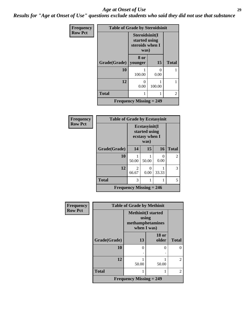#### *Age at Onset of Use* **29**

*Results for "Age at Onset of Use" questions exclude students who said they did not use that substance*

| Frequency      | <b>Table of Grade by Steroidsinit</b> |                                                            |           |              |
|----------------|---------------------------------------|------------------------------------------------------------|-----------|--------------|
| <b>Row Pct</b> |                                       | Steroidsinit(I<br>started using<br>steroids when I<br>was) |           |              |
|                | Grade(Grade)                          | 8 or<br>younger                                            | 15        | <b>Total</b> |
|                | 10                                    | 100.00                                                     | 0<br>0.00 |              |
|                | 12                                    | 0<br>0.00                                                  | 100.00    |              |
|                | <b>Total</b>                          |                                                            |           | 2            |
|                |                                       | Frequency Missing $= 249$                                  |           |              |

| Frequency      | <b>Table of Grade by Ecstasyinit</b> |                                                          |           |                      |                |
|----------------|--------------------------------------|----------------------------------------------------------|-----------|----------------------|----------------|
| <b>Row Pct</b> |                                      | Ecstasyinit(I<br>started using<br>ecstasy when I<br>was) |           |                      |                |
|                | Grade(Grade)                         | 14                                                       | 15        | 16                   | <b>Total</b>   |
|                | 10                                   | 50.00                                                    | 50.00     | $\mathbf{0}$<br>0.00 | $\overline{2}$ |
|                | 12                                   | $\mathfrak{D}$<br>66.67                                  | 0<br>0.00 | 33.33                | 3              |
|                | <b>Total</b>                         | 3                                                        |           |                      | 5              |
|                | <b>Frequency Missing = 246</b>       |                                                          |           |                      |                |

| Frequency      | <b>Table of Grade by Methinit</b> |                                                                       |                       |              |  |
|----------------|-----------------------------------|-----------------------------------------------------------------------|-----------------------|--------------|--|
| <b>Row Pct</b> |                                   | <b>Methinit(I started</b><br>using<br>methamphetamines<br>when I was) |                       |              |  |
|                | Grade(Grade)                      | 13                                                                    | <b>18 or</b><br>older | <b>Total</b> |  |
|                | 10                                | $\theta$                                                              | 0                     | 0            |  |
|                | 12                                | 50.00                                                                 | 50.00                 | 2            |  |
|                | <b>Total</b>                      |                                                                       |                       | 2            |  |
|                |                                   | <b>Frequency Missing = 249</b>                                        |                       |              |  |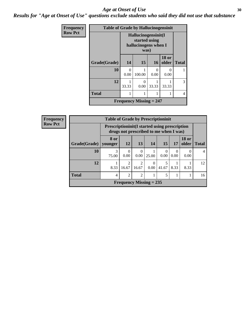#### Age at Onset of Use **30**

*Results for "Age at Onset of Use" questions exclude students who said they did not use that substance*

| <b>Frequency</b> | <b>Table of Grade by Hallucinogensinit</b>                           |           |                           |                           |                       |              |  |
|------------------|----------------------------------------------------------------------|-----------|---------------------------|---------------------------|-----------------------|--------------|--|
| <b>Row Pct</b>   | Hallucinogensinit(I<br>started using<br>hallucinogens when I<br>was) |           |                           |                           |                       |              |  |
|                  | Grade(Grade)                                                         | 14        | 15                        | 16                        | <b>18 or</b><br>older | <b>Total</b> |  |
|                  | 10                                                                   | 0<br>0.00 | 100.00                    | $\mathbf{\Omega}$<br>0.00 | ∩<br>0.00             |              |  |
|                  | 12                                                                   | 33.33     | $\mathcal{O}$<br>0.00     | 33.33                     | 33.33                 | 3            |  |
|                  | <b>Total</b>                                                         |           |                           |                           |                       | 4            |  |
|                  |                                                                      |           | Frequency Missing $= 247$ |                           |                       |              |  |

| <b>Frequency</b> | <b>Table of Grade by Prescriptioninit</b> |                                                                                                 |                         |                           |                  |            |                  |                       |              |
|------------------|-------------------------------------------|-------------------------------------------------------------------------------------------------|-------------------------|---------------------------|------------------|------------|------------------|-----------------------|--------------|
| <b>Row Pct</b>   |                                           | <b>Prescriptioninit (I started using prescription</b><br>drugs not prescribed to me when I was) |                         |                           |                  |            |                  |                       |              |
|                  | Grade(Grade)                              | <b>8 or</b><br>vounger                                                                          | <b>12</b>               | 13                        | 14               | 15         | 17               | <b>18 or</b><br>older | <b>Total</b> |
|                  | 10                                        | 75.00                                                                                           | 0.00                    | $\theta$<br>0.00          | 25.00            | 0<br>0.00  | $\Omega$<br>0.00 | 0.00                  |              |
|                  | 12                                        | 8.33                                                                                            | $\mathfrak{D}$<br>16.67 | $\overline{2}$<br>16.67   | $\theta$<br>0.00 | 5<br>41.67 | 8.33             | 8.33                  | 12           |
|                  | <b>Total</b>                              | 4                                                                                               | $\mathfrak{D}$          | $\overline{2}$            |                  | 5          |                  |                       | 16           |
|                  |                                           |                                                                                                 |                         | Frequency Missing $= 235$ |                  |            |                  |                       |              |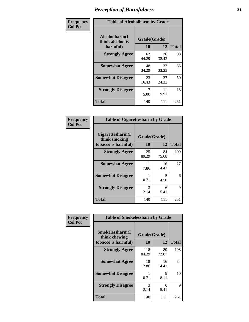| Frequency      | <b>Table of Alcoholharm by Grade</b>          |                    |             |              |
|----------------|-----------------------------------------------|--------------------|-------------|--------------|
| <b>Col Pct</b> | Alcoholharm(I<br>think alcohol is<br>harmful) | Grade(Grade)<br>10 | 12          | <b>Total</b> |
|                | <b>Strongly Agree</b>                         | 62<br>44.29        | 36<br>32.43 | 98           |
|                | <b>Somewhat Agree</b>                         | 48<br>34.29        | 37<br>33.33 | 85           |
|                | <b>Somewhat Disagree</b>                      | 23<br>16.43        | 27<br>24.32 | 50           |
|                | <b>Strongly Disagree</b>                      | 7<br>5.00          | 11<br>9.91  | 18           |
|                | <b>Total</b>                                  | 140                | 111         | 251          |

| <b>Table of Cigarettesharm by Grade</b>                  |                    |              |     |  |  |
|----------------------------------------------------------|--------------------|--------------|-----|--|--|
| Cigarettesharm(I<br>think smoking<br>tobacco is harmful) | Grade(Grade)<br>10 | <b>Total</b> |     |  |  |
| <b>Strongly Agree</b>                                    | 125<br>89.29       | 84<br>75.68  | 209 |  |  |
| <b>Somewhat Agree</b>                                    | 11<br>7.86         | 16<br>14.41  | 27  |  |  |
| <b>Somewhat Disagree</b>                                 | 1<br>0.71          | 5<br>4.50    | 6   |  |  |
| <b>Strongly Disagree</b>                                 | 3<br>2.14          | 6<br>5.41    | 9   |  |  |
| <b>Total</b>                                             | 140                | 111          | 251 |  |  |

| Frequency      | <b>Table of Smokelessharm by Grade</b>                  |                    |             |              |  |
|----------------|---------------------------------------------------------|--------------------|-------------|--------------|--|
| <b>Col Pct</b> | Smokelessharm(I<br>think chewing<br>tobacco is harmful) | Grade(Grade)<br>10 | 12          | <b>Total</b> |  |
|                | <b>Strongly Agree</b>                                   | 118<br>84.29       | 80<br>72.07 | 198          |  |
|                | <b>Somewhat Agree</b>                                   | 18<br>12.86        | 16<br>14.41 | 34           |  |
|                | <b>Somewhat Disagree</b>                                | 0.71               | 9<br>8.11   | 10           |  |
|                | <b>Strongly Disagree</b>                                | 3<br>2.14          | 6<br>5.41   | 9            |  |
|                | <b>Total</b>                                            | 140                | 111         | 251          |  |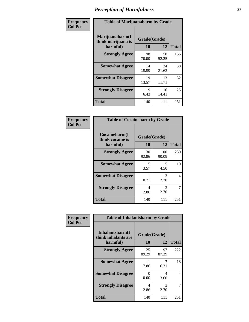| Frequency      |                                                   | <b>Table of Marijuanaharm by Grade</b> |             |              |  |
|----------------|---------------------------------------------------|----------------------------------------|-------------|--------------|--|
| <b>Col Pct</b> | Marijuanaharm(I<br>think marijuana is<br>harmful) | Grade(Grade)<br>10                     | 12          | <b>Total</b> |  |
|                | <b>Strongly Agree</b>                             | 98<br>70.00                            | 58<br>52.25 | 156          |  |
|                | <b>Somewhat Agree</b>                             | 14<br>10.00                            | 24<br>21.62 | 38           |  |
|                | <b>Somewhat Disagree</b>                          | 19<br>13.57                            | 13<br>11.71 | 32           |  |
|                | <b>Strongly Disagree</b>                          | 9<br>6.43                              | 16<br>14.41 | 25           |  |
|                | <b>Total</b>                                      | 140                                    | 111         | 251          |  |

| <b>Table of Cocaineharm by Grade</b>          |                    |              |                |  |  |  |
|-----------------------------------------------|--------------------|--------------|----------------|--|--|--|
| Cocaineharm(I<br>think cocaine is<br>harmful) | Grade(Grade)<br>10 | <b>Total</b> |                |  |  |  |
| <b>Strongly Agree</b>                         | 130<br>92.86       | 100<br>90.09 | 230            |  |  |  |
| <b>Somewhat Agree</b>                         | 5<br>3.57          | 5<br>4.50    | 10             |  |  |  |
| <b>Somewhat Disagree</b>                      | 1<br>0.71          | 3<br>2.70    | $\overline{4}$ |  |  |  |
| <b>Strongly Disagree</b>                      | 4<br>2.86          | 3<br>2.70    | 7              |  |  |  |
| <b>Total</b>                                  | 140                | 111          | 251            |  |  |  |

| Frequency      | <b>Table of Inhalantsharm by Grade</b>             |                           |             |              |
|----------------|----------------------------------------------------|---------------------------|-------------|--------------|
| <b>Col Pct</b> | Inhalantsharm(I<br>think inhalants are<br>harmful) | Grade(Grade)<br><b>10</b> | 12          | <b>Total</b> |
|                | <b>Strongly Agree</b>                              | 125<br>89.29              | 97<br>87.39 | 222          |
|                | <b>Somewhat Agree</b>                              | 11<br>7.86                | 7<br>6.31   | 18           |
|                | <b>Somewhat Disagree</b>                           | 0<br>0.00                 | 4<br>3.60   | 4            |
|                | <b>Strongly Disagree</b>                           | 4<br>2.86                 | 3<br>2.70   | 7            |
|                | <b>Total</b>                                       | 140                       | 111         | 251          |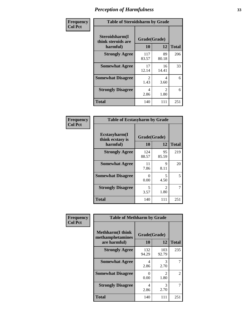| Frequency      | <b>Table of Steroidsharm by Grade</b>            |                       |                        |              |
|----------------|--------------------------------------------------|-----------------------|------------------------|--------------|
| <b>Col Pct</b> | Steroidsharm(I<br>think steroids are<br>harmful) | Grade(Grade)<br>10    | 12                     | <b>Total</b> |
|                | <b>Strongly Agree</b>                            | 117<br>83.57          | 89<br>80.18            | 206          |
|                | <b>Somewhat Agree</b>                            | 17<br>12.14           | 16<br>14.41            | 33           |
|                | <b>Somewhat Disagree</b>                         | $\mathcal{L}$<br>1.43 | 4<br>3.60              | 6            |
|                | <b>Strongly Disagree</b>                         | 4<br>2.86             | $\mathfrak{D}$<br>1.80 | 6            |
|                | <b>Total</b>                                     | 140                   | 111                    | 251          |

| <b>Table of Ecstasyharm by Grade</b>          |                    |                        |     |  |  |
|-----------------------------------------------|--------------------|------------------------|-----|--|--|
| Ecstasyharm(I<br>think ecstasy is<br>harmful) | Grade(Grade)<br>10 | <b>Total</b>           |     |  |  |
| <b>Strongly Agree</b>                         | 124<br>88.57       | 95<br>85.59            | 219 |  |  |
| <b>Somewhat Agree</b>                         | 11<br>7.86         | 9<br>8.11              | 20  |  |  |
| <b>Somewhat Disagree</b>                      | 0<br>0.00          | 5<br>4.50              | 5   |  |  |
| <b>Strongly Disagree</b>                      | 5<br>3.57          | $\mathfrak{D}$<br>1.80 | 7   |  |  |
| Total                                         | 140                | 111                    | 251 |  |  |

| Frequency      | <b>Table of Methharm by Grade</b>                            |                           |              |              |
|----------------|--------------------------------------------------------------|---------------------------|--------------|--------------|
| <b>Col Pct</b> | <b>Methharm</b> (I think<br>methamphetamines<br>are harmful) | Grade(Grade)<br><b>10</b> | 12           | <b>Total</b> |
|                | <b>Strongly Agree</b>                                        | 132<br>94.29              | 103<br>92.79 | 235          |
|                | <b>Somewhat Agree</b>                                        | 4<br>2.86                 | 3<br>2.70    |              |
|                | <b>Somewhat Disagree</b>                                     | 0<br>0.00                 | 2<br>1.80    | 2            |
|                | <b>Strongly Disagree</b>                                     | 4<br>2.86                 | 3<br>2.70    | 7            |
|                | <b>Total</b>                                                 | 140                       | 111          | 251          |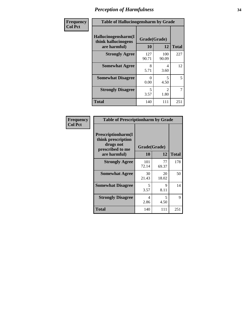| Frequency      | <b>Table of Hallucinogensharm by Grade</b>                 |                    |                       |                |
|----------------|------------------------------------------------------------|--------------------|-----------------------|----------------|
| <b>Col Pct</b> | Hallucinogensharm(I<br>think hallucinogens<br>are harmful) | Grade(Grade)<br>10 | 12                    | <b>Total</b>   |
|                | <b>Strongly Agree</b>                                      | 127<br>90.71       | 100<br>90.09          | 227            |
|                | <b>Somewhat Agree</b>                                      | 8<br>5.71          | 4<br>3.60             | 12             |
|                | <b>Somewhat Disagree</b>                                   | 0<br>0.00          | 5<br>4.50             | 5              |
|                | <b>Strongly Disagree</b>                                   | 5<br>3.57          | $\mathcal{L}$<br>1.80 | $\overline{7}$ |
|                | <b>Total</b>                                               | 140                | 111                   | 251            |

| <b>Table of Prescriptionharm by Grade</b>                                         |              |             |              |  |
|-----------------------------------------------------------------------------------|--------------|-------------|--------------|--|
| <b>Prescriptionharm(I)</b><br>think prescription<br>drugs not<br>prescribed to me | Grade(Grade) |             |              |  |
| are harmful)                                                                      | 10           | 12          | <b>Total</b> |  |
| <b>Strongly Agree</b>                                                             | 101<br>72.14 | 77<br>69.37 | 178          |  |
| <b>Somewhat Agree</b>                                                             | 30<br>21.43  | 20<br>18.02 | 50           |  |
| <b>Somewhat Disagree</b>                                                          | 5<br>3.57    | Q<br>8.11   | 14           |  |
| <b>Strongly Disagree</b>                                                          | 4<br>2.86    | 5<br>4.50   | 9            |  |
| <b>Total</b>                                                                      | 140          | 111         | 251          |  |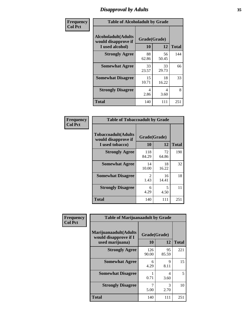# *Disapproval by Adults* **35**

| Frequency      | <b>Table of Alcoholadult by Grade</b>                                 |                    |             |              |
|----------------|-----------------------------------------------------------------------|--------------------|-------------|--------------|
| <b>Col Pct</b> | <b>Alcoholadult</b> (Adults<br>would disapprove if<br>I used alcohol) | Grade(Grade)<br>10 | 12          | <b>Total</b> |
|                | <b>Strongly Agree</b>                                                 | 88<br>62.86        | 56<br>50.45 | 144          |
|                | <b>Somewhat Agree</b>                                                 | 33<br>23.57        | 33<br>29.73 | 66           |
|                | <b>Somewhat Disagree</b>                                              | 15<br>10.71        | 18<br>16.22 | 33           |
|                | <b>Strongly Disagree</b>                                              | 4<br>2.86          | 4<br>3.60   | 8            |
|                | <b>Total</b>                                                          | 140                | 111         | 251          |

| <b>Table of Tobaccoadult by Grade</b>                                |                       |             |              |  |  |
|----------------------------------------------------------------------|-----------------------|-------------|--------------|--|--|
| <b>Tobaccoadult(Adults</b><br>would disapprove if<br>I used tobacco) | Grade(Grade)<br>10    | 12          | <b>Total</b> |  |  |
| <b>Strongly Agree</b>                                                | 118<br>84.29          | 72<br>64.86 | 190          |  |  |
| <b>Somewhat Agree</b>                                                | 14<br>10.00           | 18<br>16.22 | 32           |  |  |
| <b>Somewhat Disagree</b>                                             | $\mathcal{L}$<br>1.43 | 16<br>14.41 | 18           |  |  |
| <b>Strongly Disagree</b>                                             | 6<br>4.29             | 5<br>4.50   | 11           |  |  |
| Total                                                                | 140                   | 111         | 251          |  |  |

| Frequency      | <b>Table of Marijuanaadult by Grade</b>                           |                    |                        |              |
|----------------|-------------------------------------------------------------------|--------------------|------------------------|--------------|
| <b>Col Pct</b> | Marijuanaadult(Adults<br>would disapprove if I<br>used marijuana) | Grade(Grade)<br>10 | 12                     | <b>Total</b> |
|                | <b>Strongly Agree</b>                                             | 126<br>90.00       | 95<br>85.59            | 221          |
|                | <b>Somewhat Agree</b>                                             | 6<br>4.29          | 9<br>8.11              | 15           |
|                | <b>Somewhat Disagree</b>                                          | 0.71               | $\overline{4}$<br>3.60 | 5            |
|                | <b>Strongly Disagree</b>                                          | 7<br>5.00          | 3<br>2.70              | 10           |
|                | <b>Total</b>                                                      | 140                | 111                    | 251          |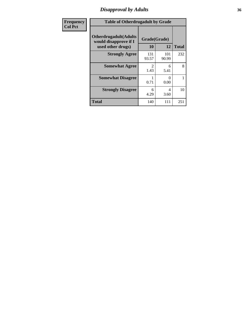### *Disapproval by Adults* **36**

| <b>Frequency</b> | <b>Table of Otherdrugadult by Grade</b>                                     |                       |              |              |
|------------------|-----------------------------------------------------------------------------|-----------------------|--------------|--------------|
| <b>Col Pct</b>   | <b>Otherdrugadult</b> (Adults<br>would disapprove if I<br>used other drugs) | Grade(Grade)<br>10    | 12           | <b>Total</b> |
|                  | <b>Strongly Agree</b>                                                       | 131<br>93.57          | 101<br>90.99 | 232          |
|                  | <b>Somewhat Agree</b>                                                       | $\mathcal{D}$<br>1.43 | 6<br>5.41    | 8            |
|                  | <b>Somewhat Disagree</b>                                                    | 0.71                  | 0<br>0.00    |              |
|                  | <b>Strongly Disagree</b>                                                    | 6<br>4.29             | 4<br>3.60    | 10           |
|                  | <b>Total</b>                                                                | 140                   | 111          | 251          |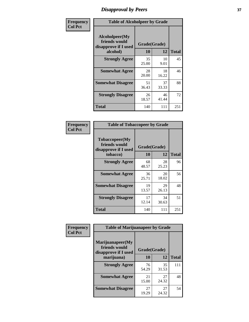# *Disapproval by Peers* **37**

| Frequency      | <b>Table of Alcoholpeer by Grade</b>                    |              |             |              |  |
|----------------|---------------------------------------------------------|--------------|-------------|--------------|--|
| <b>Col Pct</b> | Alcoholpeer(My<br>friends would<br>disapprove if I used | Grade(Grade) |             |              |  |
|                | alcohol)                                                | 10           | 12          | <b>Total</b> |  |
|                | <b>Strongly Agree</b>                                   | 35<br>25.00  | 10<br>9.01  | 45           |  |
|                | <b>Somewhat Agree</b>                                   | 28<br>20.00  | 18<br>16.22 | 46           |  |
|                | <b>Somewhat Disagree</b>                                | 51<br>36.43  | 37<br>33.33 | 88           |  |
|                | <b>Strongly Disagree</b>                                | 26<br>18.57  | 46<br>41.44 | 72           |  |
|                | Total                                                   | 140          | 111         | 251          |  |

| Frequency      | <b>Table of Tobaccopeer by Grade</b>                    |              |             |              |  |
|----------------|---------------------------------------------------------|--------------|-------------|--------------|--|
| <b>Col Pct</b> | Tobaccopeer(My<br>friends would<br>disapprove if I used | Grade(Grade) |             |              |  |
|                | tobacco)                                                | 10           | 12          | <b>Total</b> |  |
|                | <b>Strongly Agree</b>                                   | 68<br>48.57  | 28<br>25.23 | 96           |  |
|                | <b>Somewhat Agree</b>                                   | 36<br>25.71  | 20<br>18.02 | 56           |  |
|                | <b>Somewhat Disagree</b>                                | 19<br>13.57  | 29<br>26.13 | 48           |  |
|                | <b>Strongly Disagree</b>                                | 17<br>12.14  | 34<br>30.63 | 51           |  |
|                | Total                                                   | 140          | 111         | 251          |  |

| Frequency<br><b>Col Pct</b> | <b>Table of Marijuanapeer by Grade</b>                    |              |             |              |
|-----------------------------|-----------------------------------------------------------|--------------|-------------|--------------|
|                             | Marijuanapeer(My<br>friends would<br>disapprove if I used | Grade(Grade) |             |              |
|                             | marijuana)                                                | 10           | 12          | <b>Total</b> |
|                             | <b>Strongly Agree</b>                                     | 76<br>54.29  | 35<br>31.53 | 111          |
|                             | <b>Somewhat Agree</b>                                     | 21<br>15.00  | 27<br>24.32 | 48           |
|                             | <b>Somewhat Disagree</b>                                  | 27<br>19.29  | 27<br>24.32 | 54           |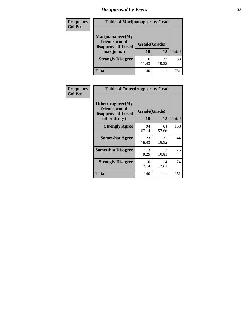# *Disapproval by Peers* **38**

| Frequency<br><b>Col Pct</b> | <b>Table of Marijuanapeer by Grade</b>                                  |                    |             |              |
|-----------------------------|-------------------------------------------------------------------------|--------------------|-------------|--------------|
|                             | Marijuanapeer(My<br>friends would<br>disapprove if I used<br>marijuana) | Grade(Grade)<br>10 | 12          | <b>Total</b> |
|                             | <b>Strongly Disagree</b>                                                | 16<br>11.43        | 22<br>19.82 | 38           |
|                             | Total                                                                   | 140                | 111         | 251          |

| Frequency      | <b>Table of Otherdrugpeer by Grade</b>                                    |                    |             |              |
|----------------|---------------------------------------------------------------------------|--------------------|-------------|--------------|
| <b>Col Pct</b> | Otherdrugpeer(My<br>friends would<br>disapprove if I used<br>other drugs) | Grade(Grade)<br>10 | 12          | <b>Total</b> |
|                | <b>Strongly Agree</b>                                                     | 94<br>67.14        | 64<br>57.66 | 158          |
|                | <b>Somewhat Agree</b>                                                     | 23<br>16.43        | 21<br>18.92 | 44           |
|                | <b>Somewhat Disagree</b>                                                  | 13<br>9.29         | 12<br>10.81 | 25           |
|                | <b>Strongly Disagree</b>                                                  | 10<br>7.14         | 14<br>12.61 | 24           |
|                | Total                                                                     | 140                | 111         | 251          |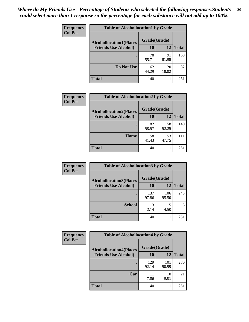| Frequency<br><b>Col Pct</b> | <b>Table of Alcohollocation1 by Grade</b> |              |             |              |  |
|-----------------------------|-------------------------------------------|--------------|-------------|--------------|--|
|                             | <b>Alcohollocation1(Places</b>            | Grade(Grade) |             |              |  |
|                             | <b>Friends Use Alcohol)</b>               | 10           | 12          | <b>Total</b> |  |
|                             |                                           | 78<br>55.71  | 91<br>81.98 | 169          |  |
|                             | Do Not Use                                | 62<br>44.29  | 20<br>18.02 | 82           |  |
|                             | <b>Total</b>                              | 140          | 111         | 251          |  |

| Frequency      | <b>Table of Alcohollocation2 by Grade</b>                     |                    |             |              |
|----------------|---------------------------------------------------------------|--------------------|-------------|--------------|
| <b>Col Pct</b> | <b>Alcohollocation2(Places</b><br><b>Friends Use Alcohol)</b> | Grade(Grade)<br>10 | 12          | <b>Total</b> |
|                |                                                               | 82<br>58.57        | 58<br>52.25 | 140          |
|                | Home                                                          | 58<br>41.43        | 53<br>47.75 | 111          |
|                | <b>Total</b>                                                  | 140                | 111         | 251          |

| Frequency<br><b>Col Pct</b> | <b>Table of Alcohollocation 3 by Grade</b>                    |                    |              |              |
|-----------------------------|---------------------------------------------------------------|--------------------|--------------|--------------|
|                             | <b>Alcohollocation3(Places</b><br><b>Friends Use Alcohol)</b> | Grade(Grade)<br>10 | 12           | <b>Total</b> |
|                             |                                                               | 137<br>97.86       | 106<br>95.50 | 243          |
|                             | <b>School</b>                                                 | 3<br>2.14          | 5<br>4.50    | 8            |
|                             | <b>Total</b>                                                  | 140                | 111          | 251          |

| <b>Frequency</b><br><b>Col Pct</b> | <b>Table of Alcohollocation4 by Grade</b> |              |              |              |  |
|------------------------------------|-------------------------------------------|--------------|--------------|--------------|--|
|                                    | <b>Alcohollocation4(Places</b>            | Grade(Grade) |              |              |  |
|                                    | <b>Friends Use Alcohol)</b>               | 10           | 12           | <b>Total</b> |  |
|                                    |                                           | 129<br>92.14 | 101<br>90.99 | 230          |  |
|                                    | Car                                       | 11<br>7.86   | 10<br>9.01   | 21           |  |
|                                    | <b>Total</b>                              | 140          |              | 251          |  |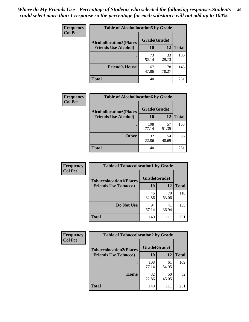| Frequency<br><b>Col Pct</b> | <b>Table of Alcohollocation5 by Grade</b> |              |             |              |  |
|-----------------------------|-------------------------------------------|--------------|-------------|--------------|--|
|                             | <b>Alcohollocation5(Places</b>            | Grade(Grade) |             |              |  |
|                             | <b>Friends Use Alcohol)</b>               | 10           | 12          | <b>Total</b> |  |
|                             |                                           | 73<br>52.14  | 33<br>29.73 | 106          |  |
|                             | <b>Friend's House</b>                     | 67<br>47.86  | 78<br>70.27 | 145          |  |
|                             | <b>Total</b>                              | 140          | 111         | 251          |  |

| <b>Frequency</b> | <b>Table of Alcohollocation6 by Grade</b>                     |                    |             |              |
|------------------|---------------------------------------------------------------|--------------------|-------------|--------------|
| <b>Col Pct</b>   | <b>Alcohollocation6(Places</b><br><b>Friends Use Alcohol)</b> | Grade(Grade)<br>10 | 12          |              |
|                  |                                                               |                    |             | <b>Total</b> |
|                  |                                                               | 108<br>77.14       | 57<br>51.35 | 165          |
|                  | <b>Other</b>                                                  | 32<br>22.86        | 54<br>48.65 | 86           |
|                  | <b>Total</b>                                                  | 140                | 111         | 251          |

| Frequency      | <b>Table of Tobaccolocation1 by Grade</b> |              |             |              |
|----------------|-------------------------------------------|--------------|-------------|--------------|
| <b>Col Pct</b> | <b>Tobaccolocation1(Places</b>            | Grade(Grade) |             |              |
|                | <b>Friends Use Tobacco)</b>               | 10           | <b>12</b>   | <b>Total</b> |
|                |                                           | 46<br>32.86  | 70<br>63.06 | 116          |
|                | <b>Do Not Use</b>                         | 94<br>67.14  | 41<br>36.94 | 135          |
|                | <b>Total</b>                              | 140          | 111         | 251          |

| <b>Frequency</b> | <b>Table of Tobaccolocation2 by Grade</b> |              |             |              |  |
|------------------|-------------------------------------------|--------------|-------------|--------------|--|
| <b>Col Pct</b>   | <b>Tobaccolocation2(Places</b>            | Grade(Grade) |             |              |  |
|                  | <b>Friends Use Tobacco)</b>               | 10           | 12          | <b>Total</b> |  |
|                  |                                           | 108<br>77.14 | 61<br>54.95 | 169          |  |
|                  | Home                                      | 32<br>22.86  | 50<br>45.05 | 82           |  |
|                  | <b>Total</b>                              | 140          |             | 251          |  |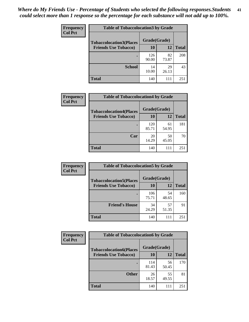| Frequency      | <b>Table of Tobaccolocation 3 by Grade</b> |              |             |              |
|----------------|--------------------------------------------|--------------|-------------|--------------|
| <b>Col Pct</b> | <b>Tobaccolocation3(Places</b>             | Grade(Grade) |             |              |
|                | <b>Friends Use Tobacco)</b>                | 10           | 12          | <b>Total</b> |
|                |                                            | 126<br>90.00 | 82<br>73.87 | 208          |
|                | <b>School</b>                              | 14<br>10.00  | 29<br>26.13 | 43           |
|                | <b>Total</b>                               | 140          | 111         | 251          |

| Frequency      | <b>Table of Tobaccolocation4 by Grade</b> |              |             |              |
|----------------|-------------------------------------------|--------------|-------------|--------------|
| <b>Col Pct</b> | <b>Tobaccolocation4(Places</b>            | Grade(Grade) |             |              |
|                | <b>Friends Use Tobacco)</b>               | 10           | 12          | <b>Total</b> |
|                |                                           | 120<br>85.71 | 61<br>54.95 | 181          |
|                | Car                                       | 20<br>14.29  | 50<br>45.05 | 70           |
|                | <b>Total</b>                              | 140          | 111         | 251          |

| Frequency<br><b>Col Pct</b> | <b>Table of Tobaccolocation5 by Grade</b> |              |             |              |
|-----------------------------|-------------------------------------------|--------------|-------------|--------------|
|                             | <b>Tobaccolocation5(Places</b>            | Grade(Grade) |             |              |
|                             | <b>Friends Use Tobacco)</b>               | 10           | 12          | <b>Total</b> |
|                             |                                           | 106<br>75.71 | 54<br>48.65 | 160          |
|                             | <b>Friend's House</b>                     | 34<br>24.29  | 57<br>51.35 | 91           |
|                             | <b>Total</b>                              | 140          | 111         | 251          |

| <b>Frequency</b> | <b>Table of Tobaccolocation6 by Grade</b> |              |             |              |  |
|------------------|-------------------------------------------|--------------|-------------|--------------|--|
| <b>Col Pct</b>   | <b>Tobaccolocation6(Places</b>            | Grade(Grade) |             |              |  |
|                  | <b>Friends Use Tobacco)</b>               | 10           | 12          | <b>Total</b> |  |
|                  |                                           | 114<br>81.43 | 56<br>50.45 | 170          |  |
|                  | <b>Other</b>                              | 26<br>18.57  | 55<br>49.55 | 81           |  |
|                  | <b>Total</b>                              | 140          |             | 251          |  |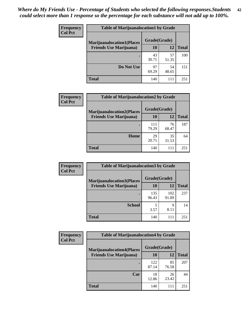| <b>Frequency</b> | <b>Table of Marijuanalocation1 by Grade</b> |             |              |              |
|------------------|---------------------------------------------|-------------|--------------|--------------|
| <b>Col Pct</b>   | <b>Marijuanalocation1(Places</b>            |             | Grade(Grade) |              |
|                  | <b>Friends Use Marijuana</b> )              | 10          | 12           | <b>Total</b> |
|                  |                                             | 43<br>30.71 | 57<br>51.35  | 100          |
|                  | Do Not Use                                  | 97<br>69.29 | 54<br>48.65  | 151          |
|                  | Total                                       | 140         | 111          | 251          |

| <b>Frequency</b> | <b>Table of Marijuanalocation2 by Grade</b>                        |                    |             |              |
|------------------|--------------------------------------------------------------------|--------------------|-------------|--------------|
| <b>Col Pct</b>   | <b>Marijuanalocation2(Places</b><br><b>Friends Use Marijuana</b> ) | Grade(Grade)<br>10 | 12          | <b>Total</b> |
|                  |                                                                    | 111<br>79.29       | 76<br>68.47 | 187          |
|                  | Home                                                               | 29<br>20.71        | 35<br>31.53 | 64           |
|                  | <b>Total</b>                                                       | 140                | 111         | 251          |

| Frequency<br><b>Col Pct</b> | <b>Table of Marijuanalocation3 by Grade</b> |              |              |              |
|-----------------------------|---------------------------------------------|--------------|--------------|--------------|
|                             | <b>Marijuanalocation3</b> (Places           | Grade(Grade) |              |              |
|                             | <b>Friends Use Marijuana</b> )              | 10           | 12           | <b>Total</b> |
|                             |                                             | 135<br>96.43 | 102<br>91.89 | 237          |
|                             | <b>School</b>                               | 3.57         | 9<br>8.11    | 14           |
|                             | <b>Total</b>                                | 140          | 111          | 251          |

| <b>Frequency</b> | <b>Table of Marijuanalocation4 by Grade</b> |              |             |              |  |
|------------------|---------------------------------------------|--------------|-------------|--------------|--|
| <b>Col Pct</b>   | <b>Marijuanalocation4(Places</b>            | Grade(Grade) |             |              |  |
|                  | <b>Friends Use Marijuana</b> )              | <b>10</b>    | 12          | <b>Total</b> |  |
|                  |                                             | 122<br>87.14 | 85<br>76.58 | 207          |  |
|                  | Car                                         | 18<br>12.86  | 26<br>23.42 | 44           |  |
|                  | <b>Total</b>                                | 140          | 111         | 251          |  |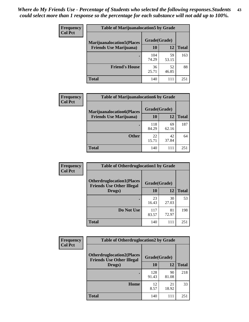| <b>Frequency</b> | <b>Table of Marijuanalocation5 by Grade</b> |              |             |              |
|------------------|---------------------------------------------|--------------|-------------|--------------|
| <b>Col Pct</b>   | <b>Marijuanalocation5</b> (Places           | Grade(Grade) |             |              |
|                  | <b>Friends Use Marijuana</b> )              | 10           | 12          | <b>Total</b> |
|                  |                                             | 104<br>74.29 | 59<br>53.15 | 163          |
|                  | <b>Friend's House</b>                       | 36<br>25.71  | 52<br>46.85 | 88           |
|                  | Total                                       | 140          | 111         | 251          |

| <b>Frequency</b> | <b>Table of Marijuanalocation6 by Grade</b>                        |                           |             |              |
|------------------|--------------------------------------------------------------------|---------------------------|-------------|--------------|
| <b>Col Pct</b>   | <b>Marijuanalocation6(Places</b><br><b>Friends Use Marijuana</b> ) | Grade(Grade)<br><b>10</b> | 12          | <b>Total</b> |
|                  |                                                                    | 118<br>84.29              | 69<br>62.16 | 187          |
|                  | <b>Other</b>                                                       | 22<br>15.71               | 42<br>37.84 | 64           |
|                  | <b>Total</b>                                                       | 140                       | 111         | 251          |

| <b>Frequency</b> | <b>Table of Otherdruglocation1 by Grade</b>                          |              |             |              |
|------------------|----------------------------------------------------------------------|--------------|-------------|--------------|
| <b>Col Pct</b>   | <b>Otherdruglocation1(Places</b><br><b>Friends Use Other Illegal</b> | Grade(Grade) |             |              |
|                  | Drugs)                                                               | 10           | 12          | <b>Total</b> |
|                  |                                                                      | 23<br>16.43  | 30<br>27.03 | 53           |
|                  | Do Not Use                                                           | 117<br>83.57 | 81<br>72.97 | 198          |
|                  | <b>Total</b>                                                         | 140          | 111         | 251          |

| <b>Frequency</b> | <b>Table of Otherdruglocation2 by Grade</b>                           |              |             |              |
|------------------|-----------------------------------------------------------------------|--------------|-------------|--------------|
| <b>Col Pct</b>   | <b>Otherdruglocation2(Places)</b><br><b>Friends Use Other Illegal</b> | Grade(Grade) |             |              |
|                  | Drugs)                                                                | 10           | 12          | <b>Total</b> |
|                  |                                                                       | 128<br>91.43 | 90<br>81.08 | 218          |
|                  | <b>Home</b>                                                           | 12<br>8.57   | 21<br>18.92 | 33           |
|                  | Total                                                                 | 140          | 111         | 251          |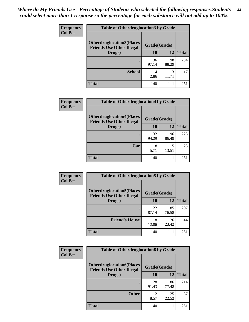| <b>Frequency</b> | <b>Table of Otherdruglocation 3 by Grade</b>                         |              |             |              |
|------------------|----------------------------------------------------------------------|--------------|-------------|--------------|
| <b>Col Pct</b>   | <b>Otherdruglocation3(Places</b><br><b>Friends Use Other Illegal</b> | Grade(Grade) |             |              |
|                  | Drugs)                                                               | 10           | 12          | <b>Total</b> |
|                  |                                                                      | 136<br>97.14 | 98<br>88.29 | 234          |
|                  | <b>School</b>                                                        | 4<br>2.86    | 13<br>11.71 | 17           |
|                  | Total                                                                | 140          | 111         | 251          |

| <b>Frequency</b> | <b>Table of Otherdruglocation4 by Grade</b>                          |              |             |              |
|------------------|----------------------------------------------------------------------|--------------|-------------|--------------|
| <b>Col Pct</b>   | <b>Otherdruglocation4(Places</b><br><b>Friends Use Other Illegal</b> | Grade(Grade) |             |              |
|                  | Drugs)                                                               | 10           | 12          | <b>Total</b> |
|                  |                                                                      | 132<br>94.29 | 96<br>86.49 | 228          |
|                  | Car                                                                  | 8<br>5.71    | 15<br>13.51 | 23           |
|                  | <b>Total</b>                                                         | 140          | 111         | 251          |

| Frequency      | <b>Table of Otherdruglocation5 by Grade</b>                          |              |             |              |
|----------------|----------------------------------------------------------------------|--------------|-------------|--------------|
| <b>Col Pct</b> | <b>Otherdruglocation5(Places</b><br><b>Friends Use Other Illegal</b> | Grade(Grade) |             |              |
|                | Drugs)                                                               | 10           | 12          | <b>Total</b> |
|                |                                                                      | 122<br>87.14 | 85<br>76.58 | 207          |
|                | <b>Friend's House</b>                                                | 18<br>12.86  | 26<br>23.42 | 44           |
|                | <b>Total</b>                                                         | 140          | 111         | 251          |

| <b>Frequency</b> | <b>Table of Otherdruglocation6 by Grade</b>                          |              |             |              |
|------------------|----------------------------------------------------------------------|--------------|-------------|--------------|
| <b>Col Pct</b>   | <b>Otherdruglocation6(Places</b><br><b>Friends Use Other Illegal</b> | Grade(Grade) |             |              |
|                  | Drugs)                                                               | 10           | 12          | <b>Total</b> |
|                  |                                                                      | 128<br>91.43 | 86<br>77.48 | 214          |
|                  | <b>Other</b>                                                         | 12<br>8.57   | 25<br>22.52 | 37           |
|                  | <b>Total</b>                                                         | 140          | 111         | 251          |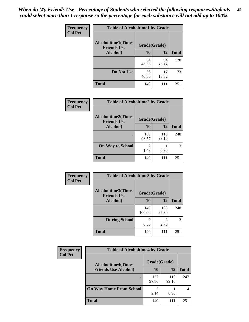| Frequency      | <b>Table of Alcoholtime1 by Grade</b>           |              |             |              |
|----------------|-------------------------------------------------|--------------|-------------|--------------|
| <b>Col Pct</b> | <b>Alcoholtime1(Times</b><br><b>Friends Use</b> | Grade(Grade) |             |              |
|                | Alcohol)                                        | 10           | 12          | <b>Total</b> |
|                |                                                 | 84<br>60.00  | 94<br>84.68 | 178          |
|                | Do Not Use                                      | 56<br>40.00  | 17<br>15.32 | 73           |
|                | <b>Total</b>                                    | 140          | 111         | 251          |

| Frequency      | <b>Table of Alcoholtime2 by Grade</b>           |              |              |              |
|----------------|-------------------------------------------------|--------------|--------------|--------------|
| <b>Col Pct</b> | <b>Alcoholtime2(Times</b><br><b>Friends Use</b> | Grade(Grade) |              |              |
|                | Alcohol)                                        | 10           | 12           | <b>Total</b> |
|                |                                                 | 138<br>98.57 | 110<br>99.10 | 248          |
|                | <b>On Way to School</b>                         | 1.43         | 0.90         | 3            |
|                | <b>Total</b>                                    | 140          | 111          | 251          |

| Frequency<br><b>Col Pct</b> | <b>Table of Alcoholtime3 by Grade</b>                           |               |              |              |
|-----------------------------|-----------------------------------------------------------------|---------------|--------------|--------------|
|                             | <b>Alcoholtime3(Times</b><br>Grade(Grade)<br><b>Friends Use</b> |               |              |              |
|                             | Alcohol)                                                        | 10            | 12           | <b>Total</b> |
|                             |                                                                 | 140<br>100.00 | 108<br>97.30 | 248          |
|                             | <b>During School</b>                                            | 0.00          | 3<br>2.70    | 3            |
|                             | <b>Total</b>                                                    | 140           | 111          | 251          |

| <b>Frequency</b> | <b>Table of Alcoholtime4 by Grade</b> |              |              |              |  |
|------------------|---------------------------------------|--------------|--------------|--------------|--|
| <b>Col Pct</b>   | <b>Alcoholtime4(Times</b>             | Grade(Grade) |              |              |  |
|                  | <b>Friends Use Alcohol)</b>           | 10           | 12           | <b>Total</b> |  |
|                  | ٠                                     | 137<br>97.86 | 110<br>99.10 | 247          |  |
|                  | <b>On Way Home From School</b>        | 3<br>2.14    | 0.90         | 4            |  |
|                  | <b>Total</b>                          | 140          | 111          | 251          |  |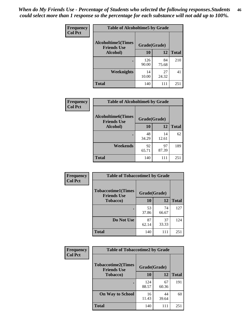*When do My Friends Use - Percentage of Students who selected the following responses.Students could select more than 1 response so the percentage for each substance will not add up to 100%.* **46**

| <b>Frequency</b> | <b>Table of Alcoholtime5 by Grade</b>            |              |             |              |
|------------------|--------------------------------------------------|--------------|-------------|--------------|
| <b>Col Pct</b>   | <b>Alcoholtime5</b> (Times<br><b>Friends Use</b> | Grade(Grade) |             |              |
|                  | Alcohol)                                         | 10           | 12          | <b>Total</b> |
|                  |                                                  | 126<br>90.00 | 84<br>75.68 | 210          |
|                  | Weeknights                                       | 14<br>10.00  | 27<br>24.32 | 41           |
|                  | <b>Total</b>                                     | 140          | 111         | 251          |

| Frequency      | <b>Table of Alcoholtime6 by Grade</b>           |              |             |              |
|----------------|-------------------------------------------------|--------------|-------------|--------------|
| <b>Col Pct</b> | <b>Alcoholtime6(Times</b><br><b>Friends Use</b> | Grade(Grade) |             |              |
|                | Alcohol)                                        | 10           | 12          | <b>Total</b> |
|                | ٠                                               | 48<br>34.29  | 14<br>12.61 | 62           |
|                | Weekends                                        | 92<br>65.71  | 97<br>87.39 | 189          |
|                | <b>Total</b>                                    | 140          | 111         | 251          |

| Frequency      | <b>Table of Tobaccotime1 by Grade</b>           |              |             |              |
|----------------|-------------------------------------------------|--------------|-------------|--------------|
| <b>Col Pct</b> | <b>Tobaccotime1(Times</b><br><b>Friends Use</b> | Grade(Grade) |             |              |
|                | <b>Tobacco</b> )                                | 10           | 12          | <b>Total</b> |
|                |                                                 | 53<br>37.86  | 74<br>66.67 | 127          |
|                | Do Not Use                                      | 87<br>62.14  | 37<br>33.33 | 124          |
|                | <b>Total</b>                                    | 140          | 111         | 251          |

| <b>Frequency</b> | <b>Table of Tobaccotime2 by Grade</b>           |              |             |              |
|------------------|-------------------------------------------------|--------------|-------------|--------------|
| <b>Col Pct</b>   | <b>Tobaccotime2(Times</b><br><b>Friends Use</b> | Grade(Grade) |             |              |
|                  | Tobacco)                                        | 10           | 12          | <b>Total</b> |
|                  |                                                 | 124<br>88.57 | 67<br>60.36 | 191          |
|                  | <b>On Way to School</b>                         | 16<br>11.43  | 44<br>39.64 | 60           |
|                  | <b>Total</b>                                    | 140          | 111         | 251          |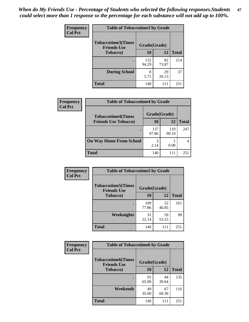*When do My Friends Use - Percentage of Students who selected the following responses.Students could select more than 1 response so the percentage for each substance will not add up to 100%.* **47**

| <b>Frequency</b> | <b>Table of Tobaccotime3 by Grade</b>           |              |              |              |  |
|------------------|-------------------------------------------------|--------------|--------------|--------------|--|
| <b>Col Pct</b>   | <b>Tobaccotime3(Times</b><br><b>Friends Use</b> |              | Grade(Grade) |              |  |
|                  | <b>Tobacco</b> )                                | 10           | 12           | <b>Total</b> |  |
|                  |                                                 | 132<br>94.29 | 82<br>73.87  | 214          |  |
|                  | <b>During School</b>                            | 8<br>5.71    | 29<br>26.13  | 37           |  |
|                  | <b>Total</b>                                    | 140          | 111          | 251          |  |

| Frequency<br><b>Col Pct</b> | <b>Table of Tobaccotime4 by Grade</b> |              |              |              |
|-----------------------------|---------------------------------------|--------------|--------------|--------------|
|                             | <b>Tobaccotime4(Times</b>             | Grade(Grade) |              |              |
|                             | <b>Friends Use Tobacco)</b>           | 10           | 12           | <b>Total</b> |
|                             |                                       | 137<br>97.86 | 110<br>99.10 | 247          |
|                             | <b>On Way Home From School</b>        | 3<br>2.14    | 0.90         |              |
|                             | <b>Total</b>                          | 140          | 111          | 251          |

| <b>Frequency</b> | <b>Table of Tobaccotime5 by Grade</b>           |              |             |              |
|------------------|-------------------------------------------------|--------------|-------------|--------------|
| <b>Col Pct</b>   | <b>Tobaccotime5(Times</b><br><b>Friends Use</b> | Grade(Grade) |             |              |
|                  | <b>Tobacco</b> )                                | 10           | 12          | <b>Total</b> |
|                  |                                                 | 109<br>77.86 | 52<br>46.85 | 161          |
|                  | Weeknights                                      | 31<br>22.14  | 59<br>53.15 | 90           |
|                  | <b>Total</b>                                    | 140          | 111         | 251          |

| <b>Frequency</b> | <b>Table of Tobaccotime6 by Grade</b>                           |             |             |              |
|------------------|-----------------------------------------------------------------|-------------|-------------|--------------|
| <b>Col Pct</b>   | <b>Tobaccotime6(Times</b><br>Grade(Grade)<br><b>Friends Use</b> |             |             |              |
|                  | <b>Tobacco</b> )                                                | 10          | 12          | <b>Total</b> |
|                  | ٠                                                               | 91<br>65.00 | 44<br>39.64 | 135          |
|                  | Weekends                                                        | 49<br>35.00 | 67<br>60.36 | 116          |
|                  | <b>Total</b>                                                    | 140         | 111         | 251          |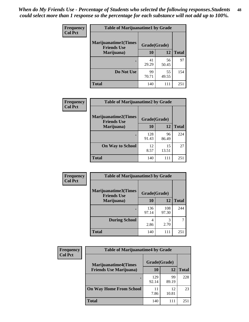| Frequency      | <b>Table of Marijuanatime1 by Grade</b>           |              |             |              |  |
|----------------|---------------------------------------------------|--------------|-------------|--------------|--|
| <b>Col Pct</b> | <b>Marijuanatime1(Times</b><br><b>Friends Use</b> | Grade(Grade) |             |              |  |
|                | Marijuana)                                        | 10           | 12          | <b>Total</b> |  |
|                |                                                   | 41<br>29.29  | 56<br>50.45 | 97           |  |
|                | Do Not Use                                        | 99<br>70.71  | 55<br>49.55 | 154          |  |
|                | <b>Total</b>                                      | 140          | 111         | 251          |  |

| <b>Frequency</b> | <b>Table of Marijuanatime2 by Grade</b>           |              |             |              |
|------------------|---------------------------------------------------|--------------|-------------|--------------|
| <b>Col Pct</b>   | <b>Marijuanatime2(Times</b><br><b>Friends Use</b> | Grade(Grade) |             |              |
|                  | Marijuana)                                        | 10           | 12          | <b>Total</b> |
|                  |                                                   | 128<br>91.43 | 96<br>86.49 | 224          |
|                  | <b>On Way to School</b>                           | 12<br>8.57   | 15<br>13.51 | 27           |
|                  | <b>Total</b>                                      | 140          | 111         | 251          |

| Frequency      | <b>Table of Marijuanatime3 by Grade</b>    |              |              |              |
|----------------|--------------------------------------------|--------------|--------------|--------------|
| <b>Col Pct</b> | Marijuanatime3(Times<br><b>Friends Use</b> | Grade(Grade) |              |              |
|                | Marijuana)                                 | 10           | 12           | <b>Total</b> |
|                |                                            | 136<br>97.14 | 108<br>97.30 | 244          |
|                | <b>During School</b>                       | 4<br>2.86    | 3<br>2.70    |              |
|                | <b>Total</b>                               | 140          | 111          | 251          |

| <b>Frequency</b> | <b>Table of Marijuanatime4 by Grade</b> |              |             |              |
|------------------|-----------------------------------------|--------------|-------------|--------------|
| <b>Col Pct</b>   | <b>Marijuanatime4(Times</b>             | Grade(Grade) |             |              |
|                  | <b>Friends Use Marijuana</b> )          | 10           | 12          | <b>Total</b> |
|                  |                                         | 129<br>92.14 | 99<br>89.19 | 228          |
|                  | <b>On Way Home From School</b>          | 11<br>7.86   | 12<br>10.81 | 23           |
|                  | <b>Total</b>                            | 140          | 111         | 251          |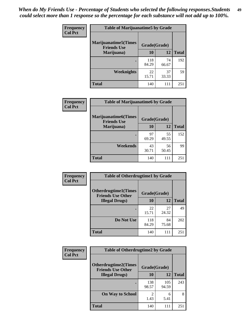| Frequency      | <b>Table of Marijuanatime5 by Grade</b>            |              |             |              |  |
|----------------|----------------------------------------------------|--------------|-------------|--------------|--|
| <b>Col Pct</b> | <b>Marijuanatime5</b> (Times<br><b>Friends Use</b> | Grade(Grade) |             |              |  |
|                | Marijuana)                                         | 10           | 12          | <b>Total</b> |  |
|                |                                                    | 118<br>84.29 | 74<br>66.67 | 192          |  |
|                | <b>Weeknights</b>                                  | 22<br>15.71  | 37<br>33.33 | 59           |  |
|                | <b>Total</b>                                       | 140          | 111         | 251          |  |

| Frequency      | <b>Table of Marijuanatime6 by Grade</b>           |              |             |              |
|----------------|---------------------------------------------------|--------------|-------------|--------------|
| <b>Col Pct</b> | <b>Marijuanatime6(Times</b><br><b>Friends Use</b> | Grade(Grade) |             |              |
|                | Marijuana)                                        | 10           | 12          | <b>Total</b> |
|                |                                                   | 97<br>69.29  | 55<br>49.55 | 152          |
|                | Weekends                                          | 43<br>30.71  | 56<br>50.45 | 99           |
|                | <b>Total</b>                                      | 140          | 111         | 251          |

| <b>Frequency</b> | <b>Table of Otherdrugtime1 by Grade</b>                  |              |             |              |  |
|------------------|----------------------------------------------------------|--------------|-------------|--------------|--|
| <b>Col Pct</b>   | <b>Otherdrugtime1</b> (Times<br><b>Friends Use Other</b> | Grade(Grade) |             |              |  |
|                  | <b>Illegal Drugs</b> )                                   | 10           | 12          | <b>Total</b> |  |
|                  |                                                          | 22<br>15.71  | 27<br>24.32 | 49           |  |
|                  | Do Not Use                                               | 118<br>84.29 | 84<br>75.68 | 202          |  |
|                  | Total                                                    | 140          | 111         | 251          |  |

| Frequency<br><b>Col Pct</b> | <b>Table of Otherdrugtime2 by Grade</b>                 |                        |              |              |  |  |  |
|-----------------------------|---------------------------------------------------------|------------------------|--------------|--------------|--|--|--|
|                             | <b>Otherdrugtime2(Times</b><br><b>Friends Use Other</b> | Grade(Grade)           |              |              |  |  |  |
|                             | <b>Illegal Drugs</b> )                                  | 10                     | 12           | <b>Total</b> |  |  |  |
|                             |                                                         | 138<br>98.57           | 105<br>94.59 | 243          |  |  |  |
|                             | <b>On Way to School</b>                                 | $\mathfrak{D}$<br>1.43 | 6<br>5.41    | 8            |  |  |  |
|                             | <b>Total</b>                                            | 140                    | 111          | 251          |  |  |  |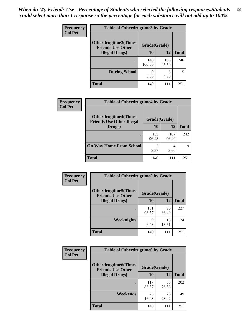| <b>Frequency</b> | <b>Table of Otherdrugtime3 by Grade</b>          |               |              |              |  |  |
|------------------|--------------------------------------------------|---------------|--------------|--------------|--|--|
| <b>Col Pct</b>   | Otherdrugtime3(Times<br><b>Friends Use Other</b> | Grade(Grade)  |              |              |  |  |
|                  | <b>Illegal Drugs)</b>                            | 10            | 12           | <b>Total</b> |  |  |
|                  |                                                  | 140<br>100.00 | 106<br>95.50 | 246          |  |  |
|                  | <b>During School</b>                             | 0.00          | 5<br>4.50    | 5            |  |  |
|                  | Total                                            | 140           | 111          | 251          |  |  |

| Frequency      | <b>Table of Otherdrugtime4 by Grade</b>                         |              |              |              |  |  |
|----------------|-----------------------------------------------------------------|--------------|--------------|--------------|--|--|
| <b>Col Pct</b> | <b>Otherdrugtime4(Times</b><br><b>Friends Use Other Illegal</b> | Grade(Grade) |              |              |  |  |
|                | Drugs)                                                          | 10           | 12           | <b>Total</b> |  |  |
|                | ٠                                                               | 135<br>96.43 | 107<br>96.40 | 242          |  |  |
|                | <b>On Way Home From School</b>                                  | 5<br>3.57    | 4<br>3.60    | q            |  |  |
|                | <b>Total</b>                                                    | 140          | 111          | 251          |  |  |

| <b>Frequency</b> | <b>Table of Otherdrugtime5 by Grade</b>                  |              |             |              |  |  |
|------------------|----------------------------------------------------------|--------------|-------------|--------------|--|--|
| <b>Col Pct</b>   | <b>Otherdrugtime5</b> (Times<br><b>Friends Use Other</b> | Grade(Grade) |             |              |  |  |
|                  | <b>Illegal Drugs</b> )                                   | 10           | 12          | <b>Total</b> |  |  |
|                  |                                                          | 131<br>93.57 | 96<br>86.49 | 227          |  |  |
|                  | <b>Weeknights</b>                                        | 9<br>6.43    | 15<br>13.51 | 24           |  |  |
|                  | <b>Total</b>                                             | 140          | 111         | 251          |  |  |

| Frequency      | <b>Table of Otherdrugtime6 by Grade</b>                 |              |             |              |  |  |
|----------------|---------------------------------------------------------|--------------|-------------|--------------|--|--|
| <b>Col Pct</b> | <b>Otherdrugtime6(Times</b><br><b>Friends Use Other</b> | Grade(Grade) |             |              |  |  |
|                | <b>Illegal Drugs</b> )                                  | 10           | 12          | <b>Total</b> |  |  |
|                |                                                         | 117<br>83.57 | 85<br>76.58 | 202          |  |  |
|                | Weekends                                                | 23<br>16.43  | 26<br>23.42 | 49           |  |  |
|                | Total                                                   | 140          | 111         | 251          |  |  |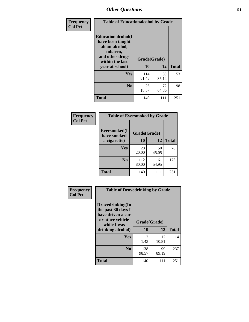| Frequency      | <b>Table of Educationalcohol by Grade</b>                                                                  |              |             |              |  |
|----------------|------------------------------------------------------------------------------------------------------------|--------------|-------------|--------------|--|
| <b>Col Pct</b> | Educationalcohol(I<br>have been taught<br>about alcohol,<br>tobacco,<br>and other drugs<br>within the last | Grade(Grade) |             |              |  |
|                | year at school)                                                                                            | 10           | 12          | <b>Total</b> |  |
|                | <b>Yes</b>                                                                                                 | 114<br>81.43 | 39<br>35.14 | 153          |  |
|                | N <sub>0</sub>                                                                                             | 26<br>18.57  | 72<br>64.86 | 98           |  |
|                | <b>Total</b>                                                                                               | 140          | 111         | 251          |  |

| Frequency      | <b>Table of Eversmoked by Grade</b> |              |             |              |  |  |
|----------------|-------------------------------------|--------------|-------------|--------------|--|--|
| <b>Col Pct</b> | Eversmoked(I<br>have smoked         | Grade(Grade) |             |              |  |  |
|                | a cigarette)                        | 10           | 12          | <b>Total</b> |  |  |
|                | <b>Yes</b>                          | 28<br>20.00  | 50<br>45.05 | 78           |  |  |
|                | N <sub>0</sub>                      | 112<br>80.00 | 61<br>54.95 | 173          |  |  |
|                | <b>Total</b>                        | 140          | 111         | 251          |  |  |

| Frequency<br><b>Col Pct</b> | <b>Table of Drovedrinking by Grade</b>                                                         |              |             |              |  |
|-----------------------------|------------------------------------------------------------------------------------------------|--------------|-------------|--------------|--|
|                             | Drovedrinking(In<br>the past 30 days I<br>have driven a car<br>or other vehicle<br>while I was | Grade(Grade) |             |              |  |
|                             | drinking alcohol)                                                                              | 10           | 12          | <b>Total</b> |  |
|                             | <b>Yes</b>                                                                                     | 2<br>1.43    | 12<br>10.81 | 14           |  |
|                             |                                                                                                |              |             |              |  |
|                             | N <sub>0</sub>                                                                                 | 138<br>98.57 | 99<br>89.19 | 237          |  |
|                             | <b>Total</b>                                                                                   | 140          | 111         | 251          |  |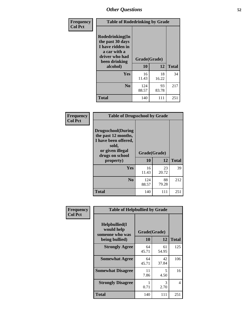| Frequency<br><b>Col Pct</b> | <b>Table of Rodedrinking by Grade</b>                                                                                  |                          |             |              |  |  |
|-----------------------------|------------------------------------------------------------------------------------------------------------------------|--------------------------|-------------|--------------|--|--|
|                             | Rodedrinking(In<br>the past 30 days<br>I have ridden in<br>a car with a<br>driver who had<br>been drinking<br>alcohol) | Grade(Grade)<br>10<br>12 |             | <b>Total</b> |  |  |
|                             | <b>Yes</b>                                                                                                             | 16<br>11.43              | 18<br>16.22 | 34           |  |  |
|                             | N <sub>0</sub>                                                                                                         | 124<br>88.57             | 93<br>83.78 | 217          |  |  |
|                             | <b>Total</b>                                                                                                           | 140                      | 111         | 251          |  |  |

#### **Frequency Col Pct**

| <b>Table of Drugsschool by Grade</b>                                                                                           |                    |             |              |  |  |  |
|--------------------------------------------------------------------------------------------------------------------------------|--------------------|-------------|--------------|--|--|--|
| Drugsschool(During<br>the past 12 months,<br>I have been offered,<br>sold,<br>or given illegal<br>drugs on school<br>property) | Grade(Grade)<br>10 | 12          | <b>Total</b> |  |  |  |
|                                                                                                                                |                    |             |              |  |  |  |
|                                                                                                                                |                    |             |              |  |  |  |
| <b>Yes</b>                                                                                                                     | 16<br>11.43        | 23<br>20.72 | 39           |  |  |  |
| N <sub>0</sub>                                                                                                                 | 124<br>88.57       | 88<br>79.28 | 212          |  |  |  |

| Frequency      | <b>Table of Helpbullied by Grade</b>                                   |                          |             |              |  |  |
|----------------|------------------------------------------------------------------------|--------------------------|-------------|--------------|--|--|
| <b>Col Pct</b> | $Helpb$ ullied $(I$<br>would help<br>someone who was<br>being bullied) | Grade(Grade)<br>10<br>12 |             | <b>Total</b> |  |  |
|                | <b>Strongly Agree</b>                                                  | 64                       | 61          | 125          |  |  |
|                |                                                                        | 45.71                    | 54.95       |              |  |  |
|                | <b>Somewhat Agree</b>                                                  | 64<br>45.71              | 42<br>37.84 | 106          |  |  |
|                | <b>Somewhat Disagree</b>                                               | 11<br>7.86               | 5<br>4.50   | 16           |  |  |
|                | <b>Strongly Disagree</b>                                               | 0.71                     | 3<br>2.70   | 4            |  |  |
|                | <b>Total</b>                                                           | 140                      | 111         | 251          |  |  |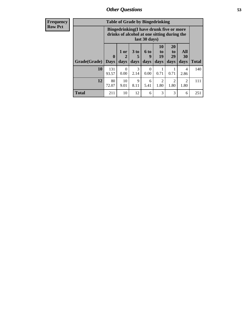$\boldsymbol{0}$ 0.00

10 9.01

3 2.14

9 8.11

**Total** 211 10 12 6 3 3 6 251

 $\boldsymbol{0}$ 0.00

6 5.41

| <b>Frequency</b> |                            |                                                                                                         |        | <b>Table of Grade by Bingedrinking</b> |                  |                |                       |                  |
|------------------|----------------------------|---------------------------------------------------------------------------------------------------------|--------|----------------------------------------|------------------|----------------|-----------------------|------------------|
| <b>Row Pct</b>   |                            | Bingedrinking(I have drunk five or more<br>drinks of alcohol at one sitting during the<br>last 30 days) |        |                                        |                  |                |                       |                  |
|                  |                            | $\mathbf{0}$                                                                                            | $1$ or | 3 to                                   | 6 to<br><b>Q</b> | 10<br>to<br>19 | <b>20</b><br>to<br>29 | <b>All</b><br>30 |
|                  | Grade(Grade)   Days   days |                                                                                                         |        | days                                   | $ $ days $ $     | days           | days                  | days             |

**10** 131 93.57

 $12 | 80$ 72.07

**Total**

140

111

> 1 0.71

2 1.80

> 1 0.71

2 1.80

**All 30 days**

> 4 2.86

> 2 1.80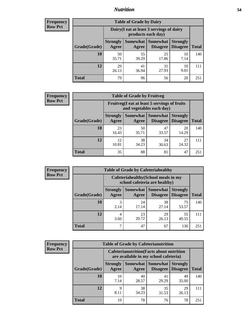### *Nutrition* **54**

| <b>Frequency</b><br>Row Pct |
|-----------------------------|
|                             |

| <b>Table of Grade by Dairy</b> |                                                                                                                                                                                         |             |             |            |     |  |  |
|--------------------------------|-----------------------------------------------------------------------------------------------------------------------------------------------------------------------------------------|-------------|-------------|------------|-----|--|--|
|                                | Dairy (I eat at least 3 servings of dairy<br>products each day)<br>Somewhat  <br><b>Somewhat</b><br><b>Strongly</b><br><b>Strongly</b><br><b>Disagree</b><br>Disagree<br>Agree<br>Agree |             |             |            |     |  |  |
| Grade(Grade)                   |                                                                                                                                                                                         |             |             |            |     |  |  |
| 10                             | 50<br>35.71                                                                                                                                                                             | 55<br>39.29 | 25<br>17.86 | 10<br>7.14 | 140 |  |  |
| 12                             | 29<br>26.13                                                                                                                                                                             | 41<br>36.94 | 31<br>27.93 | 10<br>9.01 | 111 |  |  |
| <b>Total</b>                   | 79                                                                                                                                                                                      | 96          | 56          | 20         | 251 |  |  |

| <b>Frequency</b> |  |
|------------------|--|
| <b>Row Pct</b>   |  |

| y | <b>Table of Grade by Fruitveg</b> |                          |                                                                          |                             |                                    |              |  |
|---|-----------------------------------|--------------------------|--------------------------------------------------------------------------|-----------------------------|------------------------------------|--------------|--|
|   |                                   |                          | Fruitveg(I eat at least 5 servings of fruits<br>and vegetables each day) |                             |                                    |              |  |
|   | Grade(Grade)                      | <b>Strongly</b><br>Agree | Somewhat  <br>Agree                                                      | <b>Somewhat</b><br>Disagree | <b>Strongly</b><br><b>Disagree</b> | <b>Total</b> |  |
|   | 10                                | 23<br>16.43              | 50<br>35.71                                                              | 47<br>33.57                 | 20<br>14.29                        | 140          |  |
|   | 12                                | 12<br>10.81              | 38<br>34.23                                                              | 34<br>30.63                 | 27<br>24.32                        | 111          |  |
|   | <b>Total</b>                      | 35                       | 88                                                                       | 81                          | 47                                 | 251          |  |

| <b>Frequency</b> | <b>Table of Grade by Cafeteriahealthy</b> |                                                                       |             |                                      |                                    |              |  |
|------------------|-------------------------------------------|-----------------------------------------------------------------------|-------------|--------------------------------------|------------------------------------|--------------|--|
| <b>Row Pct</b>   |                                           | Cafeteriahealthy (School meals in my<br>school cafeteria are healthy) |             |                                      |                                    |              |  |
|                  | Grade(Grade)                              | <b>Strongly</b><br>Agree                                              | Agree       | Somewhat Somewhat<br><b>Disagree</b> | <b>Strongly</b><br><b>Disagree</b> | <b>Total</b> |  |
|                  | <b>10</b>                                 | 3<br>2.14                                                             | 24<br>17.14 | 38<br>27.14                          | 75<br>53.57                        | 140          |  |
|                  | 12                                        | 3.60                                                                  | 23<br>20.72 | 29<br>26.13                          | 55<br>49.55                        | 111          |  |
|                  | Total                                     |                                                                       | 47          | 67                                   | 130                                | 251          |  |

| Frequency      | <b>Table of Grade by Cafeterianutrition</b> |                                                                                           |             |                                   |                                    |              |  |  |
|----------------|---------------------------------------------|-------------------------------------------------------------------------------------------|-------------|-----------------------------------|------------------------------------|--------------|--|--|
| <b>Row Pct</b> |                                             | <b>Cafeterianutrition</b> (Facts about nutrition<br>are available in my school cafeteria) |             |                                   |                                    |              |  |  |
|                | Grade(Grade)                                | <b>Strongly</b><br>Agree                                                                  | Agree       | Somewhat   Somewhat  <br>Disagree | <b>Strongly</b><br><b>Disagree</b> | <b>Total</b> |  |  |
|                | <b>10</b>                                   | 10<br>7.14                                                                                | 40<br>28.57 | 41<br>29.29                       | 49<br>35.00                        | 140          |  |  |
|                | 12                                          | Q<br>8.11                                                                                 | 38<br>34.23 | 35<br>31.53                       | 29<br>26.13                        | 111          |  |  |
|                | <b>Total</b>                                | 19                                                                                        | 78          | 76                                | 78                                 | 251          |  |  |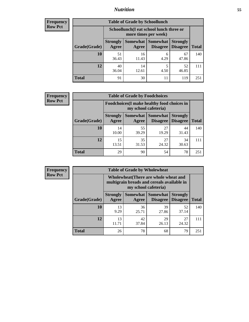## *Nutrition* **55**

| Frequency |
|-----------|
| Row Pct   |

| <b>Table of Grade by Schoollunch</b> |                                                                                                                                                                                             |             |           |             |     |  |  |
|--------------------------------------|---------------------------------------------------------------------------------------------------------------------------------------------------------------------------------------------|-------------|-----------|-------------|-----|--|--|
|                                      | Schoollunch(I eat school lunch three or<br>more times per week)<br>Somewhat Somewhat<br><b>Strongly</b><br><b>Strongly</b><br><b>Disagree</b><br>Disagree<br><b>Total</b><br>Agree<br>Agree |             |           |             |     |  |  |
| Grade(Grade)                         |                                                                                                                                                                                             |             |           |             |     |  |  |
| 10                                   | 51<br>36.43                                                                                                                                                                                 | 16<br>11.43 | 6<br>4.29 | 67<br>47.86 | 140 |  |  |
| 12                                   | 40<br>36.04                                                                                                                                                                                 | 14<br>12.61 | 5<br>4.50 | 52<br>46.85 | 111 |  |  |
| <b>Total</b>                         | 91                                                                                                                                                                                          | 30          | 11        | 119         | 251 |  |  |

| <b>Frequency</b> |  |
|------------------|--|
| <b>Row Pct</b>   |  |

7 C

| V | <b>Table of Grade by Foodchoices</b> |                                                                     |                     |                             |                                    |              |  |
|---|--------------------------------------|---------------------------------------------------------------------|---------------------|-----------------------------|------------------------------------|--------------|--|
|   |                                      | Foodchoices (I make healthy food choices in<br>my school cafeteria) |                     |                             |                                    |              |  |
|   | Grade(Grade)                         | <b>Strongly</b><br>Agree                                            | Somewhat  <br>Agree | Somewhat<br><b>Disagree</b> | <b>Strongly</b><br><b>Disagree</b> | <b>Total</b> |  |
|   | 10                                   | 14<br>10.00                                                         | 55<br>39.29         | 27<br>19.29                 | 44<br>31.43                        | 140          |  |
|   | 12                                   | 15<br>13.51                                                         | 35<br>31.53         | 27<br>24.32                 | 34<br>30.63                        | 111          |  |
|   | <b>Total</b>                         | 29                                                                  | 90                  | 54                          | 78                                 | 251          |  |

| <b>Frequency</b> | <b>Table of Grade by Wh</b> |                 |                                                                       |   |  |  |  |
|------------------|-----------------------------|-----------------|-----------------------------------------------------------------------|---|--|--|--|
| <b>Row Pct</b>   |                             |                 | <b>Wholewheat</b> (There are<br>multigrain breads and<br>my school ca |   |  |  |  |
|                  |                             | <b>Strongly</b> | <b>Somewhat</b>                                                       | S |  |  |  |
|                  | Grade(Grade)                | Agree           | Agree                                                                 |   |  |  |  |
|                  | 10                          | 13              | 36                                                                    |   |  |  |  |
|                  |                             | 9.29            |                                                                       |   |  |  |  |

|              |                                                                                                             | <b>Table of Grade by Wholewheat</b> |                                        |                                    |  |  |  |  |
|--------------|-------------------------------------------------------------------------------------------------------------|-------------------------------------|----------------------------------------|------------------------------------|--|--|--|--|
|              | Wholewheat (There are whole wheat and<br>multigrain breads and cereals available in<br>my school cafeteria) |                                     |                                        |                                    |  |  |  |  |
| Grade(Grade) | <b>Strongly</b><br>Agree                                                                                    | Agree                               | Somewhat   Somewhat<br><b>Disagree</b> | <b>Strongly</b><br><b>Disagree</b> |  |  |  |  |
| 10           | 13<br>9.29                                                                                                  | 36<br>25.71                         | 39<br>27.86                            | 52<br>37.14                        |  |  |  |  |
|              | 13                                                                                                          | 42                                  | 29                                     |                                    |  |  |  |  |

11.71

37.84

**Total** 26 78 68 79 251

26.13

**Total**

140

111

27 24.32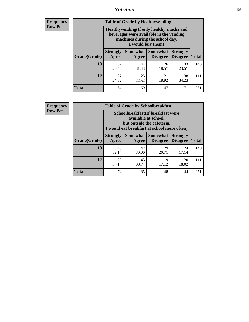### *Nutrition* **56**

**Frequency Row Pct**

| <b>Table of Grade by Healthyvending</b> |                                                                                                                                               |                          |                                    |                                    |              |
|-----------------------------------------|-----------------------------------------------------------------------------------------------------------------------------------------------|--------------------------|------------------------------------|------------------------------------|--------------|
|                                         | Healthyvending (If only healthy snacks and<br>beverages were available in the vending<br>machines during the school day,<br>I would buy them) |                          |                                    |                                    |              |
| Grade(Grade)                            | <b>Strongly</b><br>Agree                                                                                                                      | <b>Somewhat</b><br>Agree | <b>Somewhat</b><br><b>Disagree</b> | <b>Strongly</b><br><b>Disagree</b> | <b>Total</b> |
| 10                                      | 37<br>26.43                                                                                                                                   | 44<br>31.43              | 26<br>18.57                        | 33<br>23.57                        | 140          |
| 12                                      | 27<br>24.32                                                                                                                                   | 25<br>22.52              | 21<br>18.92                        | 38<br>34.23                        | 111          |
| <b>Total</b>                            | 64                                                                                                                                            | 69                       | 47                                 | 71                                 | 251          |

**Frequency Row Pct**

| <b>Table of Grade by Schoolbreakfast</b> |                                                                                                                                         |             |                                               |                                    |              |  |
|------------------------------------------|-----------------------------------------------------------------------------------------------------------------------------------------|-------------|-----------------------------------------------|------------------------------------|--------------|--|
|                                          | Schoolbreakfast (If breakfast were<br>available at school,<br>but outside the cafeteria,<br>I would eat breakfast at school more often) |             |                                               |                                    |              |  |
| Grade(Grade)                             | <b>Strongly</b><br>Agree                                                                                                                | Agree       | <b>Somewhat   Somewhat</b><br><b>Disagree</b> | <b>Strongly</b><br><b>Disagree</b> | <b>Total</b> |  |
| 10                                       | 45<br>32.14                                                                                                                             | 42<br>30.00 | 29<br>20.71                                   | 24<br>17.14                        | 140          |  |
| 12                                       | 29<br>26.13                                                                                                                             | 43<br>38.74 | 19<br>17.12                                   | 20<br>18.02                        | 111          |  |
| <b>Total</b>                             | 74                                                                                                                                      | 85          | 48                                            | 44                                 | 251          |  |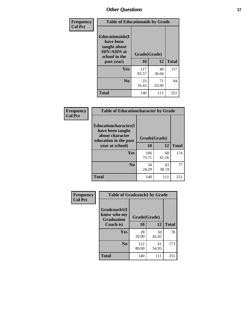| Frequency<br><b>Col Pct</b> |                                                                                                           | <b>Table of Educationaids by Grade</b> |             |              |  |
|-----------------------------|-----------------------------------------------------------------------------------------------------------|----------------------------------------|-------------|--------------|--|
|                             | <b>Educationaids</b> (I<br>have been<br>taught about<br><b>HIV/AIDS</b> at<br>school in the<br>past year) | Grade(Grade)<br>10                     | 12          | <b>Total</b> |  |
|                             | Yes                                                                                                       | 117<br>83.57                           | 40<br>36.04 | 157          |  |
|                             | N <sub>0</sub>                                                                                            | 23<br>16.43                            | 71<br>63.96 | 94           |  |
|                             | <b>Total</b>                                                                                              | 140                                    | 111         | 251          |  |

| Frequency      | <b>Table of Educationcharacter by Grade</b>                 |              |             |              |
|----------------|-------------------------------------------------------------|--------------|-------------|--------------|
| <b>Col Pct</b> | Educationcharacter(I<br>have been taught<br>about character | Grade(Grade) |             |              |
|                | education in the past<br>year at school)                    | 10           | 12          | <b>Total</b> |
|                | <b>Yes</b>                                                  | 106<br>75.71 | 68<br>61.26 | 174          |
|                | N <sub>0</sub>                                              | 34<br>24.29  | 43<br>38.74 | 77           |
|                | <b>Total</b>                                                | 140          | 111         | 251          |

| Frequency      | <b>Table of Gradcoach1 by Grade</b> |                    |              |     |  |
|----------------|-------------------------------------|--------------------|--------------|-----|--|
| <b>Col Pct</b> | Gradcoach1(I<br>know who my         |                    |              |     |  |
|                | <b>Graduation</b><br>Coach is)      | Grade(Grade)<br>10 | <b>Total</b> |     |  |
|                | Yes                                 | 28<br>20.00        | 50<br>45.05  | 78  |  |
|                | N <sub>0</sub>                      | 112<br>80.00       | 61<br>54.95  | 173 |  |
|                | <b>Total</b>                        | 140                | 111          | 251 |  |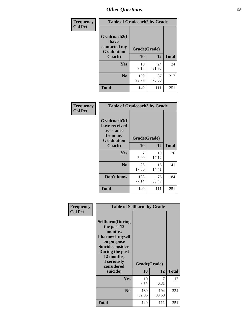| Frequency      | <b>Table of Gradcoach2 by Grade</b> |              |             |              |
|----------------|-------------------------------------|--------------|-------------|--------------|
| <b>Col Pct</b> |                                     |              |             |              |
|                | Gradcoach2(I<br>have                |              |             |              |
|                | contacted my<br><b>Graduation</b>   | Grade(Grade) |             |              |
|                | Coach)                              | 10           | 12          | <b>Total</b> |
|                | Yes                                 | 10<br>7.14   | 24<br>21.62 | 34           |
|                | N <sub>0</sub>                      | 130<br>92.86 | 87<br>78.38 | 217          |
|                | <b>Total</b>                        | 140          | 111         | 251          |

| <b>Frequency</b><br><b>Col Pct</b> | <b>Table of Gradcoach3 by Grade</b>                                         |              |             |              |
|------------------------------------|-----------------------------------------------------------------------------|--------------|-------------|--------------|
|                                    | Gradcoach3(I<br>have received<br>assistance<br>from my<br><b>Graduation</b> | Grade(Grade) |             |              |
|                                    | Coach)                                                                      | 10           | 12          | <b>Total</b> |
|                                    | Yes                                                                         | 7<br>5.00    | 19<br>17.12 | 26           |
|                                    | N <sub>0</sub>                                                              | 25<br>17.86  | 16<br>14.41 | 41           |
|                                    | Don't know                                                                  | 108<br>77.14 | 76<br>68.47 | 184          |
|                                    | <b>Total</b>                                                                | 140          | 111         | 251          |

| Frequency      | <b>Table of Selfharm by Grade</b>                                                                                                                                                      |                    |              |              |
|----------------|----------------------------------------------------------------------------------------------------------------------------------------------------------------------------------------|--------------------|--------------|--------------|
| <b>Col Pct</b> | <b>Selfharm</b> (During<br>the past 12<br>months,<br>I harmed myself<br>on purpose<br><b>Suicideconsider</b><br>During the past<br>12 months,<br>I seriously<br>considered<br>suicide) | Grade(Grade)<br>10 | 12           | <b>Total</b> |
|                | Yes                                                                                                                                                                                    | 10<br>7.14         | 7<br>6.31    | 17           |
|                | N <sub>0</sub>                                                                                                                                                                         | 130<br>92.86       | 104<br>93.69 | 234          |
|                | Total                                                                                                                                                                                  | 140                | 111          | 251          |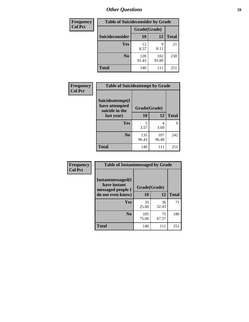| <b>Frequency</b> | <b>Table of Suicideconsider by Grade</b> |              |              |              |  |
|------------------|------------------------------------------|--------------|--------------|--------------|--|
| <b>Col Pct</b>   |                                          | Grade(Grade) |              |              |  |
|                  | Suicideconsider                          | <b>10</b>    | 12           | <b>Total</b> |  |
|                  | Yes                                      | 12<br>8.57   | q<br>8.11    | 21           |  |
|                  | N <sub>0</sub>                           | 128<br>91.43 | 102<br>91.89 | 230          |  |
|                  | Total                                    | 140          | 111          | 251          |  |

| Frequency      | <b>Table of Suicideattempt by Grade</b>              |              |              |              |
|----------------|------------------------------------------------------|--------------|--------------|--------------|
| <b>Col Pct</b> | Suicideattempt(I<br>have attempted<br>suicide in the | Grade(Grade) |              |              |
|                | last year)                                           | 10           | 12           | <b>Total</b> |
|                | Yes                                                  | 5<br>3.57    | 4<br>3.60    | 9            |
|                | N <sub>0</sub>                                       | 135<br>96.43 | 107<br>96.40 | 242          |
|                | <b>Total</b>                                         | 140          | 111          | 251          |

| Frequency      | <b>Table of Instantmessaged by Grade</b>                       |              |             |              |
|----------------|----------------------------------------------------------------|--------------|-------------|--------------|
| <b>Col Pct</b> | <b>Instantmessaged</b> (I<br>have instant<br>messaged people I | Grade(Grade) |             |              |
|                | do not even know)                                              | 10           | 12          | <b>Total</b> |
|                | Yes                                                            | 35<br>25.00  | 36<br>32.43 | 71           |
|                | N <sub>0</sub>                                                 | 105<br>75.00 | 75<br>67.57 | 180          |
|                | <b>Total</b>                                                   | 140          | 111         | 251          |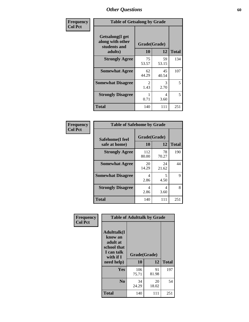| Frequency      | <b>Table of Getsalong by Grade</b>                                     |                           |             |              |
|----------------|------------------------------------------------------------------------|---------------------------|-------------|--------------|
| <b>Col Pct</b> | <b>Getsalong</b> (I get<br>along with other<br>students and<br>adults) | Grade(Grade)<br><b>10</b> | 12          | <b>Total</b> |
|                | <b>Strongly Agree</b>                                                  | 75<br>53.57               | 59<br>53.15 | 134          |
|                | <b>Somewhat Agree</b>                                                  | 62<br>44.29               | 45<br>40.54 | 107          |
|                | <b>Somewhat Disagree</b>                                               | $\mathfrak{D}$<br>1.43    | 3<br>2.70   | 5            |
|                | <b>Strongly Disagree</b>                                               | 0.71                      | 4<br>3.60   | 5            |
|                | <b>Total</b>                                                           | 140                       | 111         | 251          |

| Frequency<br>Col Pct |
|----------------------|

| <b>Table of Safehome by Grade</b> |              |                    |     |  |  |  |  |  |
|-----------------------------------|--------------|--------------------|-----|--|--|--|--|--|
| Safehome(I feel<br>safe at home)  | 10           | Grade(Grade)<br>12 |     |  |  |  |  |  |
| <b>Strongly Agree</b>             | 112<br>80.00 | 78<br>70.27        | 190 |  |  |  |  |  |
| <b>Somewhat Agree</b>             | 20<br>14.29  | 24<br>21.62        | 44  |  |  |  |  |  |
| <b>Somewhat Disagree</b>          | 4<br>2.86    | 5.<br>4.50         | 9   |  |  |  |  |  |
| <b>Strongly Disagree</b>          | 4<br>2.86    | 4<br>3.60          | 8   |  |  |  |  |  |
| <b>Total</b>                      | 140          | 111                | 251 |  |  |  |  |  |

| Frequency      | <b>Table of Adulttalk by Grade</b>                                                   |                    |             |              |  |  |  |
|----------------|--------------------------------------------------------------------------------------|--------------------|-------------|--------------|--|--|--|
| <b>Col Pct</b> | <b>Adulttalk</b> (I<br>know an<br>adult at<br>school that<br>I can talk<br>with if I | Grade(Grade)<br>10 | 12          | <b>Total</b> |  |  |  |
|                | need help)                                                                           |                    |             |              |  |  |  |
|                | <b>Yes</b>                                                                           | 106<br>75.71       | 91<br>81.98 | 197          |  |  |  |
|                | N <sub>0</sub>                                                                       | 34<br>24.29        | 20<br>18.02 | 54           |  |  |  |
|                | Total                                                                                | 140                | 111         | 251          |  |  |  |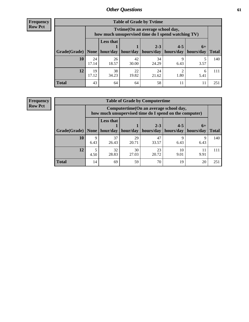**Frequency Row Pct**

r

| <b>Table of Grade by Tvtime</b> |             |                                                                                         |             |                       |           |           |              |  |  |  |  |
|---------------------------------|-------------|-----------------------------------------------------------------------------------------|-------------|-----------------------|-----------|-----------|--------------|--|--|--|--|
|                                 |             | Tytime (On an average school day,<br>how much unsupervised time do I spend watching TV) |             |                       |           |           |              |  |  |  |  |
|                                 |             | <b>Less that</b><br>$2 - 3$<br>$4 - 5$<br>$6+$                                          |             |                       |           |           |              |  |  |  |  |
| Grade(Grade)                    | None        | hour/day                                                                                | hour/day    | hours/day   hours/day |           | hours/day | <b>Total</b> |  |  |  |  |
| 10                              | 24<br>17.14 | 26<br>18.57                                                                             | 42<br>30.00 | 34<br>24.29           | Q<br>6.43 | 3.57      | 140          |  |  |  |  |
| 12                              | 19<br>17.12 | 38<br>34.23                                                                             | 22<br>19.82 | 24<br>21.62           | 1.80      | 6<br>5.41 | 111          |  |  |  |  |
| <b>Total</b>                    | 43          | 64                                                                                      | 64          | 58                    |           |           | 251          |  |  |  |  |

**Frequency Row Pct**

| <b>Table of Grade by Computertime</b> |           |                                                                                                  |                     |             |            |           |              |  |  |  |  |
|---------------------------------------|-----------|--------------------------------------------------------------------------------------------------|---------------------|-------------|------------|-----------|--------------|--|--|--|--|
|                                       |           | Computertime(On an average school day,<br>how much unsupervised time do I spend on the computer) |                     |             |            |           |              |  |  |  |  |
|                                       |           | <b>Less that</b><br>$2 - 3$<br>$4 - 5$<br>$6+$                                                   |                     |             |            |           |              |  |  |  |  |
| Grade(Grade)                          | None      |                                                                                                  | hour/day   hour/day | hours/day   | hours/day  | hours/day | <b>Total</b> |  |  |  |  |
| <b>10</b>                             | 9<br>6.43 | 37<br>26.43                                                                                      | 29<br>20.71         | 47<br>33.57 | q<br>6.43  | Q<br>6.43 | 140          |  |  |  |  |
| 12                                    | 4.50      | 32<br>28.83                                                                                      | 30<br>27.03         | 23<br>20.72 | 10<br>9.01 | 9.91      | 111          |  |  |  |  |
| <b>Total</b>                          | 14        | 69                                                                                               | 59                  | 70          | 19         | 20        | 251          |  |  |  |  |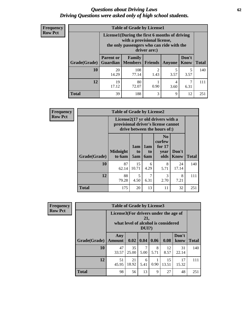#### *Questions about Driving Laws* **62** *Driving Questions were asked only of high school students.*

| <b>Frequency</b> |
|------------------|
| <b>Row Pct</b>   |

| <b>Table of Grade by License1</b> |                                     |                                                                                                                                           |                |               |               |              |  |  |  |
|-----------------------------------|-------------------------------------|-------------------------------------------------------------------------------------------------------------------------------------------|----------------|---------------|---------------|--------------|--|--|--|
|                                   |                                     | License1(During the first 6 months of driving<br>with a provisional license,<br>the only passengers who can ride with the<br>driver are:) |                |               |               |              |  |  |  |
| Grade(Grade)                      | <b>Parent or</b><br><b>Guardian</b> | Family<br>  Members                                                                                                                       | <b>Friends</b> | <b>Anyone</b> | Don't<br>Know | <b>Total</b> |  |  |  |
| 10                                | 20<br>14.29                         | 108<br>77.14                                                                                                                              | 2<br>1.43      | 5<br>3.57     | 5<br>3.57     | 140          |  |  |  |
| 12                                | 19<br>17.12                         | 80<br>72.07                                                                                                                               | 0.90           | 4<br>3.60     | 6.31          | 111          |  |  |  |
| Total                             | 39                                  | 188                                                                                                                                       | 3              | 9             | 12            | 251          |  |  |  |

| Frequency      | <b>Table of Grade by License2</b> |                           |                  |                  |                                                                                                          |                      |              |  |  |  |
|----------------|-----------------------------------|---------------------------|------------------|------------------|----------------------------------------------------------------------------------------------------------|----------------------|--------------|--|--|--|
| <b>Row Pct</b> |                                   |                           |                  |                  | License2(17 yr old drivers with a<br>provisional driver's license cannot<br>drive between the hours of:) |                      |              |  |  |  |
|                | Grade(Grade)                      | <b>Midnight</b><br>to 6am | 1am<br>to<br>5am | 1am<br>to<br>6am | N <sub>0</sub><br>curfew<br>for $17$<br>year<br>olds                                                     | Don't<br><b>Know</b> | <b>Total</b> |  |  |  |
|                | 10                                | 87<br>62.14               | 15<br>10.71      | 6<br>4.29        | 8<br>5.71                                                                                                | 24<br>17.14          | 140          |  |  |  |
|                | 12                                | 88<br>79.28               | 5<br>4.50        | 7<br>6.31        | 3<br>2.70                                                                                                | 8<br>7.21            | 111          |  |  |  |
|                | <b>Total</b>                      | 175                       | 20               | 13               | 11                                                                                                       | 32                   | 251          |  |  |  |

| Frequency      | <b>Table of Grade by License3</b> |                                                                                                 |             |           |           |             |               |              |  |  |
|----------------|-----------------------------------|-------------------------------------------------------------------------------------------------|-------------|-----------|-----------|-------------|---------------|--------------|--|--|
| <b>Row Pct</b> |                                   | License3(For drivers under the age of<br>21,<br>what level of alcohol is considered<br>$DUI$ ?) |             |           |           |             |               |              |  |  |
|                | Grade(Grade)                      | Any<br><b>Amount</b>                                                                            | 0.02        | 0.04      | 0.06      | 0.08        | Don't<br>know | <b>Total</b> |  |  |
|                | 10                                | 47<br>33.57                                                                                     | 35<br>25.00 | 7<br>5.00 | 8<br>5.71 | 12<br>8.57  | 31<br>22.14   | 140          |  |  |
|                | 12                                | 51<br>45.95                                                                                     | 21<br>18.92 | 6<br>5.41 | 0.90      | 15<br>13.51 | 17<br>15.32   | 111          |  |  |
|                | <b>Total</b>                      | 98                                                                                              | 56          | 13        | 9         | 27          | 48            | 251          |  |  |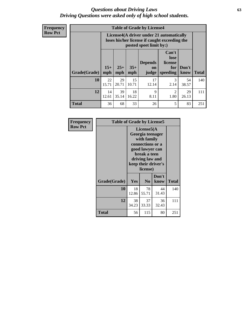#### *Questions about Driving Laws* **63** *Driving Questions were asked only of high school students.*

**Frequency Row Pct**

| <b>Table of Grade by License4</b> |              |                                                                                                                               |             |                     |                        |             |              |  |  |  |
|-----------------------------------|--------------|-------------------------------------------------------------------------------------------------------------------------------|-------------|---------------------|------------------------|-------------|--------------|--|--|--|
|                                   |              | License4(A driver under 21 automatically<br>loses his/her license if caught exceeding the<br>posted speet limit by:)          |             |                     |                        |             |              |  |  |  |
| Grade(Grade)                      | $15+$<br>mph | Can't<br>lose<br><b>Depends</b><br>license<br>$25+$<br>$35+$<br>Don't<br>for<br>on<br>speeding<br>mph<br>mph<br>know<br>judge |             |                     |                        |             | <b>Total</b> |  |  |  |
| 10                                | 22<br>15.71  | 29<br>20.71                                                                                                                   | 15<br>10.71 | 17<br>12.14         | 3<br>2.14              | 54<br>38.57 | 140          |  |  |  |
| 12                                | 14<br>12.61  | 39<br>35.14                                                                                                                   | 18<br>16.22 | $\mathbf Q$<br>8.11 | $\mathfrak{D}$<br>1.80 | 29<br>26.13 | 111          |  |  |  |
| <b>Total</b>                      | 36           | 68                                                                                                                            | 33          | 26                  | 5                      | 83          | 251          |  |  |  |

| Frequency      | <b>Table of Grade by License5</b> |             |                                                                                                                                      |                     |              |  |  |
|----------------|-----------------------------------|-------------|--------------------------------------------------------------------------------------------------------------------------------------|---------------------|--------------|--|--|
| <b>Row Pct</b> |                                   |             | License5(A)<br>Georgia teenager<br>with family<br>connections or a<br>good lawyer can<br>break a teen<br>driving law and<br>license) | keep their driver's |              |  |  |
|                | Grade(Grade)                      | Yes         | N <sub>0</sub>                                                                                                                       | Don't<br>know       | <b>Total</b> |  |  |
|                | 10                                | 18<br>12.86 | 78<br>55.71                                                                                                                          | 44<br>31.43         | 140          |  |  |
|                | 12                                | 38<br>34.23 | 37<br>33.33                                                                                                                          | 36<br>32.43         | 111          |  |  |
|                | Total                             | 56          | 115                                                                                                                                  | 80                  | 251          |  |  |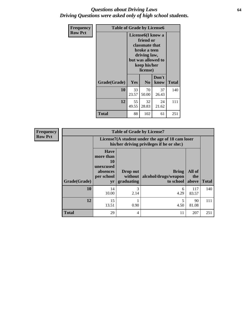#### *Questions about Driving Laws* **64** *Driving Questions were asked only of high school students.*

| <b>Frequency</b> | <b>Table of Grade by License6</b> |                                                                                                                                                 |                |               |              |  |  |
|------------------|-----------------------------------|-------------------------------------------------------------------------------------------------------------------------------------------------|----------------|---------------|--------------|--|--|
| <b>Row Pct</b>   |                                   | License <sub>6</sub> (I know a<br>friend or<br>classmate that<br>broke a teen<br>driving law,<br>but was allowed to<br>keep his/her<br>license) |                |               |              |  |  |
|                  | Grade(Grade)                      | <b>Yes</b>                                                                                                                                      | N <sub>0</sub> | Don't<br>know | <b>Total</b> |  |  |
|                  | 10                                | 33<br>23.57                                                                                                                                     | 70<br>50.00    | 37<br>26.43   | 140          |  |  |
|                  | 12                                | 55<br>49.55                                                                                                                                     | 32<br>28.83    | 24<br>21.62   | 111          |  |  |
|                  | <b>Total</b>                      | 88                                                                                                                                              | 102            | 61            | 251          |  |  |

| <b>Frequency</b> |              |                                                                             | <b>Table of Grade by License7</b>                                                             |                                            |                        |              |  |
|------------------|--------------|-----------------------------------------------------------------------------|-----------------------------------------------------------------------------------------------|--------------------------------------------|------------------------|--------------|--|
| <b>Row Pct</b>   |              |                                                                             | License7(A student under the age of 18 cam loser<br>his/her driving privileges if he or she:) |                                            |                        |              |  |
|                  | Grade(Grade) | <b>Have</b><br>more than<br>10<br>unexcused<br>absences<br>per school<br>yr | Drop out<br>without  <br>graduating                                                           | Bring<br>alcohol/drugs/weapon<br>to school | All of<br>the<br>above | <b>Total</b> |  |
|                  | 10           | 14<br>10.00                                                                 | 3<br>2.14                                                                                     | 6<br>4.29                                  | 117<br>83.57           | 140          |  |
|                  | 12           | 15<br>13.51                                                                 | 0.90                                                                                          | 4.50                                       | 90<br>81.08            | 111          |  |
|                  | <b>Total</b> | 29                                                                          | 4                                                                                             | 11                                         | 207                    | 251          |  |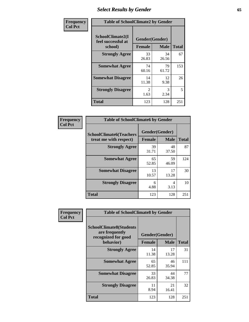# *Select Results by Gender* **65**

| Frequency      | <b>Table of SchoolClimate2 by Gender</b>          |                                 |             |              |
|----------------|---------------------------------------------------|---------------------------------|-------------|--------------|
| <b>Col Pct</b> | SchoolClimate2(I<br>feel successful at<br>school) | Gender(Gender)<br><b>Female</b> | <b>Male</b> | <b>Total</b> |
|                | <b>Strongly Agree</b>                             | 33<br>26.83                     | 34<br>26.56 | 67           |
|                | <b>Somewhat Agree</b>                             | 74<br>60.16                     | 79<br>61.72 | 153          |
|                | <b>Somewhat Disagree</b>                          | 14<br>11.38                     | 12<br>9.38  | 26           |
|                | <b>Strongly Disagree</b>                          | $\mathfrak{D}$<br>1.63          | 3<br>2.34   | 5            |
|                | <b>Total</b>                                      | 123                             | 128         | 251          |

| Frequency      | <b>Table of SchoolClimate6 by Gender</b>                 |                                 |             |              |  |
|----------------|----------------------------------------------------------|---------------------------------|-------------|--------------|--|
| <b>Col Pct</b> | <b>SchoolClimate6(Teachers</b><br>treat me with respect) | Gender(Gender)<br><b>Female</b> | <b>Male</b> | <b>Total</b> |  |
|                | <b>Strongly Agree</b>                                    | 39<br>31.71                     | 48<br>37.50 | 87           |  |
|                | <b>Somewhat Agree</b>                                    | 65<br>52.85                     | 59<br>46.09 | 124          |  |
|                | <b>Somewhat Disagree</b>                                 | 13<br>10.57                     | 17<br>13.28 | 30           |  |
|                | <b>Strongly Disagree</b>                                 | 6<br>4.88                       | 4<br>3.13   | 10           |  |
|                | Total                                                    | 123                             | 128         | 251          |  |

| <b>Frequency</b> | <b>Table of SchoolClimate8 by Gender</b>                                             |                                 |                   |     |
|------------------|--------------------------------------------------------------------------------------|---------------------------------|-------------------|-----|
| <b>Col Pct</b>   | <b>SchoolClimate8(Students</b><br>are frequently<br>recognized for good<br>behavior) | Gender(Gender)<br><b>Female</b> | <b>Total</b>      |     |
|                  | <b>Strongly Agree</b>                                                                | 14                              | <b>Male</b><br>17 | 31  |
|                  |                                                                                      | 11.38                           | 13.28             |     |
|                  | <b>Somewhat Agree</b>                                                                | 65<br>52.85                     | 46<br>35.94       | 111 |
|                  | <b>Somewhat Disagree</b>                                                             | 33<br>26.83                     | 44<br>34.38       | 77  |
|                  | <b>Strongly Disagree</b>                                                             | 11<br>8.94                      | 21<br>16.41       | 32  |
|                  | Total                                                                                | 123                             | 128               | 251 |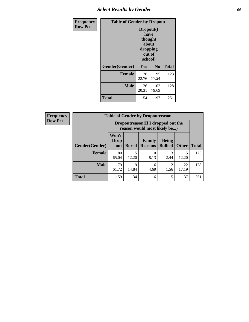# *Select Results by Gender* **66**

| Frequency      | <b>Table of Gender by Dropout</b> |                                                                        |                |              |
|----------------|-----------------------------------|------------------------------------------------------------------------|----------------|--------------|
| <b>Row Pct</b> |                                   | Dropout(I<br>have<br>thought<br>about<br>dropping<br>out of<br>school) |                |              |
|                | Gender(Gender)                    | Yes                                                                    | N <sub>0</sub> | <b>Total</b> |
|                | <b>Female</b>                     | 28<br>22.76                                                            | 95<br>77.24    | 123          |
|                | <b>Male</b>                       | 26<br>20.31                                                            | 102<br>79.69   | 128          |
|                | <b>Total</b>                      | 54                                                                     | 197            | 251          |

| Frequency      |                        | <b>Table of Gender by Dropoutreason</b> |              |                                                                    |                                |              |              |  |
|----------------|------------------------|-----------------------------------------|--------------|--------------------------------------------------------------------|--------------------------------|--------------|--------------|--|
| <b>Row Pct</b> |                        |                                         |              | Dropoutreason(If I dropped out the<br>reason would most likely be) |                                |              |              |  |
|                | <b>Gender</b> (Gender) | Won't<br><b>Drop</b><br>out             | <b>Bored</b> | <b>Family</b><br><b>Reasons</b>                                    | <b>Being</b><br><b>Bullied</b> | <b>Other</b> | <b>Total</b> |  |
|                | Female                 | 80<br>65.04                             | 15<br>12.20  | 10<br>8.13                                                         | 3<br>2.44                      | 15<br>12.20  | 123          |  |
|                | <b>Male</b>            | 79<br>61.72                             | 19<br>14.84  | 6<br>4.69                                                          | 2<br>1.56                      | 22<br>17.19  | 128          |  |
|                | <b>Total</b>           | 159                                     | 34           | 16                                                                 | 5                              | 37           | 251          |  |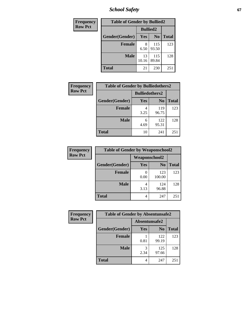*School Safety* **67**

| Frequency      | <b>Table of Gender by Bullied2</b> |                 |                |              |
|----------------|------------------------------------|-----------------|----------------|--------------|
| <b>Row Pct</b> |                                    | <b>Bullied2</b> |                |              |
|                | Gender(Gender)                     | Yes             | N <sub>0</sub> | <b>Total</b> |
|                | <b>Female</b>                      | 8<br>6.50       | 115<br>93.50   | 123          |
|                | <b>Male</b>                        | 13<br>10.16     | 115<br>89.84   | 128          |
|                | Total                              | 21              | 230            | 251          |

| Frequency      | <b>Table of Gender by Bulliedothers2</b> |                       |                |              |
|----------------|------------------------------------------|-----------------------|----------------|--------------|
| <b>Row Pct</b> |                                          | <b>Bulliedothers2</b> |                |              |
|                | Gender(Gender)                           | Yes                   | N <sub>0</sub> | <b>Total</b> |
|                | <b>Female</b>                            | 4<br>3.25             | 119<br>96.75   | 123          |
|                | <b>Male</b>                              | 6<br>4.69             | 122<br>95.31   | 128          |
|                | <b>Total</b>                             | 10                    | 241            | 251          |

| Frequency      | <b>Table of Gender by Weaponschool2</b> |                      |                |              |
|----------------|-----------------------------------------|----------------------|----------------|--------------|
| <b>Row Pct</b> |                                         | <b>Weaponschool2</b> |                |              |
|                | Gender(Gender)                          | <b>Yes</b>           | N <sub>0</sub> | <b>Total</b> |
|                | <b>Female</b>                           | 0.00                 | 123<br>100.00  | 123          |
|                | <b>Male</b>                             | 3.13                 | 124<br>96.88   | 128          |
|                | <b>Total</b>                            | 4                    | 247            | 251          |

| <b>Frequency</b> | <b>Table of Gender by Absentunsafe2</b> |               |                |              |
|------------------|-----------------------------------------|---------------|----------------|--------------|
| <b>Row Pct</b>   |                                         | Absentunsafe2 |                |              |
|                  | Gender(Gender)                          | Yes           | N <sub>0</sub> | <b>Total</b> |
|                  | <b>Female</b>                           | 0.81          | 122<br>99.19   | 123          |
|                  | <b>Male</b>                             | 2.34          | 125<br>97.66   | 128          |
|                  | <b>Total</b>                            | 4             | 247            | 251          |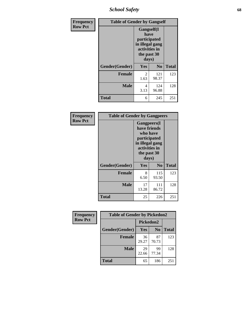*School Safety* **68**

| Frequency      | <b>Table of Gender by Gangself</b> |                                                                                                |                |              |
|----------------|------------------------------------|------------------------------------------------------------------------------------------------|----------------|--------------|
| <b>Row Pct</b> |                                    | Gangself(I<br>have<br>participated<br>in illegal gang<br>activities in<br>the past 30<br>days) |                |              |
|                | Gender(Gender)                     | Yes                                                                                            | N <sub>0</sub> | <b>Total</b> |
|                | <b>Female</b>                      | $\overline{c}$<br>1.63                                                                         | 121<br>98.37   | 123          |
|                | <b>Male</b>                        | 4<br>3.13                                                                                      | 124<br>96.88   | 128          |
|                | <b>Total</b>                       | 6                                                                                              | 245            | 251          |

| Frequency      | <b>Table of Gender by Gangpeers</b> |                                                                                                                             |                |              |
|----------------|-------------------------------------|-----------------------------------------------------------------------------------------------------------------------------|----------------|--------------|
| <b>Row Pct</b> |                                     | <b>Gangpeers</b> (I<br>have friends<br>who have<br>participated<br>in illegal gang<br>activities in<br>the past 30<br>days) |                |              |
|                | Gender(Gender)                      | Yes                                                                                                                         | N <sub>0</sub> | <b>Total</b> |
|                | <b>Female</b>                       | 8<br>6.50                                                                                                                   | 115<br>93.50   | 123          |
|                | <b>Male</b>                         | 17<br>13.28                                                                                                                 | 111<br>86.72   | 128          |
|                | Total                               | 25                                                                                                                          | 226            | 251          |

| Frequency      | <b>Table of Gender by Pickedon2</b> |             |                |              |
|----------------|-------------------------------------|-------------|----------------|--------------|
| <b>Row Pct</b> |                                     | Pickedon2   |                |              |
|                | Gender(Gender)                      | <b>Yes</b>  | N <sub>0</sub> | <b>Total</b> |
|                | <b>Female</b>                       | 36<br>29.27 | 87<br>70.73    | 123          |
|                | <b>Male</b>                         | 29<br>22.66 | 99<br>77.34    | 128          |
|                | <b>Total</b>                        | 65          | 186            | 251          |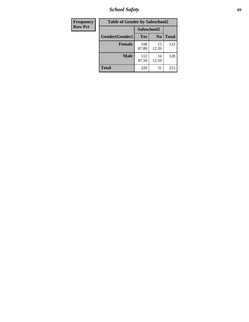*School Safety* **69**

| Frequency      | <b>Table of Gender by Safeschool2</b> |              |                |              |  |
|----------------|---------------------------------------|--------------|----------------|--------------|--|
| <b>Row Pct</b> |                                       | Safeschool2  |                |              |  |
|                | Gender(Gender)                        | Yes          | N <sub>0</sub> | <b>Total</b> |  |
|                | <b>Female</b>                         | 108<br>87.80 | 15<br>12.20    | 123          |  |
|                | <b>Male</b>                           | 112<br>87.50 | 16<br>12.50    | 128          |  |
|                | <b>Total</b>                          | 220          | 31             | 251          |  |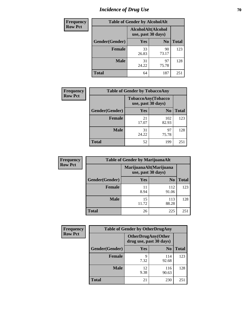# *Incidence of Drug Use* **70**

| <b>Frequency</b> | <b>Table of Gender by AlcoholAlt</b> |                                          |                |              |
|------------------|--------------------------------------|------------------------------------------|----------------|--------------|
| <b>Row Pct</b>   |                                      | AlcoholAlt(Alcohol<br>use, past 30 days) |                |              |
|                  | Gender(Gender)                       | Yes                                      | N <sub>0</sub> | <b>Total</b> |
|                  | <b>Female</b>                        | 33<br>26.83                              | 90<br>73.17    | 123          |
|                  | <b>Male</b>                          | 31<br>24.22                              | 97<br>75.78    | 128          |
|                  | <b>Total</b>                         | 64                                       | 187            | 251          |

| <b>Frequency</b> | <b>Table of Gender by TobaccoAny</b> |                                          |                |              |
|------------------|--------------------------------------|------------------------------------------|----------------|--------------|
| <b>Row Pct</b>   |                                      | TobaccoAny(Tobacco<br>use, past 30 days) |                |              |
|                  | Gender(Gender)                       | Yes                                      | N <sub>0</sub> | <b>Total</b> |
|                  | <b>Female</b>                        | 21<br>17.07                              | 102<br>82.93   | 123          |
|                  | <b>Male</b>                          | 31<br>24.22                              | 97<br>75.78    | 128          |
|                  | <b>Total</b>                         | 52                                       | 199            | 251          |

| <b>Frequency</b> | <b>Table of Gender by MarijuanaAlt</b> |                                              |                |       |
|------------------|----------------------------------------|----------------------------------------------|----------------|-------|
| <b>Row Pct</b>   |                                        | MarijuanaAlt(Marijuana<br>use, past 30 days) |                |       |
|                  | Gender(Gender)                         | <b>Yes</b>                                   | N <sub>0</sub> | Total |
|                  | <b>Female</b>                          | 11<br>8.94                                   | 112<br>91.06   | 123   |
|                  | <b>Male</b>                            | 15<br>11.72                                  | 113<br>88.28   | 128   |
|                  | <b>Total</b>                           | 26                                           | 225            | 251   |

| <b>Frequency</b> | <b>Table of Gender by OtherDrugAny</b> |                                               |                |              |  |
|------------------|----------------------------------------|-----------------------------------------------|----------------|--------------|--|
| <b>Row Pct</b>   |                                        | OtherDrugAny(Other<br>drug use, past 30 days) |                |              |  |
|                  | Gender(Gender)                         | <b>Yes</b>                                    | N <sub>0</sub> | <b>Total</b> |  |
|                  | <b>Female</b>                          | q<br>7.32                                     | 114<br>92.68   | 123          |  |
|                  | <b>Male</b>                            | 12<br>9.38                                    | 116<br>90.63   | 128          |  |
|                  | <b>Total</b>                           | 21                                            | 230            | 251          |  |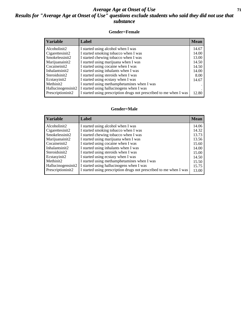#### *Average Age at Onset of Use* **71** *Results for "Average Age at Onset of Use" questions exclude students who said they did not use that substance*

#### **Gender=Female**

| <b>Variable</b>    | <b>Label</b>                                                       | <b>Mean</b> |
|--------------------|--------------------------------------------------------------------|-------------|
| Alcoholinit2       | I started using alcohol when I was                                 | 14.67       |
| Cigarettesinit2    | I started smoking tobacco when I was                               | 14.00       |
| Smokelessinit2     | I started chewing tobacco when I was                               | 13.00       |
| Marijuanainit2     | I started using marijuana when I was                               | 14.50       |
| Cocaineinit2       | I started using cocaine when I was                                 | 14.50       |
| Inhalantsinit2     | I started using inhalants when I was                               | 14.00       |
| Steroidsinit2      | I started using steroids when I was                                | 8.00        |
| Ecstasyinit2       | I started using ecstasy when I was                                 | 14.67       |
| Methinit2          | I started using methamphetamines when I was                        |             |
| Hallucinogensinit2 | I started using hallucinogens when I was                           |             |
| Prescription in t2 | I started using prescription drugs not prescribed to me when I was | 12.80       |

#### **Gender=Male**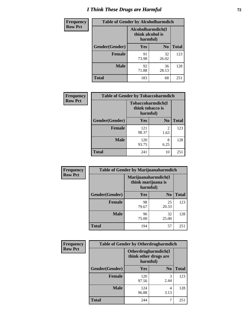# *I Think These Drugs are Harmful* **72**

| <b>Frequency</b> | <b>Table of Gender by Alcoholharmdich</b> |             |                                       |              |
|------------------|-------------------------------------------|-------------|---------------------------------------|--------------|
| <b>Row Pct</b>   |                                           | harmful)    | Alcoholharmdich(I<br>think alcohol is |              |
|                  | Gender(Gender)                            | <b>Yes</b>  | N <sub>0</sub>                        | <b>Total</b> |
|                  | <b>Female</b>                             | 91<br>73.98 | 32<br>26.02                           | 123          |
|                  | <b>Male</b>                               | 92<br>71.88 | 36<br>28.13                           | 128          |
|                  | <b>Total</b>                              | 183         | 68                                    | 251          |

| Frequency      | <b>Table of Gender by Tobaccoharmdich</b> |                  |                               |              |  |
|----------------|-------------------------------------------|------------------|-------------------------------|--------------|--|
| <b>Row Pct</b> |                                           | think tobacco is | Tobaccoharmdich(I<br>harmful) |              |  |
|                | Gender(Gender)                            | <b>Yes</b>       | N <sub>0</sub>                | <b>Total</b> |  |
|                | <b>Female</b>                             | 121<br>98.37     | $\mathcal{D}$<br>1.63         | 123          |  |
|                | <b>Male</b>                               | 120<br>93.75     | 8<br>6.25                     | 128          |  |
|                | <b>Total</b>                              | 241              | 10                            | 251          |  |

| Frequency      | <b>Table of Gender by Marijuanaharmdich</b> |                                |                     |              |  |  |
|----------------|---------------------------------------------|--------------------------------|---------------------|--------------|--|--|
| <b>Row Pct</b> |                                             | think marijuana is<br>harmful) | Marijuanaharmdich(I |              |  |  |
|                | Gender(Gender)                              | <b>Yes</b>                     | N <sub>0</sub>      | <b>Total</b> |  |  |
|                | <b>Female</b>                               | 98<br>79.67                    | 25<br>20.33         | 123          |  |  |
|                | <b>Male</b>                                 | 96<br>75.00                    | 32<br>25.00         | 128          |  |  |
|                | <b>Total</b>                                | 194                            | 57                  | 251          |  |  |

| Frequency      | <b>Table of Gender by Otherdrugharmdich</b> |                                                          |                |              |  |  |
|----------------|---------------------------------------------|----------------------------------------------------------|----------------|--------------|--|--|
| <b>Row Pct</b> |                                             | Otherdrugharmdich(I<br>think other drugs are<br>harmful) |                |              |  |  |
|                | Gender(Gender)                              | <b>Yes</b>                                               | N <sub>0</sub> | <b>Total</b> |  |  |
|                | <b>Female</b>                               | 120<br>97.56                                             | 3<br>2.44      | 123          |  |  |
|                | <b>Male</b>                                 | 124<br>96.88                                             | 4<br>3.13      | 128          |  |  |
|                | <b>Total</b>                                | 244                                                      | 7              | 251          |  |  |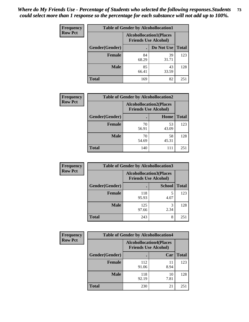| <b>Frequency</b> | <b>Table of Gender by Alcohollocation1</b> |                                                               |             |              |
|------------------|--------------------------------------------|---------------------------------------------------------------|-------------|--------------|
| <b>Row Pct</b>   |                                            | <b>Alcohollocation1(Places</b><br><b>Friends Use Alcohol)</b> |             |              |
|                  | Gender(Gender)                             |                                                               | Do Not Use  | <b>Total</b> |
|                  | <b>Female</b>                              | 84<br>68.29                                                   | 39<br>31.71 | 123          |
|                  | <b>Male</b>                                | 85<br>66.41                                                   | 43<br>33.59 | 128          |
|                  | <b>Total</b>                               | 169                                                           | 82          | 251          |

| <b>Frequency</b> | <b>Table of Gender by Alcohollocation2</b> |             |                                                               |              |
|------------------|--------------------------------------------|-------------|---------------------------------------------------------------|--------------|
| <b>Row Pct</b>   |                                            |             | <b>Alcohollocation2(Places</b><br><b>Friends Use Alcohol)</b> |              |
|                  | Gender(Gender)                             |             | Home                                                          | <b>Total</b> |
|                  | <b>Female</b>                              | 70<br>56.91 | 53<br>43.09                                                   | 123          |
|                  | <b>Male</b>                                | 70<br>54.69 | 58<br>45.31                                                   | 128          |
|                  | <b>Total</b>                               | 140         | 111                                                           | 251          |

| Frequency      | <b>Table of Gender by Alcohollocation3</b> |                                                               |               |              |
|----------------|--------------------------------------------|---------------------------------------------------------------|---------------|--------------|
| <b>Row Pct</b> |                                            | <b>Alcohollocation3(Places</b><br><b>Friends Use Alcohol)</b> |               |              |
|                | Gender(Gender)                             |                                                               | <b>School</b> | <b>Total</b> |
|                | <b>Female</b>                              | 118<br>95.93                                                  | 5<br>4.07     | 123          |
|                | <b>Male</b>                                | 125<br>97.66                                                  | 2.34          | 128          |
|                | <b>Total</b>                               | 243                                                           | 8             | 251          |

| <b>Frequency</b> | <b>Table of Gender by Alcohollocation4</b> |                                                               |            |              |
|------------------|--------------------------------------------|---------------------------------------------------------------|------------|--------------|
| <b>Row Pct</b>   |                                            | <b>Alcohollocation4(Places</b><br><b>Friends Use Alcohol)</b> |            |              |
|                  | Gender(Gender)                             |                                                               | Car        | <b>Total</b> |
|                  | <b>Female</b>                              | 112<br>91.06                                                  | 11<br>8.94 | 123          |
|                  | <b>Male</b>                                | 118<br>92.19                                                  | 10<br>7.81 | 128          |
|                  | <b>Total</b>                               | 230                                                           | 21         | 251          |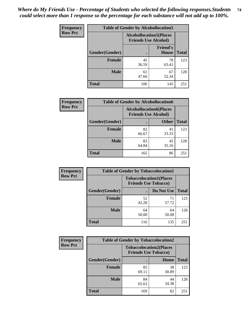| <b>Frequency</b> | <b>Table of Gender by Alcohollocation5</b> |                                                               |                                 |              |
|------------------|--------------------------------------------|---------------------------------------------------------------|---------------------------------|--------------|
| <b>Row Pct</b>   |                                            | <b>Alcohollocation5(Places</b><br><b>Friends Use Alcohol)</b> |                                 |              |
|                  | Gender(Gender)                             | $\bullet$                                                     | <b>Friend's</b><br><b>House</b> | <b>Total</b> |
|                  | <b>Female</b>                              | 45<br>36.59                                                   | 78<br>63.41                     | 123          |
|                  | <b>Male</b>                                | 61<br>47.66                                                   | 67<br>52.34                     | 128          |
|                  | <b>Total</b>                               | 106                                                           | 145                             | 251          |

| <b>Frequency</b> | <b>Table of Gender by Alcohollocation6</b> |                                                               |              |              |  |
|------------------|--------------------------------------------|---------------------------------------------------------------|--------------|--------------|--|
| <b>Row Pct</b>   |                                            | <b>Alcohollocation6(Places</b><br><b>Friends Use Alcohol)</b> |              |              |  |
|                  | <b>Gender</b> (Gender)                     | ٠                                                             | <b>Other</b> | <b>Total</b> |  |
|                  | <b>Female</b>                              | 82<br>66.67                                                   | 41<br>33.33  | 123          |  |
|                  | <b>Male</b>                                | 83<br>64.84                                                   | 45<br>35.16  | 128          |  |
|                  | <b>Total</b>                               | 165                                                           | 86           | 251          |  |

| Frequency      | <b>Table of Gender by Tobaccolocation1</b> |                                                               |             |              |  |
|----------------|--------------------------------------------|---------------------------------------------------------------|-------------|--------------|--|
| <b>Row Pct</b> |                                            | <b>Tobaccolocation1(Places</b><br><b>Friends Use Tobacco)</b> |             |              |  |
|                | Gender(Gender)                             |                                                               | Do Not Use  | <b>Total</b> |  |
|                | Female                                     | 52<br>42.28                                                   | 71<br>57.72 | 123          |  |
|                | <b>Male</b>                                | 64<br>50.00                                                   | 64<br>50.00 | 128          |  |
|                | <b>Total</b>                               | 116                                                           | 135         | 251          |  |

| <b>Frequency</b> |                | <b>Table of Gender by Tobaccolocation2</b>                    |             |              |
|------------------|----------------|---------------------------------------------------------------|-------------|--------------|
| <b>Row Pct</b>   |                | <b>Tobaccolocation2(Places</b><br><b>Friends Use Tobacco)</b> |             |              |
|                  | Gender(Gender) |                                                               | Home        | <b>Total</b> |
|                  | <b>Female</b>  | 85<br>69.11                                                   | 38<br>30.89 | 123          |
|                  | <b>Male</b>    | 84<br>65.63                                                   | 44<br>34.38 | 128          |
|                  | <b>Total</b>   | 169                                                           | 82          | 251          |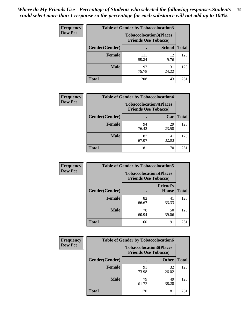| <b>Frequency</b> | <b>Table of Gender by Tobaccolocation3</b> |              |                                                               |              |
|------------------|--------------------------------------------|--------------|---------------------------------------------------------------|--------------|
| <b>Row Pct</b>   |                                            |              | <b>Tobaccolocation3(Places</b><br><b>Friends Use Tobacco)</b> |              |
|                  | Gender(Gender)                             |              | <b>School</b>                                                 | <b>Total</b> |
|                  | <b>Female</b>                              | 111<br>90.24 | 12<br>9.76                                                    | 123          |
|                  | <b>Male</b>                                | 97<br>75.78  | 31<br>24.22                                                   | 128          |
|                  | <b>Total</b>                               | 208          | 43                                                            | 251          |

| <b>Frequency</b> | <b>Table of Gender by Tobaccolocation4</b> |                             |                                |              |
|------------------|--------------------------------------------|-----------------------------|--------------------------------|--------------|
| <b>Row Pct</b>   |                                            | <b>Friends Use Tobacco)</b> | <b>Tobaccolocation4(Places</b> |              |
|                  | Gender(Gender)                             |                             | Car                            | <b>Total</b> |
|                  | Female                                     | 94<br>76.42                 | 29<br>23.58                    | 123          |
|                  | <b>Male</b>                                | 87<br>67.97                 | 41<br>32.03                    | 128          |
|                  | <b>Total</b>                               | 181                         | 70                             | 251          |

| <b>Frequency</b> | <b>Table of Gender by Tobaccolocation5</b> |                                                               |                                 |              |
|------------------|--------------------------------------------|---------------------------------------------------------------|---------------------------------|--------------|
| <b>Row Pct</b>   |                                            | <b>Tobaccolocation5(Places</b><br><b>Friends Use Tobacco)</b> |                                 |              |
|                  | Gender(Gender)                             |                                                               | <b>Friend's</b><br><b>House</b> | <b>Total</b> |
|                  | Female                                     | 82<br>66.67                                                   | 41<br>33.33                     | 123          |
|                  | <b>Male</b>                                | 78<br>60.94                                                   | 50<br>39.06                     | 128          |
|                  | <b>Total</b>                               | 160                                                           | 91                              | 251          |

| <b>Frequency</b> | <b>Table of Gender by Tobaccolocation6</b> |                                                               |              |              |
|------------------|--------------------------------------------|---------------------------------------------------------------|--------------|--------------|
| <b>Row Pct</b>   |                                            | <b>Tobaccolocation6(Places</b><br><b>Friends Use Tobacco)</b> |              |              |
|                  | Gender(Gender)                             |                                                               | <b>Other</b> | <b>Total</b> |
|                  | Female                                     | 91<br>73.98                                                   | 32<br>26.02  | 123          |
|                  | <b>Male</b>                                | 79<br>61.72                                                   | 49<br>38.28  | 128          |
|                  | <b>Total</b>                               | 170                                                           | 81           | 251          |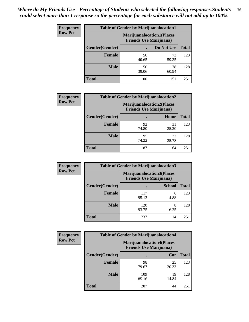| <b>Frequency</b> | <b>Table of Gender by Marijuanalocation1</b> |                                                                    |             |              |
|------------------|----------------------------------------------|--------------------------------------------------------------------|-------------|--------------|
| <b>Row Pct</b>   |                                              | <b>Marijuanalocation1(Places</b><br><b>Friends Use Marijuana</b> ) |             |              |
|                  | Gender(Gender)                               |                                                                    | Do Not Use  | <b>Total</b> |
|                  | <b>Female</b>                                | 50<br>40.65                                                        | 73<br>59.35 | 123          |
|                  | <b>Male</b>                                  | 50<br>39.06                                                        | 78<br>60.94 | 128          |
|                  | <b>Total</b>                                 | 100                                                                | 151         | 251          |

| <b>Frequency</b> | <b>Table of Gender by Marijuanalocation2</b> |                                                                    |             |              |
|------------------|----------------------------------------------|--------------------------------------------------------------------|-------------|--------------|
| <b>Row Pct</b>   |                                              | <b>Marijuanalocation2(Places</b><br><b>Friends Use Marijuana</b> ) |             |              |
|                  | Gender(Gender)                               |                                                                    | Home        | <b>Total</b> |
|                  | Female                                       | 92<br>74.80                                                        | 31<br>25.20 | 123          |
|                  | <b>Male</b>                                  | 95<br>74.22                                                        | 33<br>25.78 | 128          |
|                  | <b>Total</b>                                 | 187                                                                | 64          | 251          |

| Frequency      | <b>Table of Gender by Marijuanalocation3</b> |              |                                                                     |              |
|----------------|----------------------------------------------|--------------|---------------------------------------------------------------------|--------------|
| <b>Row Pct</b> |                                              |              | <b>Marijuanalocation3(Places)</b><br><b>Friends Use Marijuana</b> ) |              |
|                | Gender(Gender)                               |              | <b>School</b>                                                       | <b>Total</b> |
|                | Female                                       | 117<br>95.12 | 6<br>4.88                                                           | 123          |
|                | <b>Male</b>                                  | 120<br>93.75 | 6.25                                                                | 128          |
|                | <b>Total</b>                                 | 237          | 14                                                                  | 251          |

| Frequency      | <b>Table of Gender by Marijuanalocation4</b> |                                                                    |             |              |  |
|----------------|----------------------------------------------|--------------------------------------------------------------------|-------------|--------------|--|
| <b>Row Pct</b> |                                              | <b>Marijuanalocation4(Places</b><br><b>Friends Use Marijuana</b> ) |             |              |  |
|                | Gender(Gender)                               |                                                                    | Car         | <b>Total</b> |  |
|                | <b>Female</b>                                | 98<br>79.67                                                        | 25<br>20.33 | 123          |  |
|                | <b>Male</b>                                  | 109<br>85.16                                                       | 19<br>14.84 | 128          |  |
|                | <b>Total</b>                                 | 207                                                                | 44          | 251          |  |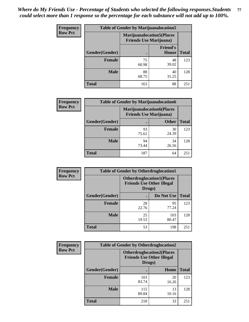| <b>Frequency</b> | <b>Table of Gender by Marijuanalocation5</b> |                                                                     |                                 |              |
|------------------|----------------------------------------------|---------------------------------------------------------------------|---------------------------------|--------------|
| <b>Row Pct</b>   |                                              | <b>Marijuanalocation5</b> (Places<br><b>Friends Use Marijuana</b> ) |                                 |              |
|                  | Gender(Gender)                               |                                                                     | <b>Friend's</b><br><b>House</b> | <b>Total</b> |
|                  | <b>Female</b>                                | 75<br>60.98                                                         | 48<br>39.02                     | 123          |
|                  | <b>Male</b>                                  | 88<br>68.75                                                         | 40<br>31.25                     | 128          |
|                  | <b>Total</b>                                 | 163                                                                 | 88                              | 251          |

| <b>Frequency</b> | <b>Table of Gender by Marijuanalocation6</b> |                                                                    |              |              |
|------------------|----------------------------------------------|--------------------------------------------------------------------|--------------|--------------|
| <b>Row Pct</b>   |                                              | <b>Marijuanalocation6(Places</b><br><b>Friends Use Marijuana</b> ) |              |              |
|                  | Gender(Gender)                               |                                                                    | <b>Other</b> | <b>Total</b> |
|                  | <b>Female</b>                                | 93<br>75.61                                                        | 30<br>24.39  | 123          |
|                  | <b>Male</b>                                  | 94<br>73.44                                                        | 34<br>26.56  | 128          |
|                  | <b>Total</b>                                 | 187                                                                | 64           | 251          |

| <b>Frequency</b> | <b>Table of Gender by Otherdruglocation1</b> |                                            |                                  |              |
|------------------|----------------------------------------------|--------------------------------------------|----------------------------------|--------------|
| <b>Row Pct</b>   |                                              | <b>Friends Use Other Illegal</b><br>Drugs) | <b>Otherdruglocation1(Places</b> |              |
|                  | Gender(Gender)                               |                                            | Do Not Use                       | <b>Total</b> |
|                  | Female                                       | 28<br>22.76                                | 95<br>77.24                      | 123          |
|                  | <b>Male</b>                                  | 25<br>19.53                                | 103<br>80.47                     | 128          |
|                  | <b>Total</b>                                 | 53                                         | 198                              | 251          |

| <b>Frequency</b> | <b>Table of Gender by Otherdruglocation2</b> |                                            |                                  |              |
|------------------|----------------------------------------------|--------------------------------------------|----------------------------------|--------------|
| <b>Row Pct</b>   |                                              | <b>Friends Use Other Illegal</b><br>Drugs) | <b>Otherdruglocation2(Places</b> |              |
|                  | Gender(Gender)                               |                                            | Home                             | <b>Total</b> |
|                  | <b>Female</b>                                | 103<br>83.74                               | 20<br>16.26                      | 123          |
|                  | <b>Male</b>                                  | 115<br>89.84                               | 13<br>10.16                      | 128          |
|                  | <b>Total</b>                                 | 218                                        | 33                               | 251          |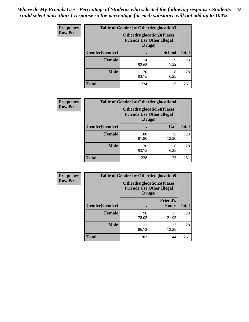| <b>Frequency</b> | <b>Table of Gender by Otherdruglocation3</b> |                                                                                |               |              |
|------------------|----------------------------------------------|--------------------------------------------------------------------------------|---------------|--------------|
| <b>Row Pct</b>   |                                              | <b>Otherdruglocation3(Places</b><br><b>Friends Use Other Illegal</b><br>Drugs) |               |              |
|                  | Gender(Gender)                               |                                                                                | <b>School</b> | <b>Total</b> |
|                  | <b>Female</b>                                | 114<br>92.68                                                                   | Q<br>7.32     | 123          |
|                  | <b>Male</b>                                  | 120<br>93.75                                                                   | 8<br>6.25     | 128          |
|                  | <b>Total</b>                                 | 234                                                                            | 17            | 251          |

| Frequency      | <b>Table of Gender by Otherdruglocation4</b> |                                                                                |             |              |
|----------------|----------------------------------------------|--------------------------------------------------------------------------------|-------------|--------------|
| <b>Row Pct</b> |                                              | <b>Otherdruglocation4(Places</b><br><b>Friends Use Other Illegal</b><br>Drugs) |             |              |
|                | Gender(Gender)                               |                                                                                | Car         | <b>Total</b> |
|                | Female                                       | 108<br>87.80                                                                   | 15<br>12.20 | 123          |
|                | <b>Male</b>                                  | 120<br>93.75                                                                   | 8<br>6.25   | 128          |
|                | <b>Total</b>                                 | 228                                                                            | 23          | 251          |

| Frequency      | <b>Table of Gender by Otherdruglocation5</b> |                                                                                |                                 |              |
|----------------|----------------------------------------------|--------------------------------------------------------------------------------|---------------------------------|--------------|
| <b>Row Pct</b> |                                              | <b>Otherdruglocation5(Places</b><br><b>Friends Use Other Illegal</b><br>Drugs) |                                 |              |
|                | Gender(Gender)                               |                                                                                | <b>Friend's</b><br><b>House</b> | <b>Total</b> |
|                | <b>Female</b>                                | 96<br>78.05                                                                    | 27<br>21.95                     | 123          |
|                | <b>Male</b>                                  | 111<br>86.72                                                                   | 17<br>13.28                     | 128          |
|                | <b>Total</b>                                 | 207                                                                            | 44                              | 251          |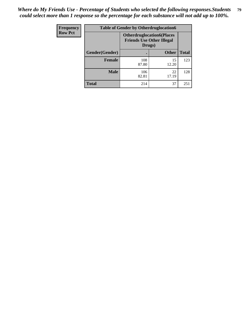| Frequency      | <b>Table of Gender by Otherdruglocation6</b> |                                                                                |              |              |
|----------------|----------------------------------------------|--------------------------------------------------------------------------------|--------------|--------------|
| <b>Row Pct</b> |                                              | <b>Otherdruglocation6(Places</b><br><b>Friends Use Other Illegal</b><br>Drugs) |              |              |
|                | Gender(Gender)                               |                                                                                | <b>Other</b> | <b>Total</b> |
|                | <b>Female</b>                                | 108<br>87.80                                                                   | 15<br>12.20  | 123          |
|                | <b>Male</b>                                  | 106<br>82.81                                                                   | 22<br>17.19  | 128          |
|                | <b>Total</b>                                 | 214                                                                            | 37           | 251          |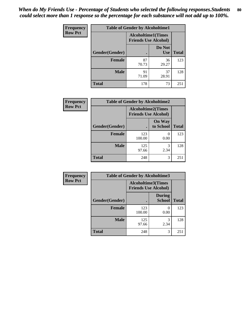| <b>Frequency</b> | <b>Table of Gender by Alcoholtime1</b> |                                                          |                      |              |
|------------------|----------------------------------------|----------------------------------------------------------|----------------------|--------------|
| <b>Row Pct</b>   |                                        | <b>Alcoholtime1(Times</b><br><b>Friends Use Alcohol)</b> |                      |              |
|                  | Gender(Gender)                         |                                                          | Do Not<br><b>Use</b> | <b>Total</b> |
|                  | <b>Female</b>                          | 87<br>70.73                                              | 36<br>29.27          | 123          |
|                  | <b>Male</b>                            | 91<br>71.09                                              | 37<br>28.91          | 128          |
|                  | <b>Total</b>                           | 178                                                      | 73                   | 251          |

| Frequency      | <b>Table of Gender by Alcoholtime2</b> |                                                          |                            |              |
|----------------|----------------------------------------|----------------------------------------------------------|----------------------------|--------------|
| <b>Row Pct</b> |                                        | <b>Alcoholtime2(Times</b><br><b>Friends Use Alcohol)</b> |                            |              |
|                | Gender(Gender)                         |                                                          | <b>On Way</b><br>to School | <b>Total</b> |
|                | <b>Female</b>                          | 123<br>100.00                                            | 0<br>0.00                  | 123          |
|                | <b>Male</b>                            | 125<br>97.66                                             | 3<br>2.34                  | 128          |
|                | <b>Total</b>                           | 248                                                      | 3                          | 251          |

| Frequency      | <b>Table of Gender by Alcoholtime3</b> |                                                   |                                |              |
|----------------|----------------------------------------|---------------------------------------------------|--------------------------------|--------------|
| <b>Row Pct</b> |                                        | Alcoholtime3(Times<br><b>Friends Use Alcohol)</b> |                                |              |
|                | Gender(Gender)                         |                                                   | <b>During</b><br><b>School</b> | <b>Total</b> |
|                | Female                                 | 123<br>100.00                                     | 0<br>0.00                      | 123          |
|                | <b>Male</b>                            | 125<br>97.66                                      | 3<br>2.34                      | 128          |
|                | <b>Total</b>                           | 248                                               | 3                              | 251          |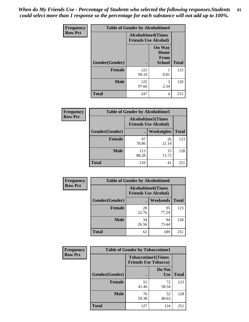*When do My Friends Use - Percentage of Students who selected the following responses.Students could select more than 1 response so the percentage for each substance will not add up to 100%.* **81**

| <b>Frequency</b> | <b>Table of Gender by Alcoholtime4</b> |                                                          |                                                       |              |
|------------------|----------------------------------------|----------------------------------------------------------|-------------------------------------------------------|--------------|
| <b>Row Pct</b>   |                                        | <b>Alcoholtime4(Times</b><br><b>Friends Use Alcohol)</b> |                                                       |              |
|                  | Gender(Gender)                         |                                                          | <b>On Way</b><br>Home<br><b>From</b><br><b>School</b> | <b>Total</b> |
|                  | <b>Female</b>                          | 122<br>99.19                                             | 0.81                                                  | 123          |
|                  | <b>Male</b>                            | 125<br>97.66                                             | 3<br>2.34                                             | 128          |
|                  | <b>Total</b>                           | 247                                                      | 4                                                     | 251          |

| <b>Frequency</b> | <b>Table of Gender by Alcoholtime5</b> |                                                           |             |              |
|------------------|----------------------------------------|-----------------------------------------------------------|-------------|--------------|
| <b>Row Pct</b>   |                                        | <b>Alcoholtime5</b> (Times<br><b>Friends Use Alcohol)</b> |             |              |
|                  | Gender(Gender)                         |                                                           | Weeknights  | <b>Total</b> |
|                  | <b>Female</b>                          | 97<br>78.86                                               | 26<br>21.14 | 123          |
|                  | <b>Male</b>                            | 113<br>88.28                                              | 15<br>11.72 | 128          |
|                  | <b>Total</b>                           | 210                                                       | 41          | 251          |

| <b>Frequency</b> |                | <b>Table of Gender by Alcoholtime6</b> |                                                          |              |
|------------------|----------------|----------------------------------------|----------------------------------------------------------|--------------|
| <b>Row Pct</b>   |                |                                        | <b>Alcoholtime6(Times</b><br><b>Friends Use Alcohol)</b> |              |
|                  | Gender(Gender) |                                        | Weekends                                                 | <b>Total</b> |
|                  | Female         | 28<br>22.76                            | 95<br>77.24                                              | 123          |
|                  | <b>Male</b>    | 34<br>26.56                            | 94<br>73.44                                              | 128          |
|                  | <b>Total</b>   | 62                                     | 189                                                      | 251          |

| <b>Frequency</b> | <b>Table of Gender by Tobaccotime1</b> |                                                          |                      |              |
|------------------|----------------------------------------|----------------------------------------------------------|----------------------|--------------|
| <b>Row Pct</b>   |                                        | <b>Tobaccotime1(Times</b><br><b>Friends Use Tobacco)</b> |                      |              |
|                  | Gender(Gender)                         |                                                          | Do Not<br><b>Use</b> | <b>Total</b> |
|                  | <b>Female</b>                          | 51<br>41.46                                              | 72<br>58.54          | 123          |
|                  | <b>Male</b>                            | 76<br>59.38                                              | 52<br>40.63          | 128          |
|                  | <b>Total</b>                           | 127                                                      | 124                  | 251          |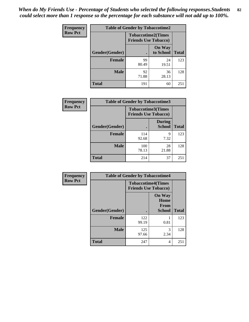| <b>Frequency</b> | <b>Table of Gender by Tobaccotime2</b> |                             |                            |              |
|------------------|----------------------------------------|-----------------------------|----------------------------|--------------|
| <b>Row Pct</b>   |                                        | <b>Friends Use Tobacco)</b> | <b>Tobaccotime2(Times</b>  |              |
|                  | Gender(Gender)                         |                             | <b>On Way</b><br>to School | <b>Total</b> |
|                  | <b>Female</b>                          | 99<br>80.49                 | 24<br>19.51                | 123          |
|                  | <b>Male</b>                            | 92<br>71.88                 | 36<br>28.13                | 128          |
|                  | <b>Total</b>                           | 191                         | 60                         | 251          |

| Frequency      | <b>Table of Gender by Tobaccotime3</b> |                                                          |                                |              |
|----------------|----------------------------------------|----------------------------------------------------------|--------------------------------|--------------|
| <b>Row Pct</b> |                                        | <b>Tobaccotime3(Times</b><br><b>Friends Use Tobacco)</b> |                                |              |
|                | Gender(Gender)                         |                                                          | <b>During</b><br><b>School</b> | <b>Total</b> |
|                | Female                                 | 114<br>92.68                                             | q<br>7.32                      | 123          |
|                | <b>Male</b>                            | 100<br>78.13                                             | 28<br>21.88                    | 128          |
|                | <b>Total</b>                           | 214                                                      | 37                             | 251          |

| <b>Frequency</b> | <b>Table of Gender by Tobaccotime4</b> |                                                          |                                                |              |
|------------------|----------------------------------------|----------------------------------------------------------|------------------------------------------------|--------------|
| <b>Row Pct</b>   |                                        | <b>Tobaccotime4(Times</b><br><b>Friends Use Tobacco)</b> |                                                |              |
|                  | Gender(Gender)                         |                                                          | <b>On Way</b><br>Home<br>From<br><b>School</b> | <b>Total</b> |
|                  | <b>Female</b>                          | 122<br>99.19                                             | 0.81                                           | 123          |
|                  | <b>Male</b>                            | 125<br>97.66                                             | 3<br>2.34                                      | 128          |
|                  | <b>Total</b>                           | 247                                                      | 4                                              | 251          |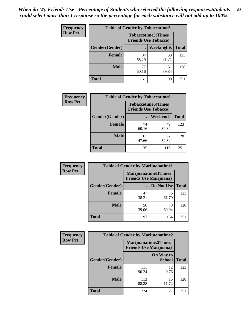| Frequency      | <b>Table of Gender by Tobaccotime5</b> |             |                                                          |              |  |
|----------------|----------------------------------------|-------------|----------------------------------------------------------|--------------|--|
| <b>Row Pct</b> |                                        |             | <b>Tobaccotime5(Times</b><br><b>Friends Use Tobacco)</b> |              |  |
|                | <b>Gender</b> (Gender)                 |             | Weeknights                                               | <b>Total</b> |  |
|                | <b>Female</b>                          | 84<br>68.29 | 39<br>31.71                                              | 123          |  |
|                | <b>Male</b>                            | 77<br>60.16 | 51<br>39.84                                              | 128          |  |
|                | <b>Total</b>                           | 161         | 90                                                       | 251          |  |

| Frequency      | <b>Table of Gender by Tobaccotime6</b> |                                                          |             |              |
|----------------|----------------------------------------|----------------------------------------------------------|-------------|--------------|
| <b>Row Pct</b> |                                        | <b>Tobaccotime6(Times</b><br><b>Friends Use Tobacco)</b> |             |              |
|                | Gender(Gender)                         |                                                          | Weekends    | <b>Total</b> |
|                | Female                                 | 74<br>60.16                                              | 49<br>39.84 | 123          |
|                | <b>Male</b>                            | 61<br>47.66                                              | 67<br>52.34 | 128          |
|                | <b>Total</b>                           | 135                                                      | 116         | 251          |

| Frequency      | <b>Table of Gender by Marijuanatime1</b> |                                |                             |              |
|----------------|------------------------------------------|--------------------------------|-----------------------------|--------------|
| <b>Row Pct</b> |                                          | <b>Friends Use Marijuana</b> ) | <b>Marijuanatime1(Times</b> |              |
|                | Gender(Gender)                           |                                | Do Not Use                  | <b>Total</b> |
|                | <b>Female</b>                            | 47<br>38.21                    | 76<br>61.79                 | 123          |
|                | <b>Male</b>                              | 50<br>39.06                    | 78<br>60.94                 | 128          |
|                | <b>Total</b>                             | 97                             | 154                         | 251          |

| <b>Frequency</b> | <b>Table of Gender by Marijuanatime2</b> |                                |                             |              |
|------------------|------------------------------------------|--------------------------------|-----------------------------|--------------|
| <b>Row Pct</b>   |                                          | <b>Friends Use Marijuana</b> ) | <b>Marijuanatime2(Times</b> |              |
|                  | Gender(Gender)                           |                                | On Way to<br><b>School</b>  | <b>Total</b> |
|                  | Female                                   | 111<br>90.24                   | 12<br>9.76                  | 123          |
|                  | <b>Male</b>                              | 113<br>88.28                   | 15<br>11.72                 | 128          |
|                  | <b>Total</b>                             | 224                            | 27                          | 251          |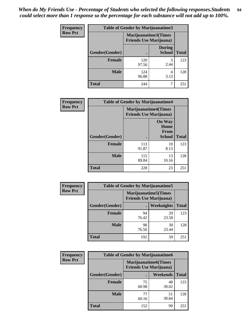*When do My Friends Use - Percentage of Students who selected the following responses.Students could select more than 1 response so the percentage for each substance will not add up to 100%.* **84**

| <b>Frequency</b> | Table of Gender by Marijuanatime3 |                                                        |                                |              |
|------------------|-----------------------------------|--------------------------------------------------------|--------------------------------|--------------|
| <b>Row Pct</b>   |                                   | Marijuanatime3(Times<br><b>Friends Use Marijuana</b> ) |                                |              |
|                  | Gender(Gender)                    |                                                        | <b>During</b><br><b>School</b> | <b>Total</b> |
|                  | <b>Female</b>                     | 120<br>97.56                                           | 3<br>2.44                      | 123          |
|                  | <b>Male</b>                       | 124<br>96.88                                           | 4<br>3.13                      | 128          |
|                  | <b>Total</b>                      | 244                                                    |                                | 251          |

| Frequency      | <b>Table of Gender by Marijuanatime4</b> |                                |                                                       |              |
|----------------|------------------------------------------|--------------------------------|-------------------------------------------------------|--------------|
| <b>Row Pct</b> |                                          | <b>Friends Use Marijuana</b> ) | <b>Marijuanatime4</b> (Times                          |              |
|                | Gender(Gender)                           |                                | <b>On Way</b><br>Home<br><b>From</b><br><b>School</b> | <b>Total</b> |
|                | <b>Female</b>                            | 113<br>91.87                   | 10<br>8.13                                            | 123          |
|                | <b>Male</b>                              | 115<br>89.84                   | 13<br>10.16                                           | 128          |
|                | <b>Total</b>                             | 228                            | 23                                                    | 251          |

| Frequency      | <b>Table of Gender by Marijuanatime5</b> |                                                                |             |              |
|----------------|------------------------------------------|----------------------------------------------------------------|-------------|--------------|
| <b>Row Pct</b> |                                          | <b>Marijuanatime5</b> (Times<br><b>Friends Use Marijuana</b> ) |             |              |
|                | Gender(Gender)                           |                                                                | Weeknights  | <b>Total</b> |
|                | <b>Female</b>                            | 94<br>76.42                                                    | 29<br>23.58 | 123          |
|                | <b>Male</b>                              | 98<br>76.56                                                    | 30<br>23.44 | 128          |
|                | <b>Total</b>                             | 192                                                            | 59          | 251          |

| <b>Frequency</b> | <b>Table of Gender by Marijuanatime6</b> |                                                               |             |              |
|------------------|------------------------------------------|---------------------------------------------------------------|-------------|--------------|
| <b>Row Pct</b>   |                                          | <b>Marijuanatime6(Times</b><br><b>Friends Use Marijuana</b> ) |             |              |
|                  | Gender(Gender)                           |                                                               | Weekends    | <b>Total</b> |
|                  | <b>Female</b>                            | 75<br>60.98                                                   | 48<br>39.02 | 123          |
|                  | <b>Male</b>                              | 77<br>60.16                                                   | 51<br>39.84 | 128          |
|                  | <b>Total</b>                             | 152                                                           | 99          | 251          |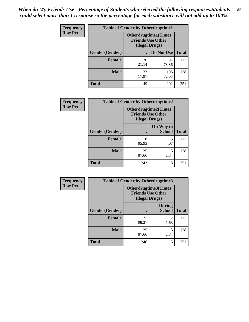*When do My Friends Use - Percentage of Students who selected the following responses.Students could select more than 1 response so the percentage for each substance will not add up to 100%.* **85**

| <b>Frequency</b> | <b>Table of Gender by Otherdrugtime1</b> |                                                                                   |              |              |  |
|------------------|------------------------------------------|-----------------------------------------------------------------------------------|--------------|--------------|--|
| <b>Row Pct</b>   |                                          | <b>Otherdrugtime1(Times</b><br><b>Friends Use Other</b><br><b>Illegal Drugs</b> ) |              |              |  |
|                  | Gender(Gender)                           |                                                                                   | Do Not Use   | <b>Total</b> |  |
|                  | <b>Female</b>                            | 26<br>21.14                                                                       | 97<br>78.86  | 123          |  |
|                  | <b>Male</b>                              | 23<br>17.97                                                                       | 105<br>82.03 | 128          |  |
|                  | <b>Total</b>                             | 49                                                                                | 202          | 251          |  |

| <b>Frequency</b> | <b>Table of Gender by Otherdrugtime2</b> |                                                                                   |                            |              |
|------------------|------------------------------------------|-----------------------------------------------------------------------------------|----------------------------|--------------|
| <b>Row Pct</b>   |                                          | <b>Otherdrugtime2(Times</b><br><b>Friends Use Other</b><br><b>Illegal Drugs</b> ) |                            |              |
|                  | <b>Gender</b> (Gender)                   |                                                                                   | On Way to<br><b>School</b> | <b>Total</b> |
|                  | <b>Female</b>                            | 118<br>95.93                                                                      | 5<br>4.07                  | 123          |
|                  | <b>Male</b>                              | 125<br>97.66                                                                      | 3<br>2.34                  | 128          |
|                  | <b>Total</b>                             | 243                                                                               | 8                          | 251          |

| <b>Frequency</b> | <b>Table of Gender by Otherdrugtime3</b> |                                                    |                                |              |
|------------------|------------------------------------------|----------------------------------------------------|--------------------------------|--------------|
| <b>Row Pct</b>   |                                          | <b>Friends Use Other</b><br><b>Illegal Drugs</b> ) | Otherdrugtime3(Times           |              |
|                  | Gender(Gender)                           |                                                    | <b>During</b><br><b>School</b> | <b>Total</b> |
|                  | <b>Female</b>                            | 121<br>98.37                                       | $\overline{2}$<br>1.63         | 123          |
|                  | <b>Male</b>                              | 125<br>97.66                                       | 3<br>2.34                      | 128          |
|                  | <b>Total</b>                             | 246                                                | 5                              | 251          |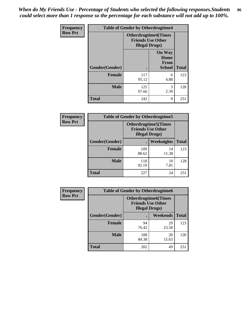*When do My Friends Use - Percentage of Students who selected the following responses.Students could select more than 1 response so the percentage for each substance will not add up to 100%.* **86**

| <b>Frequency</b> | <b>Table of Gender by Otherdrugtime4</b> |                                                       |                                                       |              |
|------------------|------------------------------------------|-------------------------------------------------------|-------------------------------------------------------|--------------|
| <b>Row Pct</b>   |                                          | <b>Otherdrugtime4(Times</b><br><b>Illegal Drugs</b> ) | <b>Friends Use Other</b>                              |              |
|                  | Gender(Gender)                           |                                                       | <b>On Way</b><br>Home<br><b>From</b><br><b>School</b> | <b>Total</b> |
|                  | <b>Female</b>                            | 117<br>95.12                                          | 6<br>4.88                                             | 123          |
|                  | <b>Male</b>                              | 125<br>97.66                                          | 3<br>2.34                                             | 128          |
|                  | <b>Total</b>                             | 242                                                   | 9                                                     | 251          |

| Frequency      | <b>Table of Gender by Otherdrugtime5</b> |                                                                                    |             |              |
|----------------|------------------------------------------|------------------------------------------------------------------------------------|-------------|--------------|
| <b>Row Pct</b> |                                          | <b>Otherdrugtime5</b> (Times<br><b>Friends Use Other</b><br><b>Illegal Drugs</b> ) |             |              |
|                | Gender(Gender)                           |                                                                                    | Weeknights  | <b>Total</b> |
|                | Female                                   | 109<br>88.62                                                                       | 14<br>11.38 | 123          |
|                | <b>Male</b>                              | 118<br>92.19                                                                       | 10<br>7.81  | 128          |
|                | <b>Total</b>                             | 227                                                                                | 24          | 251          |

| <b>Frequency</b> | <b>Table of Gender by Otherdrugtime6</b> |                                                                                   |             |              |
|------------------|------------------------------------------|-----------------------------------------------------------------------------------|-------------|--------------|
| <b>Row Pct</b>   |                                          | <b>Otherdrugtime6(Times</b><br><b>Friends Use Other</b><br><b>Illegal Drugs</b> ) |             |              |
|                  | Gender(Gender)                           |                                                                                   | Weekends    | <b>Total</b> |
|                  | <b>Female</b>                            | 94<br>76.42                                                                       | 29<br>23.58 | 123          |
|                  | <b>Male</b>                              | 108<br>84.38                                                                      | 20<br>15.63 | 128          |
|                  | <b>Total</b>                             | 202                                                                               | 49          | 251          |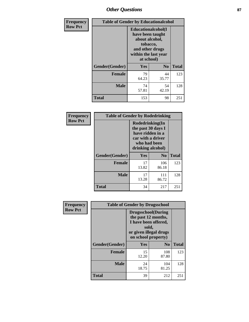## *Other Questions* **87**

| <b>Frequency</b> | <b>Table of Gender by Educationalcohol</b> |                                                                                                                                       |                |              |  |
|------------------|--------------------------------------------|---------------------------------------------------------------------------------------------------------------------------------------|----------------|--------------|--|
| <b>Row Pct</b>   |                                            | <b>Educationalcohol</b> (I<br>have been taught<br>about alcohol,<br>tobacco,<br>and other drugs<br>within the last year<br>at school) |                |              |  |
|                  | Gender(Gender)                             | <b>Yes</b>                                                                                                                            | N <sub>0</sub> | <b>Total</b> |  |
|                  | <b>Female</b>                              | 79<br>64.23                                                                                                                           | 44<br>35.77    | 123          |  |
|                  | <b>Male</b>                                | 74<br>57.81                                                                                                                           | 54<br>42.19    | 128          |  |
|                  | <b>Total</b>                               | 153                                                                                                                                   | 98             | 251          |  |

| Frequency      | <b>Table of Gender by Rodedrinking</b> |                                                                                                                     |              |              |  |
|----------------|----------------------------------------|---------------------------------------------------------------------------------------------------------------------|--------------|--------------|--|
| <b>Row Pct</b> |                                        | Rodedrinking(In<br>the past 30 days I<br>have ridden in a<br>car with a driver<br>who had been<br>drinking alcohol) |              |              |  |
|                | Gender(Gender)                         | Yes                                                                                                                 | $\bf N_0$    | <b>Total</b> |  |
|                | <b>Female</b>                          | 17<br>13.82                                                                                                         | 106<br>86.18 | 123          |  |
|                | <b>Male</b>                            | 17<br>13.28                                                                                                         | 111<br>86.72 | 128          |  |
|                | <b>Total</b>                           | 34                                                                                                                  | 217          | 251          |  |

| Frequency      | <b>Table of Gender by Drugsschool</b> |                                                                                                                                     |                |              |  |
|----------------|---------------------------------------|-------------------------------------------------------------------------------------------------------------------------------------|----------------|--------------|--|
| <b>Row Pct</b> |                                       | <b>Drugsschool</b> (During<br>the past 12 months,<br>I have been offered,<br>sold,<br>or given illegal drugs<br>on school property) |                |              |  |
|                | Gender(Gender)                        | <b>Yes</b>                                                                                                                          | N <sub>0</sub> | <b>Total</b> |  |
|                | <b>Female</b>                         | 15<br>12.20                                                                                                                         | 108<br>87.80   | 123          |  |
|                | <b>Male</b>                           | 24<br>18.75                                                                                                                         | 104<br>81.25   | 128          |  |
|                | <b>Total</b>                          | 39                                                                                                                                  | 212            | 251          |  |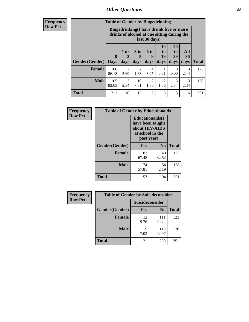### *Other Questions* **88**

**Frequency Row Pct**

| <b>Table of Gender by Bingedrinking</b> |                         |                                                                                                         |                   |                          |                        |                               |                   |              |
|-----------------------------------------|-------------------------|---------------------------------------------------------------------------------------------------------|-------------------|--------------------------|------------------------|-------------------------------|-------------------|--------------|
|                                         |                         | Bingedrinking(I have drunk five or more<br>drinks of alcohol at one sitting during the<br>last 30 days) |                   |                          |                        |                               |                   |              |
| <b>Gender</b> (Gender)                  | $\bf{0}$<br><b>Days</b> | 1 or<br>days                                                                                            | 3 to<br>5<br>days | <b>6 to</b><br>9<br>days | 10<br>to<br>19<br>days | <b>20</b><br>to<br>29<br>days | All<br>30<br>days | <b>Total</b> |
| <b>Female</b>                           | 106                     | 7                                                                                                       |                   |                          |                        |                               |                   |              |
|                                         | 86.18                   | 5.69                                                                                                    | 2<br>1.63         | 4<br>3.25                | 0.81                   | 0<br>0.00                     | 3<br>2.44         | 123          |
| <b>Male</b>                             | 105<br>82.03            | 3<br>2.34                                                                                               | 10<br>7.81        | $\mathfrak{D}$<br>1.56   | $\overline{2}$<br>1.56 | 3<br>2.34                     | 3<br>2.34         | 128          |

| Frequency      | <b>Table of Gender by Educationaids</b> |                                                                                                 |                |              |  |
|----------------|-----------------------------------------|-------------------------------------------------------------------------------------------------|----------------|--------------|--|
| <b>Row Pct</b> |                                         | <b>Educationaids</b> (I<br>have been taught<br>about HIV/AIDS<br>at school in the<br>past year) |                |              |  |
|                | Gender(Gender)                          | Yes                                                                                             | N <sub>0</sub> | <b>Total</b> |  |
|                | <b>Female</b>                           | 83<br>67.48                                                                                     | 40<br>32.52    | 123          |  |
|                | <b>Male</b>                             | 74<br>57.81                                                                                     | 54<br>42.19    | 128          |  |
|                | <b>Total</b>                            | 157                                                                                             | 94             | 251          |  |

| <b>Frequency</b> | <b>Table of Gender by Suicideconsider</b> |                 |                |       |  |
|------------------|-------------------------------------------|-----------------|----------------|-------|--|
| <b>Row Pct</b>   |                                           | Suicideconsider |                |       |  |
|                  | Gender(Gender)                            | Yes             | N <sub>0</sub> | Total |  |
|                  | <b>Female</b>                             | 12<br>9.76      | 111<br>90.24   | 123   |  |
|                  | <b>Male</b>                               | q<br>7.03       | 119<br>92.97   | 128   |  |
|                  | <b>Total</b>                              | 21              | 230            | 251   |  |